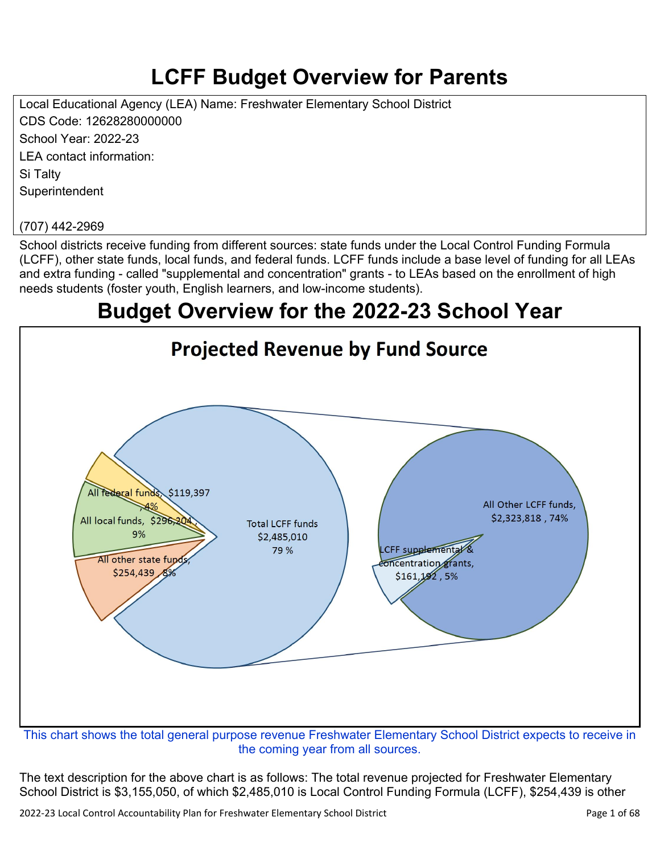# **LCFF Budget Overview for Parents**

Local Educational Agency (LEA) Name: Freshwater Elementary School District CDS Code: 12628280000000 School Year: 2022-23 LEA contact information: Si Talty **Superintendent** 

#### (707) 442-2969

School districts receive funding from different sources: state funds under the Local Control Funding Formula (LCFF), other state funds, local funds, and federal funds. LCFF funds include a base level of funding for all LEAs and extra funding - called "supplemental and concentration" grants - to LEAs based on the enrollment of high needs students (foster youth, English learners, and low-income students).

## **Budget Overview for the 2022-23 School Year**



the coming year from all sources.

The text description for the above chart is as follows: The total revenue projected for Freshwater Elementary School District is \$3,155,050, of which \$2,485,010 is Local Control Funding Formula (LCFF), \$254,439 is other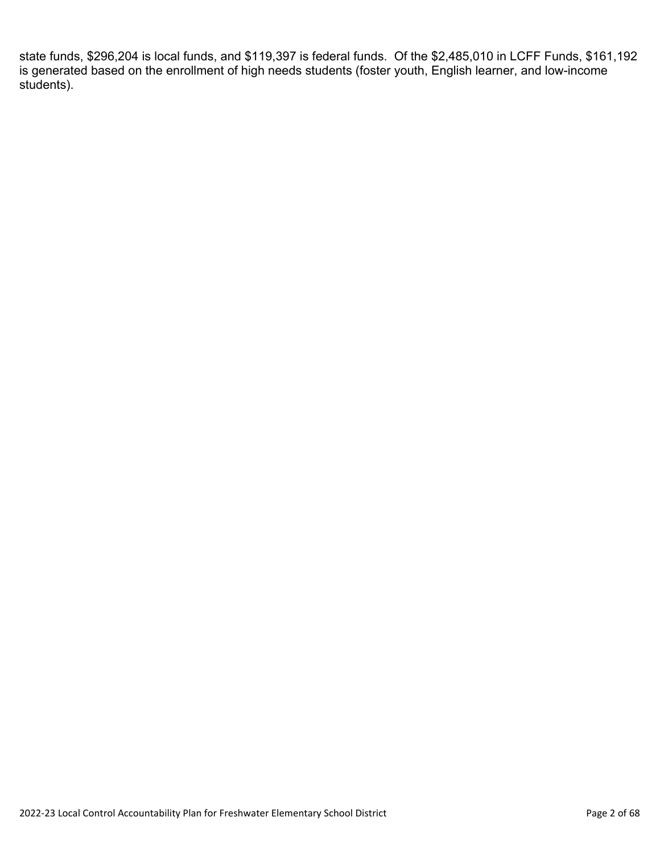state funds, \$296,204 is local funds, and \$119,397 is federal funds. Of the \$2,485,010 in LCFF Funds, \$161,192 is generated based on the enrollment of high needs students (foster youth, English learner, and low-income students).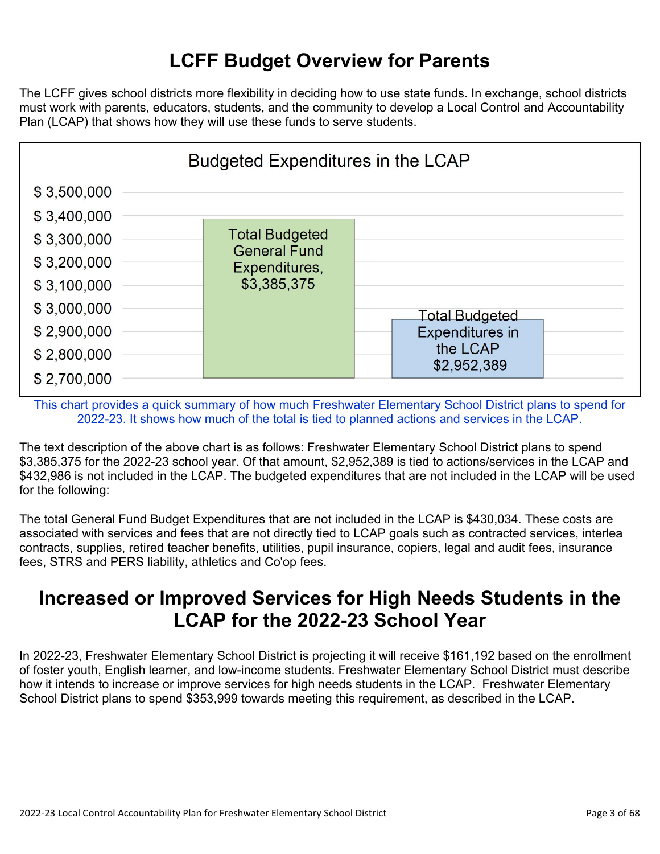## **LCFF Budget Overview for Parents**

The LCFF gives school districts more flexibility in deciding how to use state funds. In exchange, school districts must work with parents, educators, students, and the community to develop a Local Control and Accountability Plan (LCAP) that shows how they will use these funds to serve students.



This chart provides a quick summary of how much Freshwater Elementary School District plans to spend for 2022-23. It shows how much of the total is tied to planned actions and services in the LCAP.

The text description of the above chart is as follows: Freshwater Elementary School District plans to spend \$3,385,375 for the 2022-23 school year. Of that amount, \$2,952,389 is tied to actions/services in the LCAP and \$432,986 is not included in the LCAP. The budgeted expenditures that are not included in the LCAP will be used for the following:

The total General Fund Budget Expenditures that are not included in the LCAP is \$430,034. These costs are associated with services and fees that are not directly tied to LCAP goals such as contracted services, interlea contracts, supplies, retired teacher benefits, utilities, pupil insurance, copiers, legal and audit fees, insurance fees, STRS and PERS liability, athletics and Co'op fees.

### **Increased or Improved Services for High Needs Students in the LCAP for the 2022-23 School Year**

In 2022-23, Freshwater Elementary School District is projecting it will receive \$161,192 based on the enrollment of foster youth, English learner, and low-income students. Freshwater Elementary School District must describe how it intends to increase or improve services for high needs students in the LCAP. Freshwater Elementary School District plans to spend \$353,999 towards meeting this requirement, as described in the LCAP.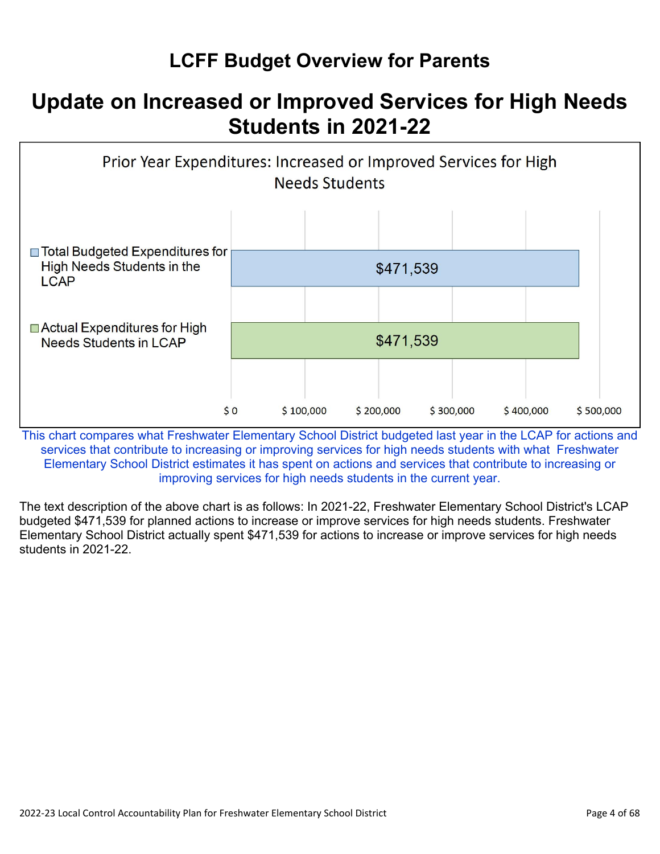## **LCFF Budget Overview for Parents**

## **Update on Increased or Improved Services for High Needs Students in 2021-22**



This chart compares what Freshwater Elementary School District budgeted last year in the LCAP for actions and services that contribute to increasing or improving services for high needs students with what Freshwater Elementary School District estimates it has spent on actions and services that contribute to increasing or improving services for high needs students in the current year.

The text description of the above chart is as follows: In 2021-22, Freshwater Elementary School District's LCAP budgeted \$471,539 for planned actions to increase or improve services for high needs students. Freshwater Elementary School District actually spent \$471,539 for actions to increase or improve services for high needs students in 2021-22.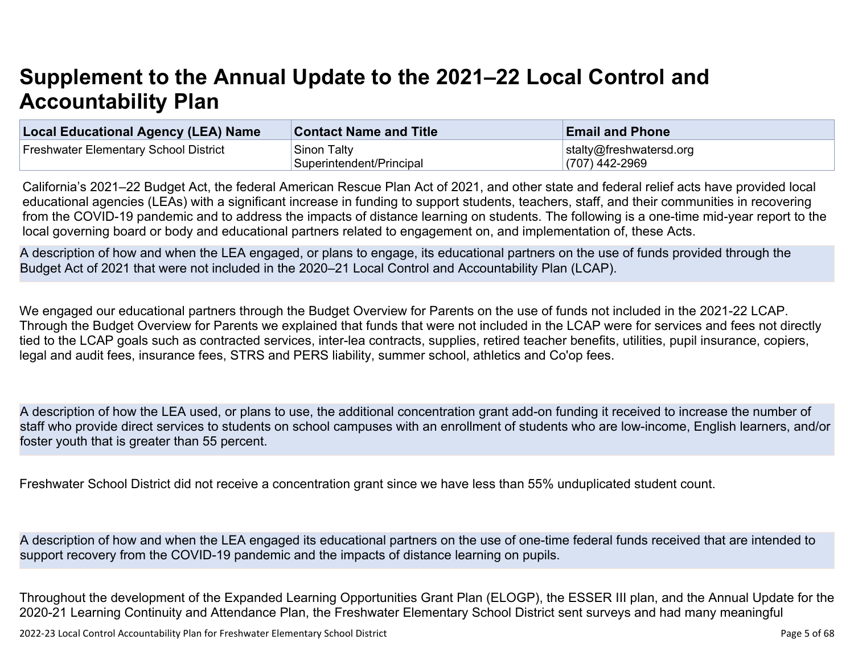# **Supplement to the Annual Update to the 2021–22 Local Control and Accountability Plan**

| <b>Local Educational Agency (LEA) Name</b> | <b>Contact Name and Title</b> | <b>Email and Phone</b>  |
|--------------------------------------------|-------------------------------|-------------------------|
| Freshwater Elementary School District      | Sinon Talty                   | stalty@freshwatersd.org |
|                                            | Superintendent/Principal      | (707) 442-2969          |

California's 2021–22 Budget Act, the federal American Rescue Plan Act of 2021, and other state and federal relief acts have provided local educational agencies (LEAs) with a significant increase in funding to support students, teachers, staff, and their communities in recovering from the COVID-19 pandemic and to address the impacts of distance learning on students. The following is a one-time mid-year report to the local governing board or body and educational partners related to engagement on, and implementation of, these Acts.

A description of how and when the LEA engaged, or plans to engage, its educational partners on the use of funds provided through the Budget Act of 2021 that were not included in the 2020–21 Local Control and Accountability Plan (LCAP).

We engaged our educational partners through the Budget Overview for Parents on the use of funds not included in the 2021-22 LCAP. Through the Budget Overview for Parents we explained that funds that were not included in the LCAP were for services and fees not directly tied to the LCAP goals such as contracted services, inter-lea contracts, supplies, retired teacher benefits, utilities, pupil insurance, copiers, legal and audit fees, insurance fees, STRS and PERS liability, summer school, athletics and Co'op fees.

A description of how the LEA used, or plans to use, the additional concentration grant add-on funding it received to increase the number of staff who provide direct services to students on school campuses with an enrollment of students who are low-income, English learners, and/or foster youth that is greater than 55 percent.

Freshwater School District did not receive a concentration grant since we have less than 55% unduplicated student count.

A description of how and when the LEA engaged its educational partners on the use of one-time federal funds received that are intended to support recovery from the COVID-19 pandemic and the impacts of distance learning on pupils.

Throughout the development of the Expanded Learning Opportunities Grant Plan (ELOGP), the ESSER III plan, and the Annual Update for the 2020-21 Learning Continuity and Attendance Plan, the Freshwater Elementary School District sent surveys and had many meaningful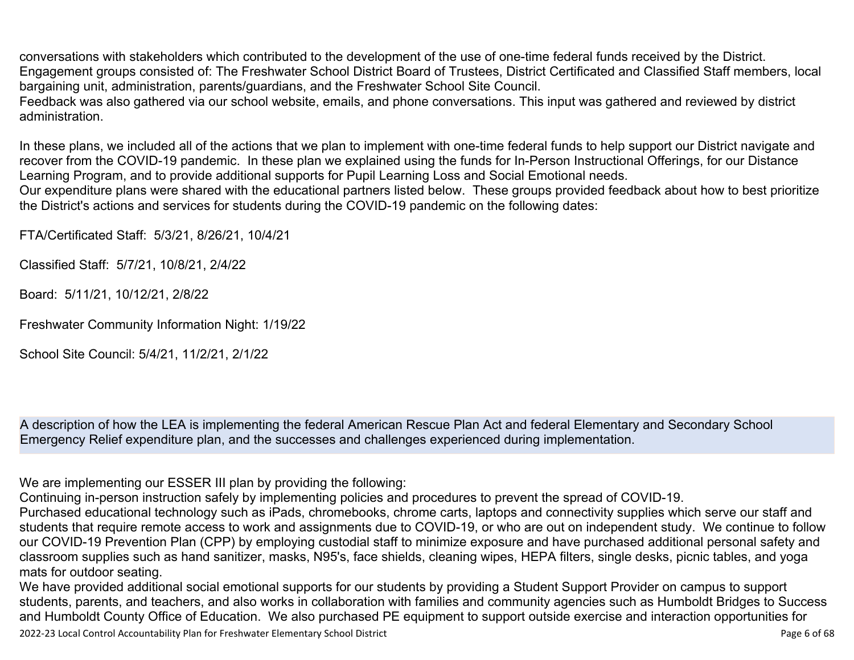conversations with stakeholders which contributed to the development of the use of one-time federal funds received by the District. Engagement groups consisted of: The Freshwater School District Board of Trustees, District Certificated and Classified Staff members, local bargaining unit, administration, parents/guardians, and the Freshwater School Site Council.

Feedback was also gathered via our school website, emails, and phone conversations. This input was gathered and reviewed by district administration.

In these plans, we included all of the actions that we plan to implement with one-time federal funds to help support our District navigate and recover from the COVID-19 pandemic. In these plan we explained using the funds for In-Person Instructional Offerings, for our Distance Learning Program, and to provide additional supports for Pupil Learning Loss and Social Emotional needs.

Our expenditure plans were shared with the educational partners listed below. These groups provided feedback about how to best prioritize the District's actions and services for students during the COVID-19 pandemic on the following dates:

FTA/Certificated Staff: 5/3/21, 8/26/21, 10/4/21

Classified Staff: 5/7/21, 10/8/21, 2/4/22

Board: 5/11/21, 10/12/21, 2/8/22

Freshwater Community Information Night: 1/19/22

School Site Council: 5/4/21, 11/2/21, 2/1/22

A description of how the LEA is implementing the federal American Rescue Plan Act and federal Elementary and Secondary School Emergency Relief expenditure plan, and the successes and challenges experienced during implementation.

We are implementing our ESSER III plan by providing the following:

Continuing in-person instruction safely by implementing policies and procedures to prevent the spread of COVID-19.

Purchased educational technology such as iPads, chromebooks, chrome carts, laptops and connectivity supplies which serve our staff and students that require remote access to work and assignments due to COVID-19, or who are out on independent study. We continue to follow our COVID-19 Prevention Plan (CPP) by employing custodial staff to minimize exposure and have purchased additional personal safety and classroom supplies such as hand sanitizer, masks, N95's, face shields, cleaning wipes, HEPA filters, single desks, picnic tables, and yoga mats for outdoor seating.

We have provided additional social emotional supports for our students by providing a Student Support Provider on campus to support students, parents, and teachers, and also works in collaboration with families and community agencies such as Humboldt Bridges to Success and Humboldt County Office of Education. We also purchased PE equipment to support outside exercise and interaction opportunities for

2022-23 Local Control Accountability Plan for Freshwater Elementary School District **Page 6 of 68** and the state of 68 of 68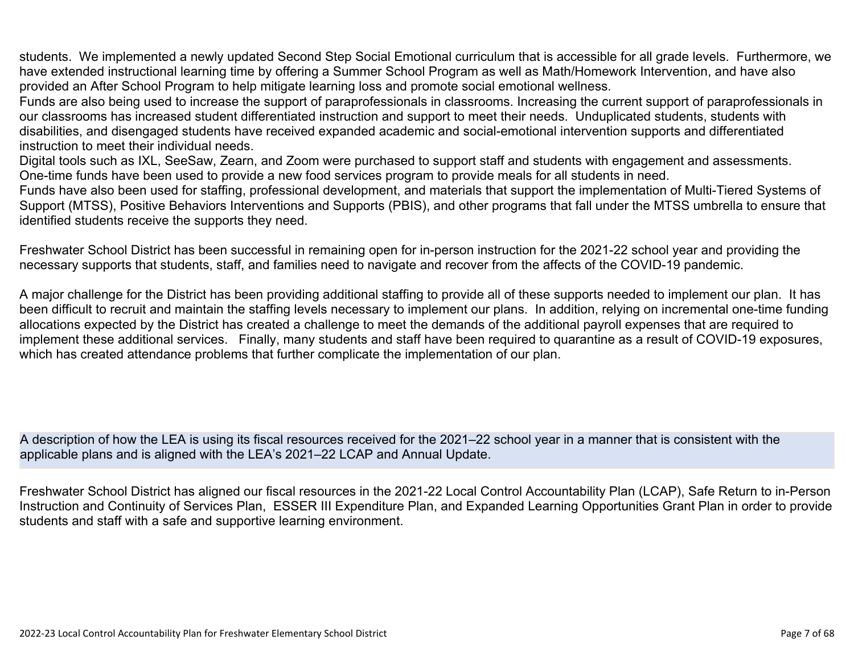students. We implemented a newly updated Second Step Social Emotional curriculum that is accessible for all grade levels. Furthermore, we have extended instructional learning time by offering a Summer School Program as well as Math/Homework Intervention, and have also provided an After School Program to help mitigate learning loss and promote social emotional wellness.

Funds are also being used to increase the support of paraprofessionals in classrooms. Increasing the current support of paraprofessionals in our classrooms has increased student differentiated instruction and support to meet their needs. Unduplicated students, students with disabilities, and disengaged students have received expanded academic and social-emotional intervention supports and differentiated instruction to meet their individual needs.

Digital tools such as IXL, SeeSaw, Zearn, and Zoom were purchased to support staff and students with engagement and assessments. One-time funds have been used to provide a new food services program to provide meals for all students in need.

Funds have also been used for staffing, professional development, and materials that support the implementation of Multi-Tiered Systems of Support (MTSS), Positive Behaviors Interventions and Supports (PBIS), and other programs that fall under the MTSS umbrella to ensure that identified students receive the supports they need.

Freshwater School District has been successful in remaining open for in-person instruction for the 2021-22 school year and providing the necessary supports that students, staff, and families need to navigate and recover from the affects of the COVID-19 pandemic.

A major challenge for the District has been providing additional staffing to provide all of these supports needed to implement our plan. It has been difficult to recruit and maintain the staffing levels necessary to implement our plans. In addition, relying on incremental one-time funding allocations expected by the District has created a challenge to meet the demands of the additional payroll expenses that are required to implement these additional services. Finally, many students and staff have been required to quarantine as a result of COVID-19 exposures, which has created attendance problems that further complicate the implementation of our plan.

A description of how the LEA is using its fiscal resources received for the 2021–22 school year in a manner that is consistent with the applicable plans and is aligned with the LEA's 2021–22 LCAP and Annual Update.

Freshwater School District has aligned our fiscal resources in the 2021-22 Local Control Accountability Plan (LCAP), Safe Return to in-Person Instruction and Continuity of Services Plan, ESSER III Expenditure Plan, and Expanded Learning Opportunities Grant Plan in order to provide students and staff with a safe and supportive learning environment.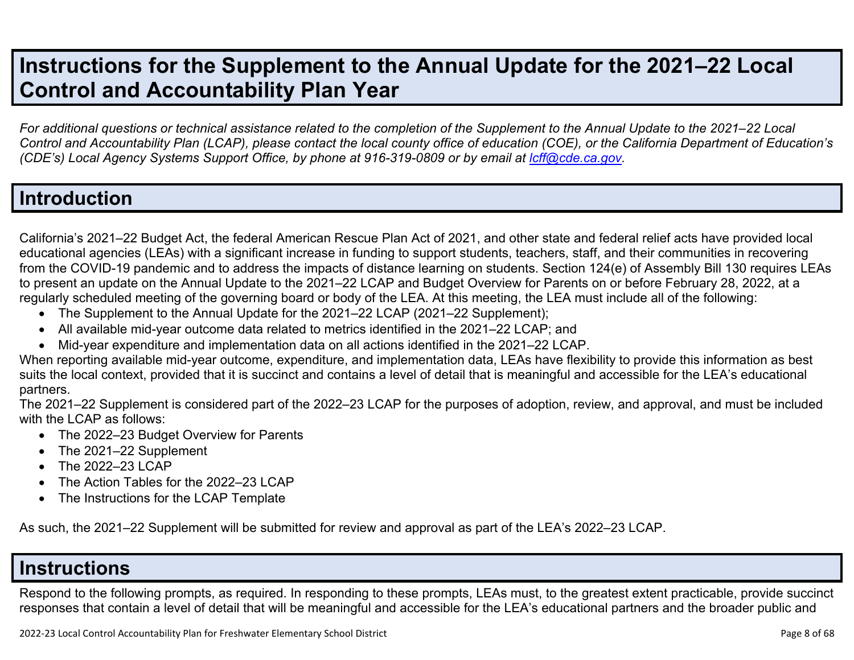## **Instructions for the Supplement to the Annual Update for the 2021–22 Local Control and Accountability Plan Year**

*For additional questions or technical assistance related to the completion of the Supplement to the Annual Update to the 2021–22 Local Control and Accountability Plan (LCAP), please contact the local county office of education (COE), or the California Department of Education's (CDE's)* Local Agency Systems Support Office, by phone at 916-319-0809 or by email at *[lcff@cde.ca.gov](mailto:lcff@cde.ca.gov)*.

### **Introduction**

California's 2021–22 Budget Act, the federal American Rescue Plan Act of 2021, and other state and federal relief acts have provided local educational agencies (LEAs) with a significant increase in funding to support students, teachers, staff, and their communities in recovering from the COVID-19 pandemic and to address the impacts of distance learning on students. Section 124(e) of Assembly Bill 130 requires LEAs to present an update on the Annual Update to the 2021–22 LCAP and Budget Overview for Parents on or before February 28, 2022, at a regularly scheduled meeting of the governing board or body of the LEA. At this meeting, the LEA must include all of the following:

- The Supplement to the Annual Update for the 2021–22 LCAP (2021–22 Supplement);
- All available mid-year outcome data related to metrics identified in the 2021–22 LCAP; and
- Mid-year expenditure and implementation data on all actions identified in the 2021–22 LCAP.

When reporting available mid-year outcome, expenditure, and implementation data, LEAs have flexibility to provide this information as best suits the local context, provided that it is succinct and contains a level of detail that is meaningful and accessible for the LEA's educational partners.

The 2021–22 Supplement is considered part of the 2022–23 LCAP for the purposes of adoption, review, and approval, and must be included with the LCAP as follows:

- The 2022–23 Budget Overview for Parents
- The 2021-22 Supplement
- The 2022-23 LCAP
- The Action Tables for the 2022–23 LCAP
- The Instructions for the LCAP Template

As such, the 2021–22 Supplement will be submitted for review and approval as part of the LEA's 2022–23 LCAP.

### **Instructions**

Respond to the following prompts, as required. In responding to these prompts, LEAs must, to the greatest extent practicable, provide succinct responses that contain a level of detail that will be meaningful and accessible for the LEA's educational partners and the broader public and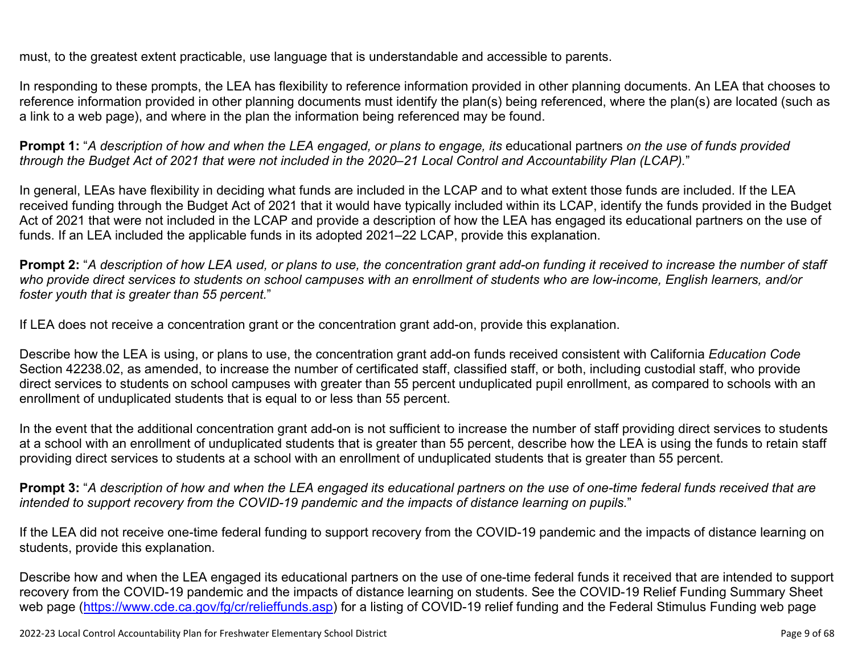must, to the greatest extent practicable, use language that is understandable and accessible to parents.

In responding to these prompts, the LEA has flexibility to reference information provided in other planning documents. An LEA that chooses to reference information provided in other planning documents must identify the plan(s) being referenced, where the plan(s) are located (such as a link to a web page), and where in the plan the information being referenced may be found.

**Prompt 1:** "*A description of how and when the LEA engaged, or plans to engage, its* educational partners *on the use of funds provided through the Budget Act of 2021 that were not included in the 2020–21 Local Control and Accountability Plan (LCAP).*"

In general, LEAs have flexibility in deciding what funds are included in the LCAP and to what extent those funds are included. If the LEA received funding through the Budget Act of 2021 that it would have typically included within its LCAP, identify the funds provided in the Budget Act of 2021 that were not included in the LCAP and provide a description of how the LEA has engaged its educational partners on the use of funds. If an LEA included the applicable funds in its adopted 2021–22 LCAP, provide this explanation.

**Prompt 2:** "*A description of how LEA used, or plans to use, the concentration grant add-on funding it received to increase the number of staff who provide direct services to students on school campuses with an enrollment of students who are low-income, English learners, and/or foster youth that is greater than 55 percent.*"

If LEA does not receive a concentration grant or the concentration grant add-on, provide this explanation.

Describe how the LEA is using, or plans to use, the concentration grant add-on funds received consistent with California *Education Code* Section 42238.02, as amended, to increase the number of certificated staff, classified staff, or both, including custodial staff, who provide direct services to students on school campuses with greater than 55 percent unduplicated pupil enrollment, as compared to schools with an enrollment of unduplicated students that is equal to or less than 55 percent.

In the event that the additional concentration grant add-on is not sufficient to increase the number of staff providing direct services to students at a school with an enrollment of unduplicated students that is greater than 55 percent, describe how the LEA is using the funds to retain staff providing direct services to students at a school with an enrollment of unduplicated students that is greater than 55 percent.

**Prompt 3:** "*A description of how and when the LEA engaged its educational partners on the use of one-time federal funds received that are intended to support recovery from the COVID-19 pandemic and the impacts of distance learning on pupils.*"

If the LEA did not receive one-time federal funding to support recovery from the COVID-19 pandemic and the impacts of distance learning on students, provide this explanation.

Describe how and when the LEA engaged its educational partners on the use of one-time federal funds it received that are intended to support recovery from the COVID-19 pandemic and the impacts of distance learning on students. See the COVID-19 Relief Funding Summary Sheet web page [\(https://www.cde.ca.gov/fg/cr/relieffunds.asp\)](https://www.cde.ca.gov/fg/cr/relieffunds.asp) for a listing of COVID-19 relief funding and the Federal Stimulus Funding web page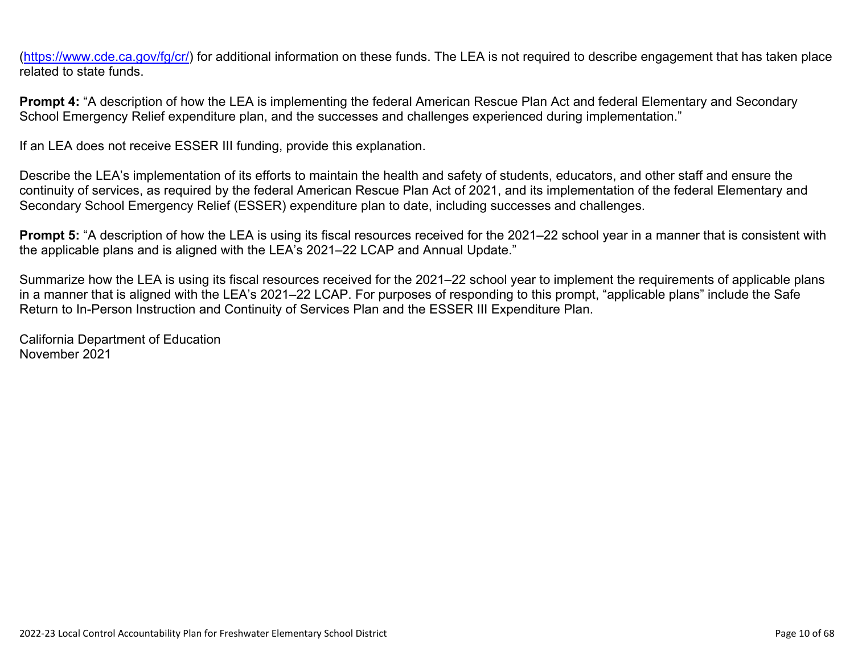(<https://www.cde.ca.gov/fg/cr/>) for additional information on these funds. The LEA is not required to describe engagement that has taken place related to state funds.

**Prompt 4:** "A description of how the LEA is implementing the federal American Rescue Plan Act and federal Elementary and Secondary School Emergency Relief expenditure plan, and the successes and challenges experienced during implementation."

If an LEA does not receive ESSER III funding, provide this explanation.

Describe the LEA's implementation of its efforts to maintain the health and safety of students, educators, and other staff and ensure the continuity of services, as required by the federal American Rescue Plan Act of 2021, and its implementation of the federal Elementary and Secondary School Emergency Relief (ESSER) expenditure plan to date, including successes and challenges.

**Prompt 5:** "A description of how the LEA is using its fiscal resources received for the 2021–22 school year in a manner that is consistent with the applicable plans and is aligned with the LEA's 2021–22 LCAP and Annual Update."

Summarize how the LEA is using its fiscal resources received for the 2021–22 school year to implement the requirements of applicable plans in a manner that is aligned with the LEA's 2021–22 LCAP. For purposes of responding to this prompt, "applicable plans" include the Safe Return to In-Person Instruction and Continuity of Services Plan and the ESSER III Expenditure Plan.

California Department of Education November 2021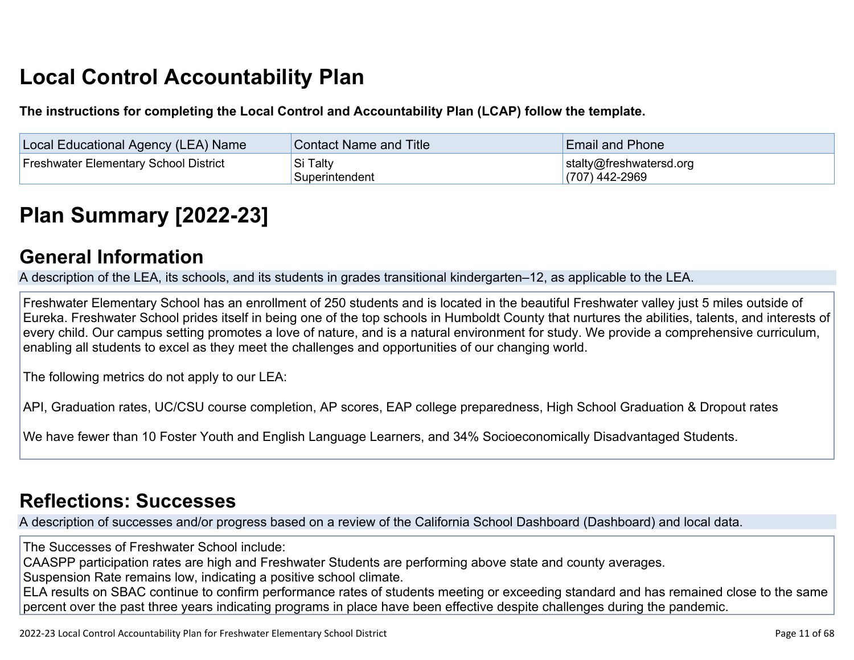# **Local Control Accountability Plan**

**The instructions for completing the Local Control and Accountability Plan (LCAP) follow the template.**

| <b>Local Educational Agency (LEA) Name</b>   | <b>Contact Name and Title</b> | <b>Email and Phone</b>                      |
|----------------------------------------------|-------------------------------|---------------------------------------------|
| <b>Freshwater Elementary School District</b> | Si Talty<br>Superintendent    | stalty@freshwatersd.org<br>$(707)$ 442-2969 |

# **[Plan Summary \[2022-23\]](http://www.doc-tracking.com/screenshots/22LCAP/Instructions/22LCAPInstructions.htm#PlanSummary)**

### **[General Information](http://www.doc-tracking.com/screenshots/22LCAP/Instructions/22LCAPInstructions.htm#generalinformation)**

A description of the LEA, its schools, and its students in grades transitional kindergarten–12, as applicable to the LEA.

Freshwater Elementary School has an enrollment of 250 students and is located in the beautiful Freshwater valley just 5 miles outside of Eureka. Freshwater School prides itself in being one of the top schools in Humboldt County that nurtures the abilities, talents, and interests of every child. Our campus setting promotes a love of nature, and is a natural environment for study. We provide a comprehensive curriculum, enabling all students to excel as they meet the challenges and opportunities of our changing world.

The following metrics do not apply to our LEA:

API, Graduation rates, UC/CSU course completion, AP scores, EAP college preparedness, High School Graduation & Dropout rates

We have fewer than 10 Foster Youth and English Language Learners, and 34% Socioeconomically Disadvantaged Students.

## **[Reflections: Successes](http://www.doc-tracking.com/screenshots/22LCAP/Instructions/22LCAPInstructions.htm#ReflectionsSuccesses)**

A description of successes and/or progress based on a review of the California School Dashboard (Dashboard) and local data.

The Successes of Freshwater School include:

CAASPP participation rates are high and Freshwater Students are performing above state and county averages.

Suspension Rate remains low, indicating a positive school climate.

ELA results on SBAC continue to confirm performance rates of students meeting or exceeding standard and has remained close to the same percent over the past three years indicating programs in place have been effective despite challenges during the pandemic.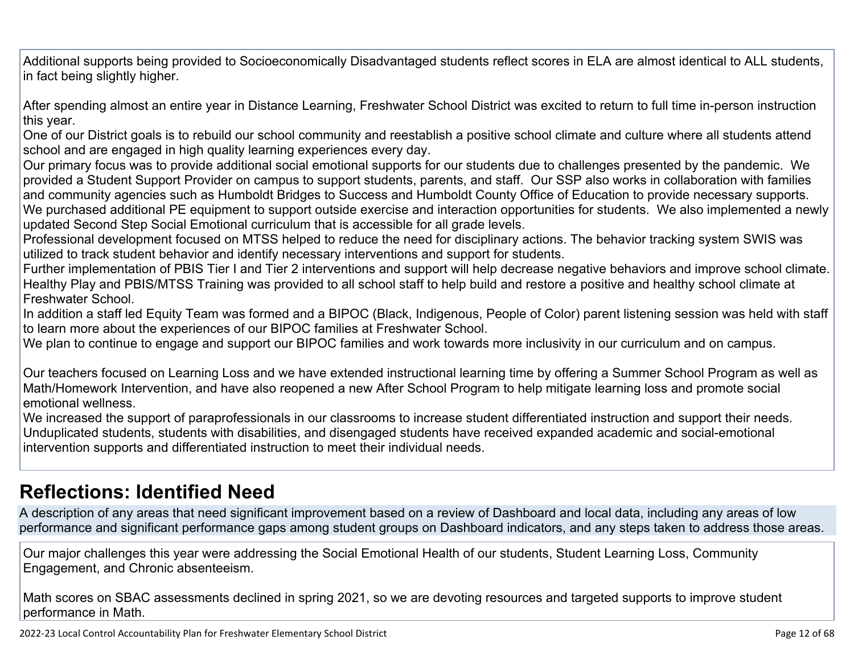Additional supports being provided to Socioeconomically Disadvantaged students reflect scores in ELA are almost identical to ALL students, in fact being slightly higher.

After spending almost an entire year in Distance Learning, Freshwater School District was excited to return to full time in-person instruction this year.

One of our District goals is to rebuild our school community and reestablish a positive school climate and culture where all students attend school and are engaged in high quality learning experiences every day.

Our primary focus was to provide additional social emotional supports for our students due to challenges presented by the pandemic. We provided a Student Support Provider on campus to support students, parents, and staff. Our SSP also works in collaboration with families and community agencies such as Humboldt Bridges to Success and Humboldt County Office of Education to provide necessary supports. We purchased additional PE equipment to support outside exercise and interaction opportunities for students. We also implemented a newly updated Second Step Social Emotional curriculum that is accessible for all grade levels.

Professional development focused on MTSS helped to reduce the need for disciplinary actions. The behavior tracking system SWIS was utilized to track student behavior and identify necessary interventions and support for students.

Further implementation of PBIS Tier I and Tier 2 interventions and support will help decrease negative behaviors and improve school climate. Healthy Play and PBIS/MTSS Training was provided to all school staff to help build and restore a positive and healthy school climate at Freshwater School.

In addition a staff led Equity Team was formed and a BIPOC (Black, Indigenous, People of Color) parent listening session was held with staff to learn more about the experiences of our BIPOC families at Freshwater School.

We plan to continue to engage and support our BIPOC families and work towards more inclusivity in our curriculum and on campus.

Our teachers focused on Learning Loss and we have extended instructional learning time by offering a Summer School Program as well as Math/Homework Intervention, and have also reopened a new After School Program to help mitigate learning loss and promote social emotional wellness.

We increased the support of paraprofessionals in our classrooms to increase student differentiated instruction and support their needs. Unduplicated students, students with disabilities, and disengaged students have received expanded academic and social-emotional intervention supports and differentiated instruction to meet their individual needs.

## **[Reflections: Identified Need](http://www.doc-tracking.com/screenshots/22LCAP/Instructions/22LCAPInstructions.htm#ReflectionsIdentifiedNeed)**

A description of any areas that need significant improvement based on a review of Dashboard and local data, including any areas of low performance and significant performance gaps among student groups on Dashboard indicators, and any steps taken to address those areas.

Our major challenges this year were addressing the Social Emotional Health of our students, Student Learning Loss, Community Engagement, and Chronic absenteeism.

Math scores on SBAC assessments declined in spring 2021, so we are devoting resources and targeted supports to improve student performance in Math.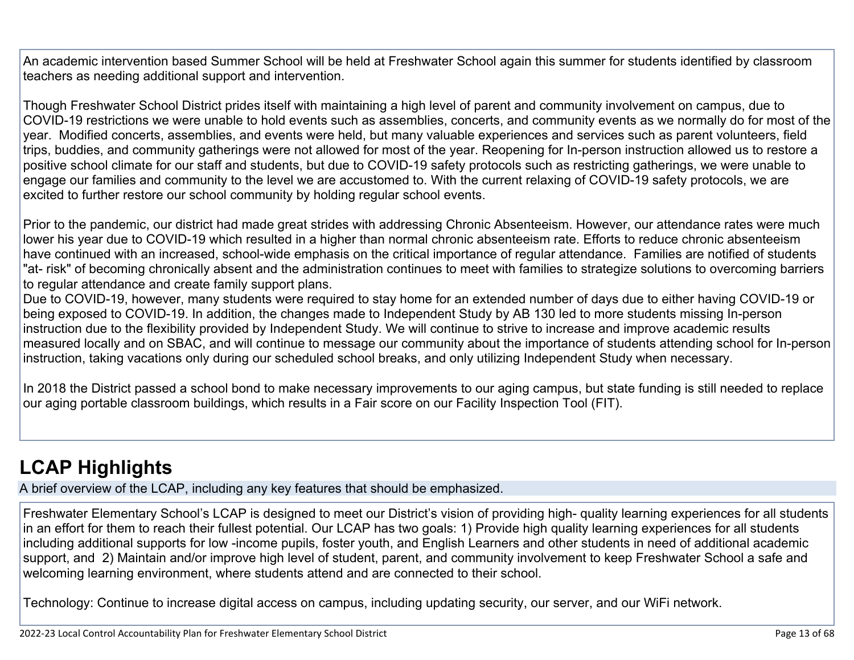An academic intervention based Summer School will be held at Freshwater School again this summer for students identified by classroom teachers as needing additional support and intervention.

Though Freshwater School District prides itself with maintaining a high level of parent and community involvement on campus, due to COVID-19 restrictions we were unable to hold events such as assemblies, concerts, and community events as we normally do for most of the year. Modified concerts, assemblies, and events were held, but many valuable experiences and services such as parent volunteers, field trips, buddies, and community gatherings were not allowed for most of the year. Reopening for In-person instruction allowed us to restore a positive school climate for our staff and students, but due to COVID-19 safety protocols such as restricting gatherings, we were unable to engage our families and community to the level we are accustomed to. With the current relaxing of COVID-19 safety protocols, we are excited to further restore our school community by holding regular school events.

Prior to the pandemic, our district had made great strides with addressing Chronic Absenteeism. However, our attendance rates were much lower his year due to COVID-19 which resulted in a higher than normal chronic absenteeism rate. Efforts to reduce chronic absenteeism have continued with an increased, school-wide emphasis on the critical importance of regular attendance. Families are notified of students "at- risk" of becoming chronically absent and the administration continues to meet with families to strategize solutions to overcoming barriers to regular attendance and create family support plans.

Due to COVID-19, however, many students were required to stay home for an extended number of days due to either having COVID-19 or being exposed to COVID-19. In addition, the changes made to Independent Study by AB 130 led to more students missing In-person instruction due to the flexibility provided by Independent Study. We will continue to strive to increase and improve academic results measured locally and on SBAC, and will continue to message our community about the importance of students attending school for In-person instruction, taking vacations only during our scheduled school breaks, and only utilizing Independent Study when necessary.

In 2018 the District passed a school bond to make necessary improvements to our aging campus, but state funding is still needed to replace our aging portable classroom buildings, which results in a Fair score on our Facility Inspection Tool (FIT).

## **[LCAP Highlights](http://www.doc-tracking.com/screenshots/22LCAP/Instructions/22LCAPInstructions.htm#LCAPHighlights)**

A brief overview of the LCAP, including any key features that should be emphasized.

Freshwater Elementary School's LCAP is designed to meet our District's vision of providing high- quality learning experiences for all students in an effort for them to reach their fullest potential. Our LCAP has two goals: 1) Provide high quality learning experiences for all students including additional supports for low -income pupils, foster youth, and English Learners and other students in need of additional academic support, and 2) Maintain and/or improve high level of student, parent, and community involvement to keep Freshwater School a safe and welcoming learning environment, where students attend and are connected to their school.

Technology: Continue to increase digital access on campus, including updating security, our server, and our WiFi network.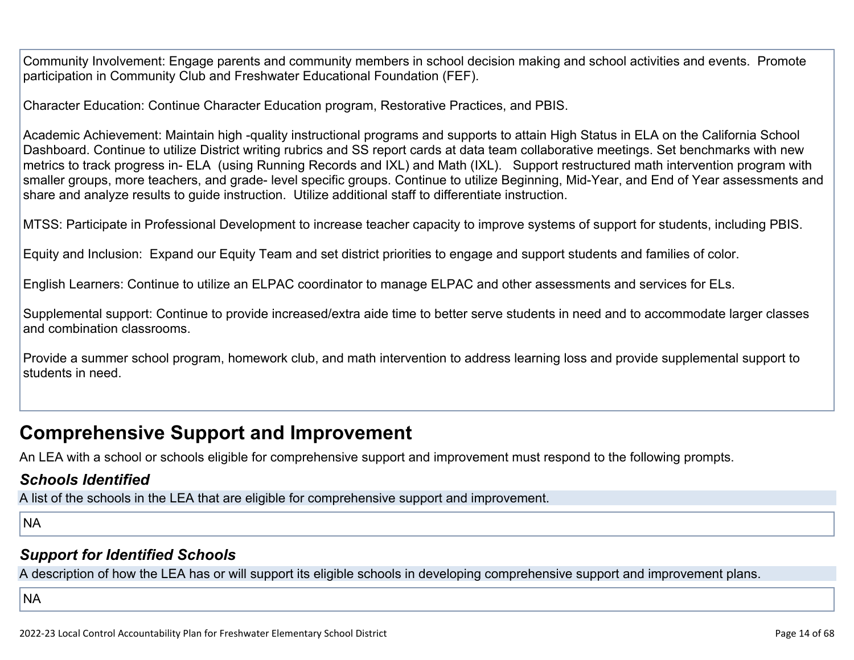Community Involvement: Engage parents and community members in school decision making and school activities and events. Promote participation in Community Club and Freshwater Educational Foundation (FEF).

Character Education: Continue Character Education program, Restorative Practices, and PBIS.

Academic Achievement: Maintain high -quality instructional programs and supports to attain High Status in ELA on the California School Dashboard. Continue to utilize District writing rubrics and SS report cards at data team collaborative meetings. Set benchmarks with new metrics to track progress in- ELA (using Running Records and IXL) and Math (IXL). Support restructured math intervention program with smaller groups, more teachers, and grade- level specific groups. Continue to utilize Beginning, Mid-Year, and End of Year assessments and share and analyze results to guide instruction. Utilize additional staff to differentiate instruction.

MTSS: Participate in Professional Development to increase teacher capacity to improve systems of support for students, including PBIS.

Equity and Inclusion: Expand our Equity Team and set district priorities to engage and support students and families of color.

English Learners: Continue to utilize an ELPAC coordinator to manage ELPAC and other assessments and services for ELs.

Supplemental support: Continue to provide increased/extra aide time to better serve students in need and to accommodate larger classes and combination classrooms.

Provide a summer school program, homework club, and math intervention to address learning loss and provide supplemental support to students in need.

## **Comprehensive Support and Improvement**

An LEA with a school or schools eligible for comprehensive support and improvement must respond to the following prompts.

### *[Schools Identified](http://www.doc-tracking.com/screenshots/22LCAP/Instructions/22LCAPInstructions.htm#SchoolsIdentified)*

A list of the schools in the LEA that are eligible for comprehensive support and improvement.

NA

### *[Support for Identified Schools](http://www.doc-tracking.com/screenshots/22LCAP/Instructions/22LCAPInstructions.htm#SupportforIdentifiedSchools)*

A description of how the LEA has or will support its eligible schools in developing comprehensive support and improvement plans.

**NA**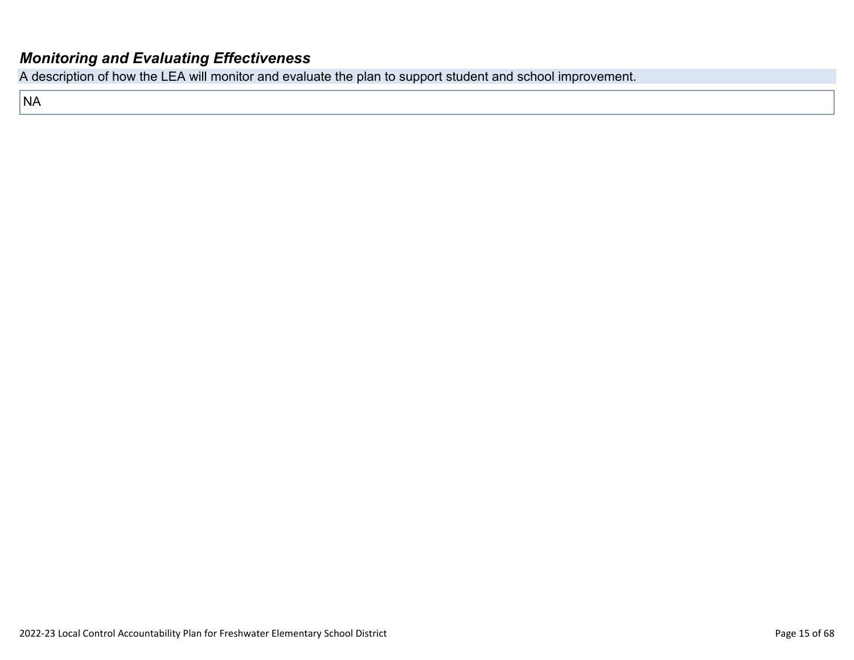### *[Monitoring and Evaluating Effectiveness](http://www.doc-tracking.com/screenshots/22LCAP/Instructions/22LCAPInstructions.htm#MonitoringandEvaluatingEffectiveness)*

A description of how the LEA will monitor and evaluate the plan to support student and school improvement.

NA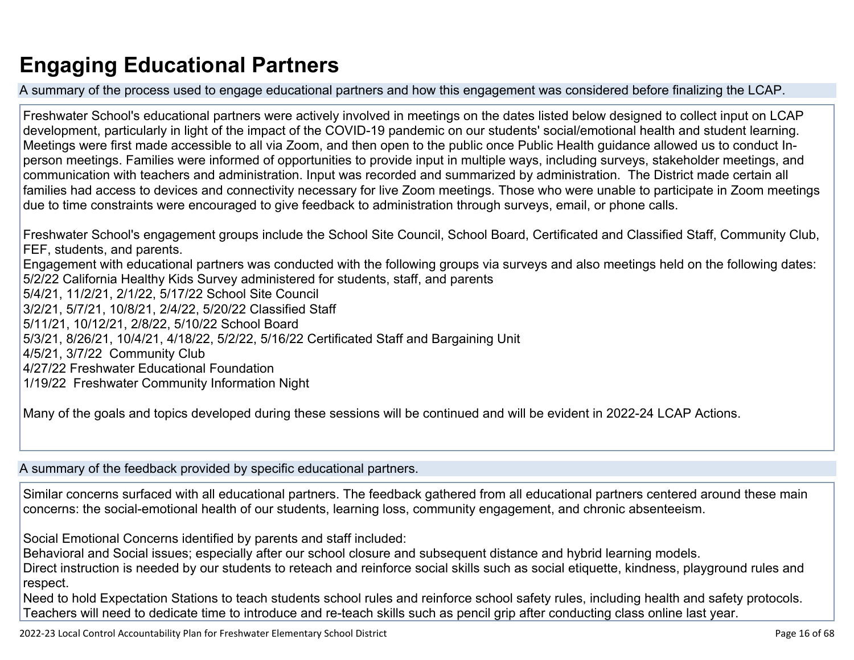# **Engaging Educational Partners**

A summary of the process used to engage educational partners and how this engagement was considered before finalizing the LCAP.

Freshwater School's educational partners were actively involved in meetings on the dates listed below designed to collect input on LCAP development, particularly in light of the impact of the COVID-19 pandemic on our students' social/emotional health and student learning. Meetings were first made accessible to all via Zoom, and then open to the public once Public Health guidance allowed us to conduct Inperson meetings. Families were informed of opportunities to provide input in multiple ways, including surveys, stakeholder meetings, and communication with teachers and administration. Input was recorded and summarized by administration. The District made certain all families had access to devices and connectivity necessary for live Zoom meetings. Those who were unable to participate in Zoom meetings due to time constraints were encouraged to give feedback to administration through surveys, email, or phone calls.

Freshwater School's engagement groups include the School Site Council, School Board, Certificated and Classified Staff, Community Club, FEF, students, and parents. Engagement with educational partners was conducted with the following groups via surveys and also meetings held on the following dates: 5/2/22 California Healthy Kids Survey administered for students, staff, and parents 5/4/21, 11/2/21, 2/1/22, 5/17/22 School Site Council 3/2/21, 5/7/21, 10/8/21, 2/4/22, 5/20/22 Classified Staff 5/11/21, 10/12/21, 2/8/22, 5/10/22 School Board 5/3/21, 8/26/21, 10/4/21, 4/18/22, 5/2/22, 5/16/22 Certificated Staff and Bargaining Unit 4/5/21, 3/7/22 Community Club 4/27/22 Freshwater Educational Foundation 1/19/22 Freshwater Community Information Night

Many of the goals and topics developed during these sessions will be continued and will be evident in 2022-24 LCAP Actions.

A summary of the feedback provided by specific educational partners.

Similar concerns surfaced with all educational partners. The feedback gathered from all educational partners centered around these main concerns: the social-emotional health of our students, learning loss, community engagement, and chronic absenteeism.

Social Emotional Concerns identified by parents and staff included:

Behavioral and Social issues; especially after our school closure and subsequent distance and hybrid learning models.

Direct instruction is needed by our students to reteach and reinforce social skills such as social etiquette, kindness, playground rules and respect.

Need to hold Expectation Stations to teach students school rules and reinforce school safety rules, including health and safety protocols. Teachers will need to dedicate time to introduce and re-teach skills such as pencil grip after conducting class online last year.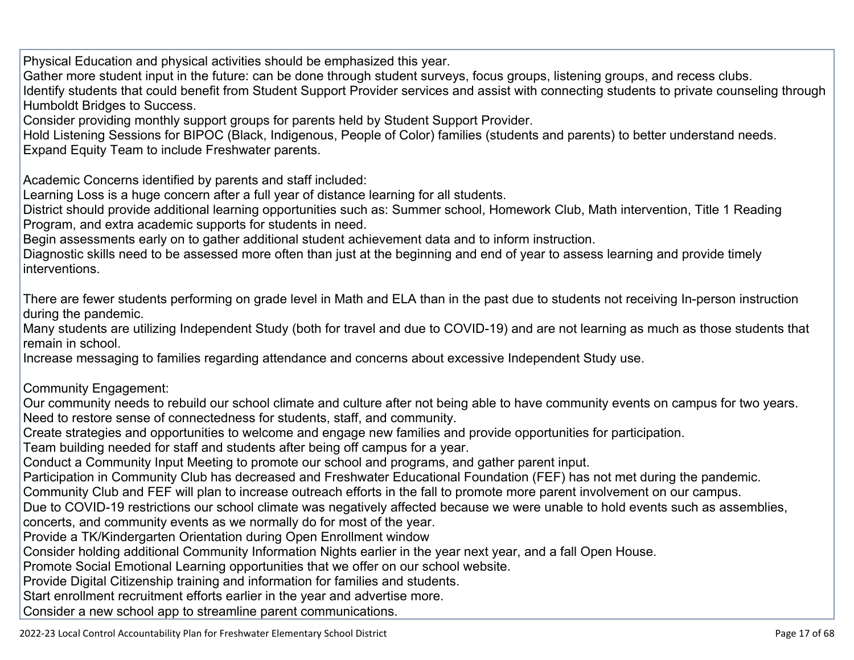Physical Education and physical activities should be emphasized this year.

Gather more student input in the future: can be done through student surveys, focus groups, listening groups, and recess clubs.

Identify students that could benefit from Student Support Provider services and assist with connecting students to private counseling through Humboldt Bridges to Success.

Consider providing monthly support groups for parents held by Student Support Provider.

Hold Listening Sessions for BIPOC (Black, Indigenous, People of Color) families (students and parents) to better understand needs. Expand Equity Team to include Freshwater parents.

Academic Concerns identified by parents and staff included:

Learning Loss is a huge concern after a full year of distance learning for all students.

District should provide additional learning opportunities such as: Summer school, Homework Club, Math intervention, Title 1 Reading Program, and extra academic supports for students in need.

Begin assessments early on to gather additional student achievement data and to inform instruction.

Diagnostic skills need to be assessed more often than just at the beginning and end of year to assess learning and provide timely interventions.

There are fewer students performing on grade level in Math and ELA than in the past due to students not receiving In-person instruction during the pandemic.

Many students are utilizing Independent Study (both for travel and due to COVID-19) and are not learning as much as those students that remain in school.

Increase messaging to families regarding attendance and concerns about excessive Independent Study use.

Community Engagement:

Our community needs to rebuild our school climate and culture after not being able to have community events on campus for two years. Need to restore sense of connectedness for students, staff, and community.

Create strategies and opportunities to welcome and engage new families and provide opportunities for participation.

Team building needed for staff and students after being off campus for a year.

Conduct a Community Input Meeting to promote our school and programs, and gather parent input.

Participation in Community Club has decreased and Freshwater Educational Foundation (FEF) has not met during the pandemic.

Community Club and FEF will plan to increase outreach efforts in the fall to promote more parent involvement on our campus.

Due to COVID-19 restrictions our school climate was negatively affected because we were unable to hold events such as assemblies, concerts, and community events as we normally do for most of the year.

Provide a TK/Kindergarten Orientation during Open Enrollment window

Consider holding additional Community Information Nights earlier in the year next year, and a fall Open House.

Promote Social Emotional Learning opportunities that we offer on our school website.

Provide Digital Citizenship training and information for families and students.

Start enrollment recruitment efforts earlier in the year and advertise more.

Consider a new school app to streamline parent communications.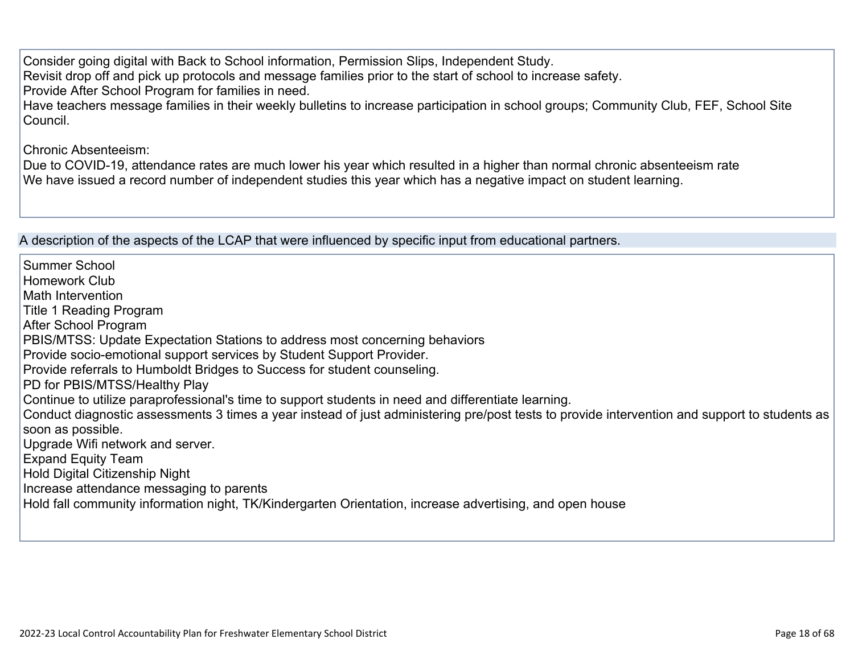Consider going digital with Back to School information, Permission Slips, Independent Study. Revisit drop off and pick up protocols and message families prior to the start of school to increase safety. Provide After School Program for families in need. Have teachers message families in their weekly bulletins to increase participation in school groups; Community Club, FEF, School Site Council.

Chronic Absenteeism:

Due to COVID-19, attendance rates are much lower his year which resulted in a higher than normal chronic absenteeism rate We have issued a record number of independent studies this year which has a negative impact on student learning.

A description of the aspects of the LCAP that were influenced by specific input from educational partners.

Summer School Homework Club Math Intervention Title 1 Reading Program After School Program PBIS/MTSS: Update Expectation Stations to address most concerning behaviors Provide socio-emotional support services by Student Support Provider. Provide referrals to Humboldt Bridges to Success for student counseling. PD for PBIS/MTSS/Healthy Play Continue to utilize paraprofessional's time to support students in need and differentiate learning. Conduct diagnostic assessments 3 times a year instead of just administering pre/post tests to provide intervention and support to students as soon as possible. Upgrade Wifi network and server. Expand Equity Team Hold Digital Citizenship Night Increase attendance messaging to parents Hold fall community information night, TK/Kindergarten Orientation, increase advertising, and open house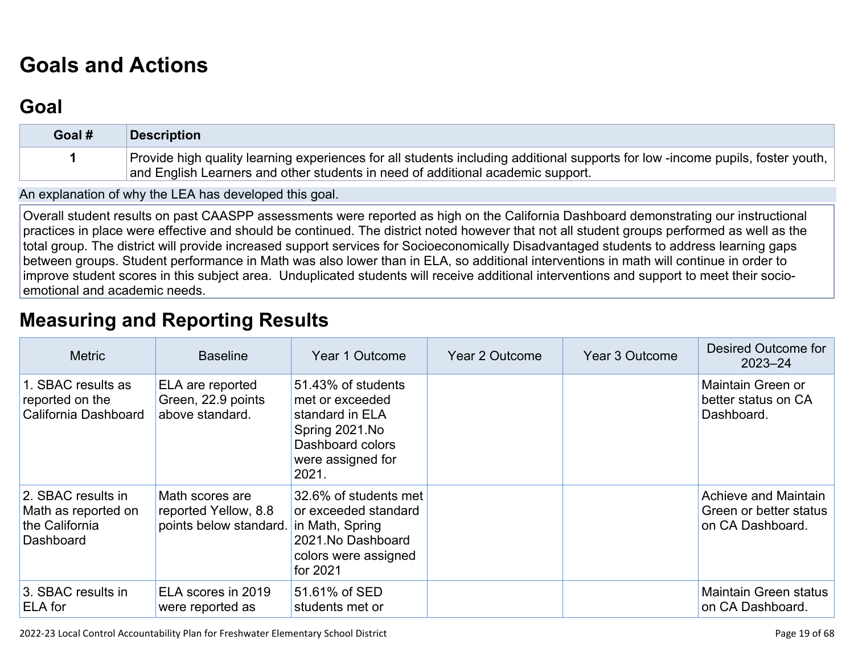# **[Goals and Actions](http://www.doc-tracking.com/screenshots/22LCAP/Instructions/22LCAPInstructions.htm#GoalsandActions)**

## **[Goal](http://www.doc-tracking.com/screenshots/22LCAP/Instructions/22LCAPInstructions.htm#goalDescription)**

| Goal # | <b>Description</b>                                                                                                                                                                                               |
|--------|------------------------------------------------------------------------------------------------------------------------------------------------------------------------------------------------------------------|
|        | Provide high quality learning experiences for all students including additional supports for low-income pupils, foster youth,<br>and English Learners and other students in need of additional academic support. |

An explanation of why the LEA has developed this goal.

Overall student results on past CAASPP assessments were reported as high on the California Dashboard demonstrating our instructional practices in place were effective and should be continued. The district noted however that not all student groups performed as well as the total group. The district will provide increased support services for Socioeconomically Disadvantaged students to address learning gaps between groups. Student performance in Math was also lower than in ELA, so additional interventions in math will continue in order to improve student scores in this subject area. Unduplicated students will receive additional interventions and support to meet their socioemotional and academic needs.

## **[Measuring and Reporting Results](http://www.doc-tracking.com/screenshots/22LCAP/Instructions/22LCAPInstructions.htm#MeasuringandReportingResults)**

| <b>Metric</b>                                                            | <b>Baseline</b>                                                                   | Year 1 Outcome                                                                                                               | <b>Year 2 Outcome</b> | <b>Year 3 Outcome</b> | Desired Outcome for<br>$2023 - 24$                                 |
|--------------------------------------------------------------------------|-----------------------------------------------------------------------------------|------------------------------------------------------------------------------------------------------------------------------|-----------------------|-----------------------|--------------------------------------------------------------------|
| 1. SBAC results as<br>reported on the<br>California Dashboard            | ELA are reported<br>Green, 22.9 points<br>above standard.                         | 51.43% of students<br>met or exceeded<br>standard in ELA<br>Spring 2021.No<br>Dashboard colors<br>were assigned for<br>2021. |                       |                       | Maintain Green or<br>better status on CA<br>Dashboard.             |
| 2. SBAC results in<br>Math as reported on<br>the California<br>Dashboard | Math scores are<br>reported Yellow, 8.8<br>points below standard. in Math, Spring | 32.6% of students met<br>or exceeded standard<br>2021. No Dashboard<br>colors were assigned<br>for 2021                      |                       |                       | Achieve and Maintain<br>Green or better status<br>on CA Dashboard. |
| 3. SBAC results in<br>ELA for                                            | ELA scores in 2019<br>were reported as                                            | 51.61% of SED<br>students met or                                                                                             |                       |                       | <b>Maintain Green status</b><br>on CA Dashboard.                   |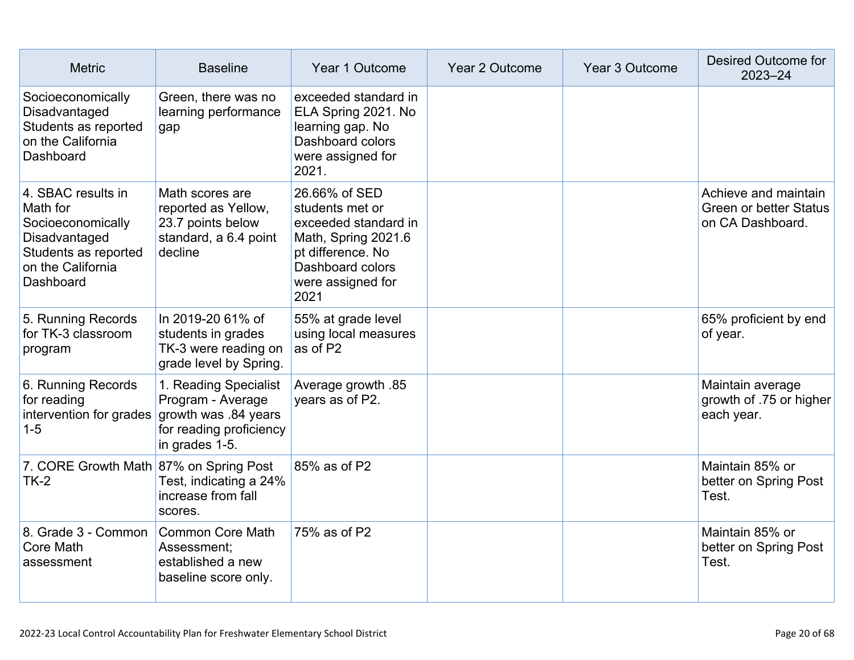| <b>Metric</b>                                                                                                                  | <b>Baseline</b>                                                                                                 | Year 1 Outcome                                                                                                                                        | Year 2 Outcome | Year 3 Outcome | <b>Desired Outcome for</b><br>$2023 - 24$                                 |
|--------------------------------------------------------------------------------------------------------------------------------|-----------------------------------------------------------------------------------------------------------------|-------------------------------------------------------------------------------------------------------------------------------------------------------|----------------|----------------|---------------------------------------------------------------------------|
| Socioeconomically<br>Disadvantaged<br>Students as reported<br>on the California<br>Dashboard                                   | Green, there was no<br>learning performance<br>gap                                                              | exceeded standard in<br>ELA Spring 2021. No<br>learning gap. No<br>Dashboard colors<br>were assigned for<br>2021.                                     |                |                |                                                                           |
| 4. SBAC results in<br>Math for<br>Socioeconomically<br>Disadvantaged<br>Students as reported<br>on the California<br>Dashboard | Math scores are<br>reported as Yellow,<br>23.7 points below<br>standard, a 6.4 point<br>decline                 | 26.66% of SED<br>students met or<br>exceeded standard in<br>Math, Spring 2021.6<br>pt difference. No<br>Dashboard colors<br>were assigned for<br>2021 |                |                | Achieve and maintain<br><b>Green or better Status</b><br>on CA Dashboard. |
| 5. Running Records<br>for TK-3 classroom<br>program                                                                            | In 2019-20 61% of<br>students in grades<br>TK-3 were reading on<br>grade level by Spring.                       | 55% at grade level<br>using local measures<br>as of P2                                                                                                |                |                | 65% proficient by end<br>of year.                                         |
| 6. Running Records<br>for reading<br>intervention for grades<br>$1 - 5$                                                        | 1. Reading Specialist<br>Program - Average<br>growth was .84 years<br>for reading proficiency<br>in grades 1-5. | Average growth .85<br>years as of P2.                                                                                                                 |                |                | Maintain average<br>growth of .75 or higher<br>each year.                 |
| 7. CORE Growth Math 87% on Spring Post<br>$TK-2$                                                                               | Test, indicating a 24%<br>increase from fall<br>scores.                                                         | 85% as of P2                                                                                                                                          |                |                | Maintain 85% or<br>better on Spring Post<br>Test.                         |
| 8. Grade 3 - Common<br>Core Math<br>assessment                                                                                 | <b>Common Core Math</b><br>Assessment;<br>established a new<br>baseline score only.                             | 75% as of P2                                                                                                                                          |                |                | Maintain 85% or<br>better on Spring Post<br>Test.                         |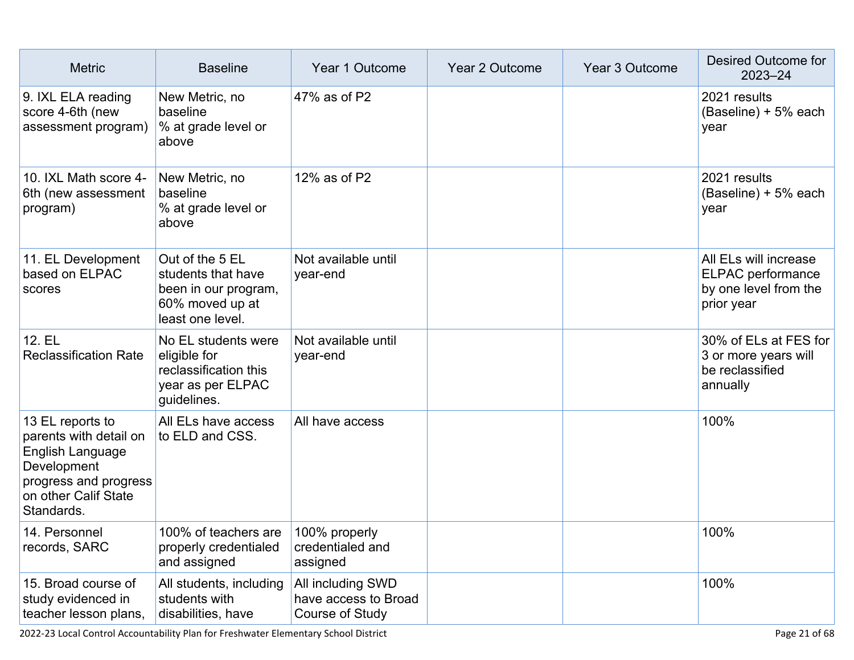| <b>Metric</b>                                                                                                                                | <b>Baseline</b>                                                                                      | Year 1 Outcome                                               | Year 2 Outcome | Year 3 Outcome | Desired Outcome for<br>$2023 - 24$                                                |
|----------------------------------------------------------------------------------------------------------------------------------------------|------------------------------------------------------------------------------------------------------|--------------------------------------------------------------|----------------|----------------|-----------------------------------------------------------------------------------|
| 9. IXL ELA reading<br>score 4-6th (new<br>assessment program)                                                                                | New Metric, no<br>baseline<br>% at grade level or<br>above                                           | 47% as of P2                                                 |                |                | 2021 results<br>(Baseline) + 5% each<br>year                                      |
| 10. IXL Math score 4-<br>6th (new assessment<br>program)                                                                                     | New Metric, no<br>baseline<br>% at grade level or<br>above                                           | 12% as of P2                                                 |                |                | 2021 results<br>(Baseline) + 5% each<br>year                                      |
| 11. EL Development<br>based on ELPAC<br>scores                                                                                               | Out of the 5 EL<br>students that have<br>been in our program,<br>60% moved up at<br>least one level. | Not available until<br>year-end                              |                |                | All ELs will increase<br>ELPAC performance<br>by one level from the<br>prior year |
| 12. EL<br><b>Reclassification Rate</b>                                                                                                       | No EL students were<br>eligible for<br>reclassification this<br>year as per ELPAC<br>guidelines.     | Not available until<br>year-end                              |                |                | 30% of ELs at FES for<br>3 or more years will<br>be reclassified<br>annually      |
| 13 EL reports to<br>parents with detail on<br>English Language<br>Development<br>progress and progress<br>on other Calif State<br>Standards. | All ELs have access<br>to ELD and CSS.                                                               | All have access                                              |                |                | 100%                                                                              |
| 14. Personnel<br>records, SARC                                                                                                               | 100% of teachers are 100% properly<br>properly credentialed<br>and assigned                          | credentialed and<br>assigned                                 |                |                | 100%                                                                              |
| 15. Broad course of<br>study evidenced in<br>teacher lesson plans,                                                                           | All students, including<br>students with<br>disabilities, have                                       | All including SWD<br>have access to Broad<br>Course of Study |                |                | 100%                                                                              |

2022-23 Local Control Accountability Plan for Freshwater Elementary School District Page 21 of 68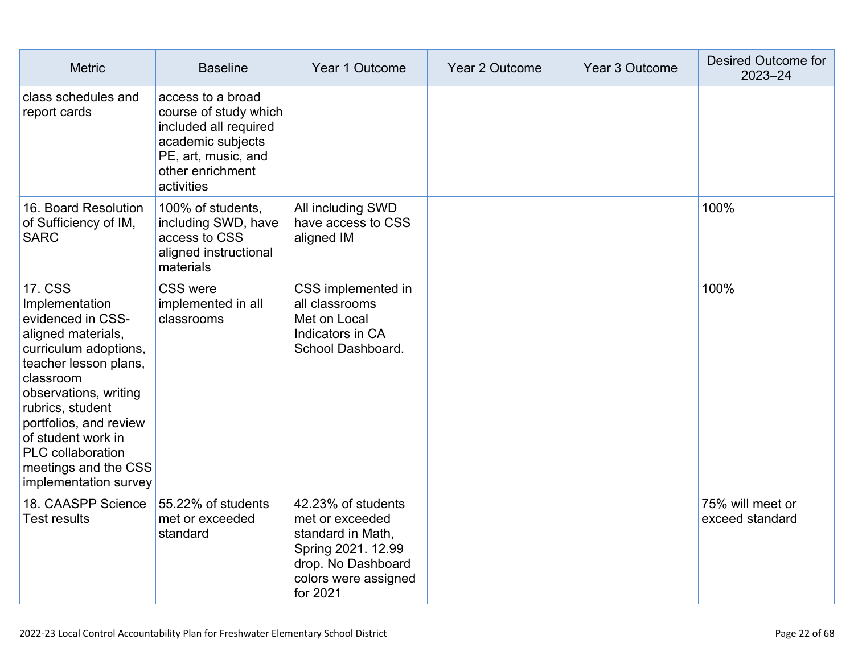| <b>Metric</b>                                                                                                                                                                                                                                                                                                        | <b>Baseline</b>                                                                                                                                   | Year 1 Outcome                                                                                                                             | Year 2 Outcome | Year 3 Outcome | Desired Outcome for<br>$2023 - 24$  |
|----------------------------------------------------------------------------------------------------------------------------------------------------------------------------------------------------------------------------------------------------------------------------------------------------------------------|---------------------------------------------------------------------------------------------------------------------------------------------------|--------------------------------------------------------------------------------------------------------------------------------------------|----------------|----------------|-------------------------------------|
| class schedules and<br>report cards                                                                                                                                                                                                                                                                                  | access to a broad<br>course of study which<br>included all required<br>academic subjects<br>PE, art, music, and<br>other enrichment<br>activities |                                                                                                                                            |                |                |                                     |
| 16. Board Resolution<br>of Sufficiency of IM,<br><b>SARC</b>                                                                                                                                                                                                                                                         | 100% of students,<br>including SWD, have<br>access to CSS<br>aligned instructional<br>materials                                                   | All including SWD<br>have access to CSS<br>aligned IM                                                                                      |                |                | 100%                                |
| <b>17. CSS</b><br>Implementation<br>evidenced in CSS-<br>aligned materials,<br>curriculum adoptions,<br>teacher lesson plans,<br>classroom<br>observations, writing<br>rubrics, student<br>portfolios, and review<br>of student work in<br><b>PLC</b> collaboration<br>meetings and the CSS<br>implementation survey | <b>CSS were</b><br>implemented in all<br>classrooms                                                                                               | CSS implemented in<br>all classrooms<br>Met on Local<br>Indicators in CA<br>School Dashboard.                                              |                |                | 100%                                |
| 18. CAASPP Science<br><b>Test results</b>                                                                                                                                                                                                                                                                            | 55.22% of students<br>met or exceeded<br>standard                                                                                                 | 42.23% of students<br>met or exceeded<br>standard in Math,<br>Spring 2021. 12.99<br>drop. No Dashboard<br>colors were assigned<br>for 2021 |                |                | 75% will meet or<br>exceed standard |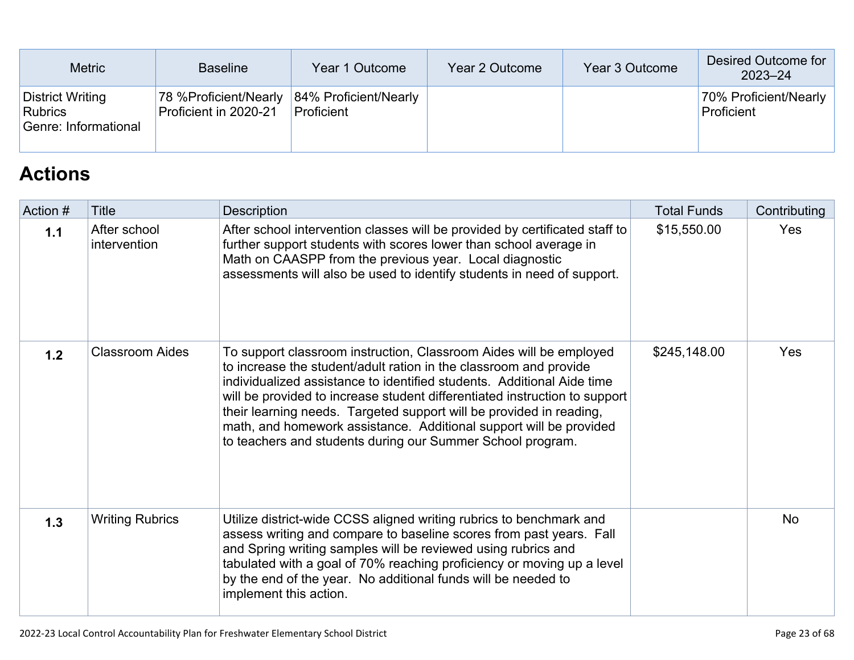| <b>Metric</b>                                       | <b>Baseline</b>                                 | Year 1 Outcome                      | Year 2 Outcome | Year 3 Outcome | Desired Outcome for<br>$2023 - 24$  |
|-----------------------------------------------------|-------------------------------------------------|-------------------------------------|----------------|----------------|-------------------------------------|
| District Writing<br>Rubrics<br>Genre: Informational | 78 % Proficient/Nearly<br>Proficient in 2020-21 | 84% Proficient/Nearly<br>Proficient |                |                | 70% Proficient/Nearly<br>Proficient |

## **[Actions](http://www.doc-tracking.com/screenshots/22LCAP/Instructions/22LCAPInstructions.htm#actions)**

| Action # | <b>Title</b>                 | Description                                                                                                                                                                                                                                                                                                                                                                                                                                                                                                | <b>Total Funds</b> | Contributing |
|----------|------------------------------|------------------------------------------------------------------------------------------------------------------------------------------------------------------------------------------------------------------------------------------------------------------------------------------------------------------------------------------------------------------------------------------------------------------------------------------------------------------------------------------------------------|--------------------|--------------|
| 1.1      | After school<br>intervention | After school intervention classes will be provided by certificated staff to<br>further support students with scores lower than school average in<br>Math on CAASPP from the previous year. Local diagnostic<br>assessments will also be used to identify students in need of support.                                                                                                                                                                                                                      | \$15,550.00        | <b>Yes</b>   |
| 1.2      | <b>Classroom Aides</b>       | To support classroom instruction, Classroom Aides will be employed<br>to increase the student/adult ration in the classroom and provide<br>individualized assistance to identified students. Additional Aide time<br>will be provided to increase student differentiated instruction to support<br>their learning needs. Targeted support will be provided in reading,<br>math, and homework assistance. Additional support will be provided<br>to teachers and students during our Summer School program. | \$245,148.00       | <b>Yes</b>   |
| 1.3      | <b>Writing Rubrics</b>       | Utilize district-wide CCSS aligned writing rubrics to benchmark and<br>assess writing and compare to baseline scores from past years. Fall<br>and Spring writing samples will be reviewed using rubrics and<br>tabulated with a goal of 70% reaching proficiency or moving up a level<br>by the end of the year. No additional funds will be needed to<br>implement this action.                                                                                                                           |                    | <b>No</b>    |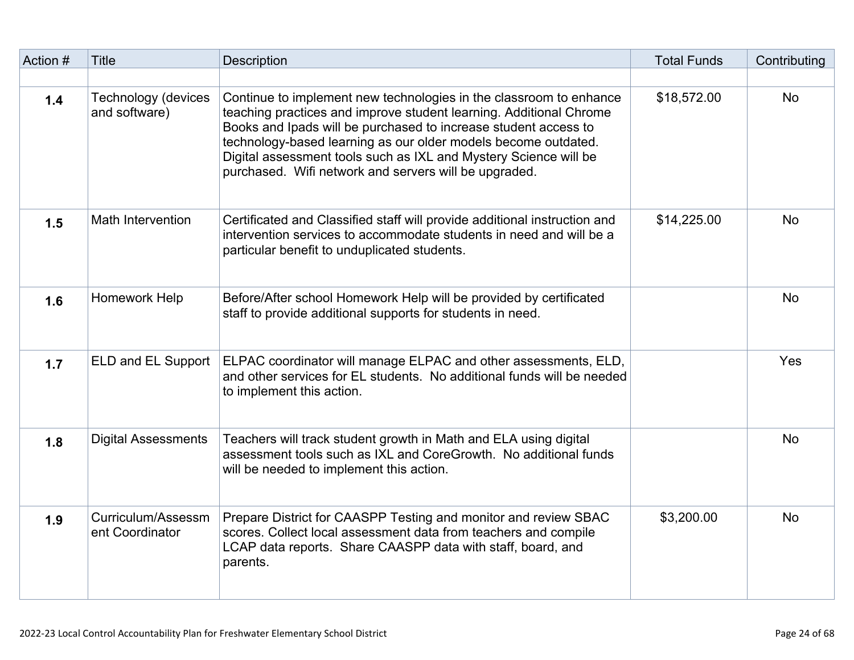| Action # | <b>Title</b>                                | <b>Description</b>                                                                                                                                                                                                                                                                                                                                                                                         | <b>Total Funds</b> | Contributing |
|----------|---------------------------------------------|------------------------------------------------------------------------------------------------------------------------------------------------------------------------------------------------------------------------------------------------------------------------------------------------------------------------------------------------------------------------------------------------------------|--------------------|--------------|
|          |                                             |                                                                                                                                                                                                                                                                                                                                                                                                            |                    |              |
| 1.4      | <b>Technology (devices</b><br>and software) | Continue to implement new technologies in the classroom to enhance<br>teaching practices and improve student learning. Additional Chrome<br>Books and Ipads will be purchased to increase student access to<br>technology-based learning as our older models become outdated.<br>Digital assessment tools such as IXL and Mystery Science will be<br>purchased. Wifi network and servers will be upgraded. | \$18,572.00        | <b>No</b>    |
| 1.5      | <b>Math Intervention</b>                    | Certificated and Classified staff will provide additional instruction and<br>intervention services to accommodate students in need and will be a<br>particular benefit to unduplicated students.                                                                                                                                                                                                           | \$14,225.00        | <b>No</b>    |
| 1.6      | Homework Help                               | Before/After school Homework Help will be provided by certificated<br>staff to provide additional supports for students in need.                                                                                                                                                                                                                                                                           |                    | <b>No</b>    |
| 1.7      | ELD and EL Support                          | ELPAC coordinator will manage ELPAC and other assessments, ELD,<br>and other services for EL students. No additional funds will be needed<br>to implement this action.                                                                                                                                                                                                                                     |                    | Yes          |
| 1.8      | <b>Digital Assessments</b>                  | Teachers will track student growth in Math and ELA using digital<br>assessment tools such as IXL and CoreGrowth. No additional funds<br>will be needed to implement this action.                                                                                                                                                                                                                           |                    | <b>No</b>    |
| 1.9      | Curriculum/Assessm<br>ent Coordinator       | Prepare District for CAASPP Testing and monitor and review SBAC<br>scores. Collect local assessment data from teachers and compile<br>LCAP data reports. Share CAASPP data with staff, board, and<br>parents.                                                                                                                                                                                              | \$3,200.00         | <b>No</b>    |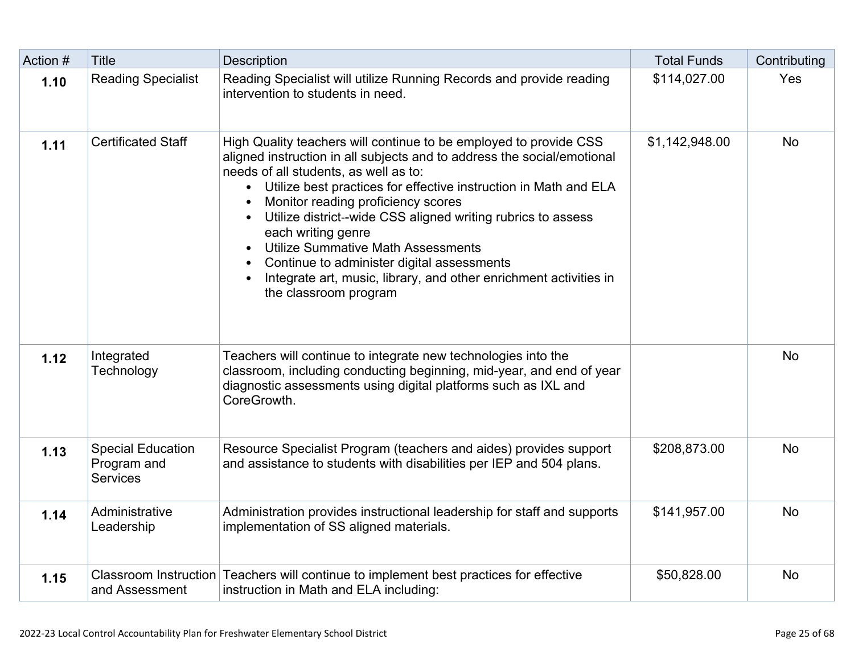| Action # | <b>Title</b>                                               | <b>Description</b>                                                                                                                                                                                                                                                                                                                                                                                                                                                                                                                                                               | <b>Total Funds</b> | Contributing |
|----------|------------------------------------------------------------|----------------------------------------------------------------------------------------------------------------------------------------------------------------------------------------------------------------------------------------------------------------------------------------------------------------------------------------------------------------------------------------------------------------------------------------------------------------------------------------------------------------------------------------------------------------------------------|--------------------|--------------|
| 1.10     | <b>Reading Specialist</b>                                  | Reading Specialist will utilize Running Records and provide reading<br>intervention to students in need.                                                                                                                                                                                                                                                                                                                                                                                                                                                                         | \$114,027.00       | Yes          |
| 1.11     | <b>Certificated Staff</b>                                  | High Quality teachers will continue to be employed to provide CSS<br>aligned instruction in all subjects and to address the social/emotional<br>needs of all students, as well as to:<br>• Utilize best practices for effective instruction in Math and ELA<br>Monitor reading proficiency scores<br>Utilize district--wide CSS aligned writing rubrics to assess<br>each writing genre<br><b>Utilize Summative Math Assessments</b><br>Continue to administer digital assessments<br>Integrate art, music, library, and other enrichment activities in<br>the classroom program | \$1,142,948.00     | <b>No</b>    |
| 1.12     | Integrated<br>Technology                                   | Teachers will continue to integrate new technologies into the<br>classroom, including conducting beginning, mid-year, and end of year<br>diagnostic assessments using digital platforms such as IXL and<br>CoreGrowth.                                                                                                                                                                                                                                                                                                                                                           |                    | <b>No</b>    |
| 1.13     | <b>Special Education</b><br>Program and<br><b>Services</b> | Resource Specialist Program (teachers and aides) provides support<br>and assistance to students with disabilities per IEP and 504 plans.                                                                                                                                                                                                                                                                                                                                                                                                                                         | \$208,873.00       | <b>No</b>    |
| 1.14     | Administrative<br>Leadership                               | Administration provides instructional leadership for staff and supports<br>implementation of SS aligned materials.                                                                                                                                                                                                                                                                                                                                                                                                                                                               | \$141,957.00       | <b>No</b>    |
| 1.15     | and Assessment                                             | Classroom Instruction Teachers will continue to implement best practices for effective<br>instruction in Math and ELA including:                                                                                                                                                                                                                                                                                                                                                                                                                                                 | \$50,828.00        | <b>No</b>    |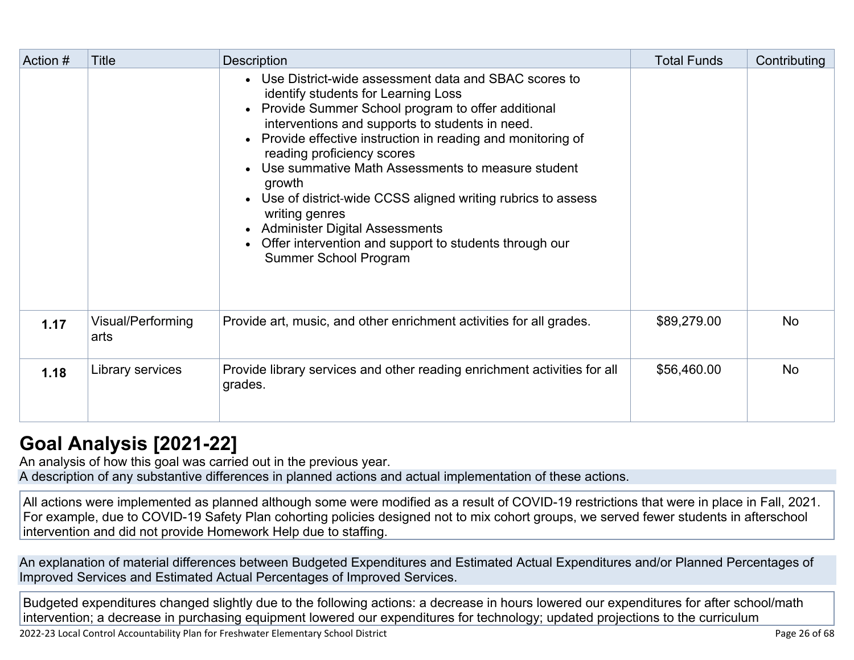| Action # | Title                     | <b>Description</b>                                                                                                                                                                                                                                                                                                                                                                                                                                                                                                                                                                 | <b>Total Funds</b> | Contributing |
|----------|---------------------------|------------------------------------------------------------------------------------------------------------------------------------------------------------------------------------------------------------------------------------------------------------------------------------------------------------------------------------------------------------------------------------------------------------------------------------------------------------------------------------------------------------------------------------------------------------------------------------|--------------------|--------------|
|          |                           | • Use District-wide assessment data and SBAC scores to<br>identify students for Learning Loss<br>• Provide Summer School program to offer additional<br>interventions and supports to students in need.<br>• Provide effective instruction in reading and monitoring of<br>reading proficiency scores<br>• Use summative Math Assessments to measure student<br>growth<br>• Use of district-wide CCSS aligned writing rubrics to assess<br>writing genres<br>• Administer Digital Assessments<br>• Offer intervention and support to students through our<br>Summer School Program |                    |              |
| 1.17     | Visual/Performing<br>arts | Provide art, music, and other enrichment activities for all grades.                                                                                                                                                                                                                                                                                                                                                                                                                                                                                                                | \$89,279.00        | <b>No</b>    |
| 1.18     | Library services          | Provide library services and other reading enrichment activities for all<br>grades.                                                                                                                                                                                                                                                                                                                                                                                                                                                                                                | \$56,460.00        | <b>No</b>    |

## **[Goal Analysis \[2021-22\]](http://www.doc-tracking.com/screenshots/22LCAP/Instructions/22LCAPInstructions.htm#GoalAnalysis)**

An analysis of how this goal was carried out in the previous year.

A description of any substantive differences in planned actions and actual implementation of these actions.

All actions were implemented as planned although some were modified as a result of COVID-19 restrictions that were in place in Fall, 2021. For example, due to COVID-19 Safety Plan cohorting policies designed not to mix cohort groups, we served fewer students in afterschool intervention and did not provide Homework Help due to staffing.

An explanation of material differences between Budgeted Expenditures and Estimated Actual Expenditures and/or Planned Percentages of Improved Services and Estimated Actual Percentages of Improved Services.

Budgeted expenditures changed slightly due to the following actions: a decrease in hours lowered our expenditures for after school/math intervention; a decrease in purchasing equipment lowered our expenditures for technology; updated projections to the curriculum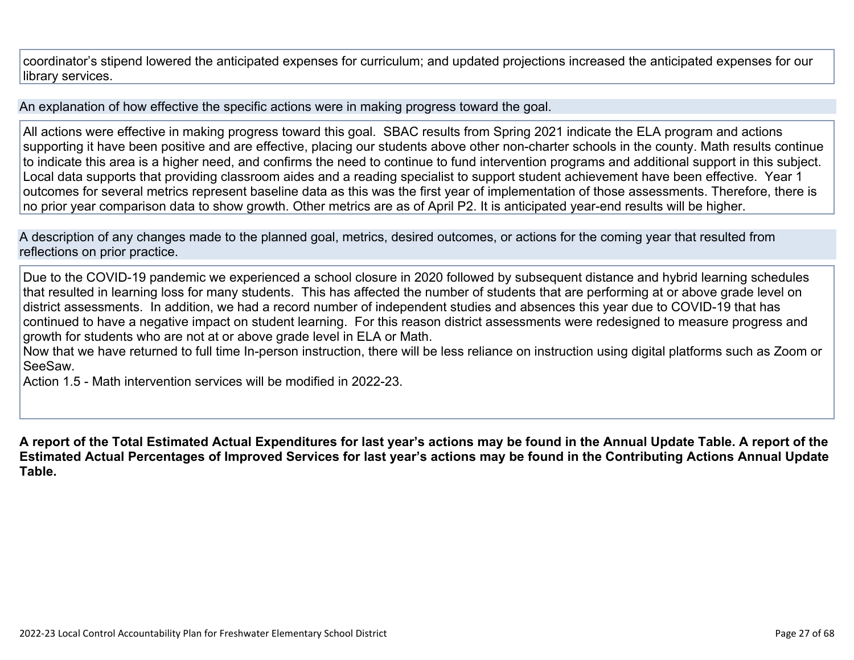coordinator's stipend lowered the anticipated expenses for curriculum; and updated projections increased the anticipated expenses for our library services.

An explanation of how effective the specific actions were in making progress toward the goal.

All actions were effective in making progress toward this goal. SBAC results from Spring 2021 indicate the ELA program and actions supporting it have been positive and are effective, placing our students above other non-charter schools in the county. Math results continue to indicate this area is a higher need, and confirms the need to continue to fund intervention programs and additional support in this subject. Local data supports that providing classroom aides and a reading specialist to support student achievement have been effective. Year 1 outcomes for several metrics represent baseline data as this was the first year of implementation of those assessments. Therefore, there is no prior year comparison data to show growth. Other metrics are as of April P2. It is anticipated year-end results will be higher.

A description of any changes made to the planned goal, metrics, desired outcomes, or actions for the coming year that resulted from reflections on prior practice.

Due to the COVID-19 pandemic we experienced a school closure in 2020 followed by subsequent distance and hybrid learning schedules that resulted in learning loss for many students. This has affected the number of students that are performing at or above grade level on district assessments. In addition, we had a record number of independent studies and absences this year due to COVID-19 that has continued to have a negative impact on student learning. For this reason district assessments were redesigned to measure progress and growth for students who are not at or above grade level in ELA or Math.

Now that we have returned to full time In-person instruction, there will be less reliance on instruction using digital platforms such as Zoom or SeeSaw.

Action 1.5 - Math intervention services will be modified in 2022-23.

**A report of the Total Estimated Actual Expenditures for last year's actions may be found in the Annual Update Table. A report of the Estimated Actual Percentages of Improved Services for last year's actions may be found in the Contributing Actions Annual Update Table.**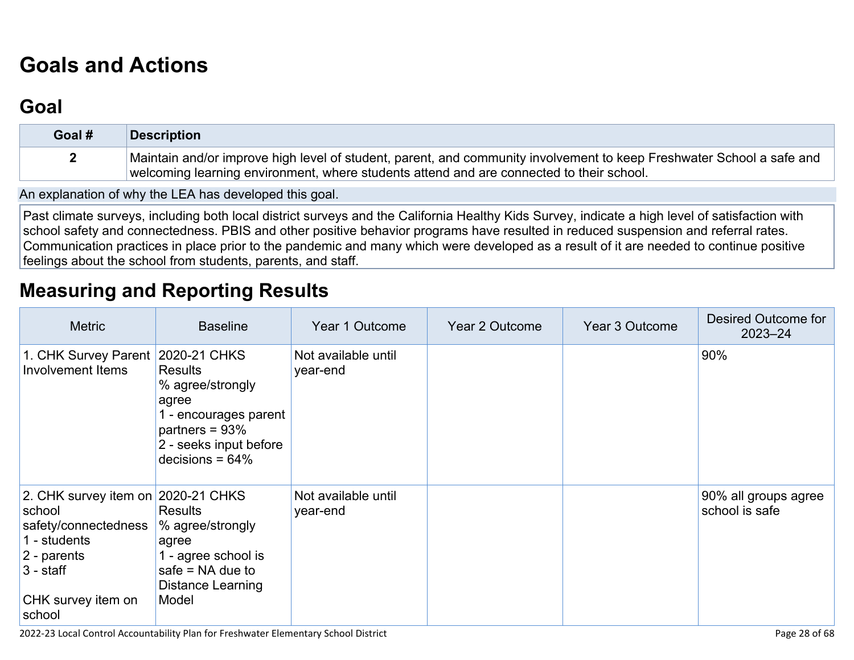# **[Goals and Actions](http://www.doc-tracking.com/screenshots/22LCAP/Instructions/22LCAPInstructions.htm#GoalsandActions)**

## **[Goal](http://www.doc-tracking.com/screenshots/22LCAP/Instructions/22LCAPInstructions.htm#goalDescription)**

| Goal # | <b>Description</b>                                                                                                                                                                                                |
|--------|-------------------------------------------------------------------------------------------------------------------------------------------------------------------------------------------------------------------|
|        | Maintain and/or improve high level of student, parent, and community involvement to keep Freshwater School a safe and<br>welcoming learning environment, where students attend and are connected to their school. |

An explanation of why the LEA has developed this goal.

Past climate surveys, including both local district surveys and the California Healthy Kids Survey, indicate a high level of satisfaction with school safety and connectedness. PBIS and other positive behavior programs have resulted in reduced suspension and referral rates. Communication practices in place prior to the pandemic and many which were developed as a result of it are needed to continue positive feelings about the school from students, parents, and staff.

## **[Measuring and Reporting Results](http://www.doc-tracking.com/screenshots/22LCAP/Instructions/22LCAPInstructions.htm#MeasuringandReportingResults)**

| <b>Metric</b>                                                                                                                                      | <b>Baseline</b>                                                                                                                          | Year 1 Outcome                  | Year 2 Outcome | Year 3 Outcome | Desired Outcome for<br>$2023 - 24$     |
|----------------------------------------------------------------------------------------------------------------------------------------------------|------------------------------------------------------------------------------------------------------------------------------------------|---------------------------------|----------------|----------------|----------------------------------------|
| 1. CHK Survey Parent   2020-21 CHKS<br><b>Involvement Items</b>                                                                                    | <b>Results</b><br>% agree/strongly<br>agree<br>1 - encourages parent<br>partners = $93%$<br>2 - seeks input before<br>decisions = $64\%$ | Not available until<br>year-end |                |                | 90%                                    |
| 2. CHK survey item on 2020-21 CHKS<br>school<br>safety/connectedness<br>1 - students<br>2 - parents<br>$3 - start$<br>CHK survey item on<br>school | <b>Results</b><br>% agree/strongly<br>agree<br>1 - agree school is<br>safe $=$ NA due to<br>Distance Learning<br>Model                   | Not available until<br>year-end |                |                | 90% all groups agree<br>school is safe |

2022-23 Local Control Accountability Plan for Freshwater Elementary School District **Page 28 of 68** and the state of 68 of 68 of 68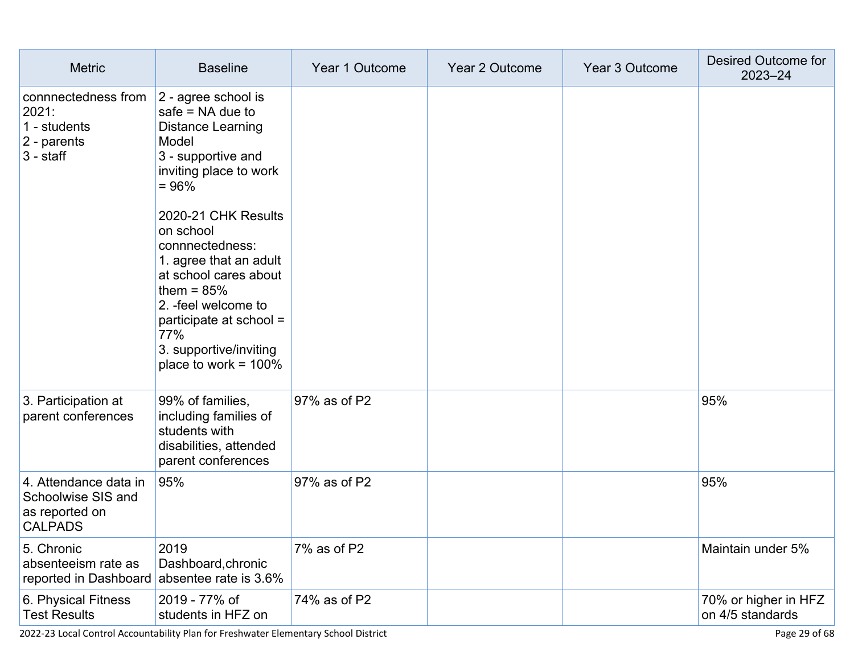| <b>Metric</b>                                                                   | <b>Baseline</b>                                                                                                                                                                                                                                                                                                                                                                   | Year 1 Outcome | Year 2 Outcome | Year 3 Outcome | Desired Outcome for<br>2023-24           |
|---------------------------------------------------------------------------------|-----------------------------------------------------------------------------------------------------------------------------------------------------------------------------------------------------------------------------------------------------------------------------------------------------------------------------------------------------------------------------------|----------------|----------------|----------------|------------------------------------------|
| connnectedness from<br>2021:<br>1 - students<br>2 - parents<br>$3 - start$      | 2 - agree school is<br>safe $=$ NA due to<br><b>Distance Learning</b><br>Model<br>3 - supportive and<br>inviting place to work<br>$= 96%$<br>2020-21 CHK Results<br>on school<br>connnectedness:<br>1. agree that an adult<br>at school cares about<br>them = $85%$<br>2. -feel welcome to<br>participate at school =<br>77%<br>3. supportive/inviting<br>place to work = $100\%$ |                |                |                |                                          |
| 3. Participation at<br>parent conferences                                       | 99% of families,<br>including families of<br>students with<br>disabilities, attended<br>parent conferences                                                                                                                                                                                                                                                                        | 97% as of P2   |                |                | 95%                                      |
| 4. Attendance data in<br>Schoolwise SIS and<br>as reported on<br><b>CALPADS</b> | 95%                                                                                                                                                                                                                                                                                                                                                                               | 97% as of P2   |                |                | 95%                                      |
| 5. Chronic<br>absenteeism rate as<br>reported in Dashboard                      | 2019<br>Dashboard, chronic<br>absentee rate is 3.6%                                                                                                                                                                                                                                                                                                                               | 7% as of P2    |                |                | Maintain under 5%                        |
| 6. Physical Fitness<br><b>Test Results</b>                                      | 2019 - 77% of<br>students in HFZ on                                                                                                                                                                                                                                                                                                                                               | 74% as of P2   |                |                | 70% or higher in HFZ<br>on 4/5 standards |

2022-23 Local Control Accountability Plan for Freshwater Elementary School District Page 29 of 68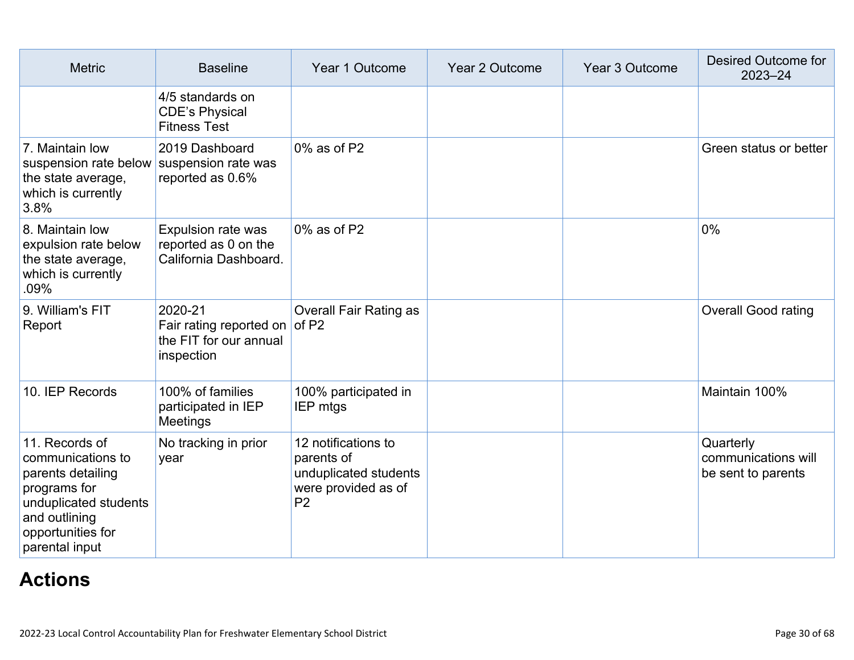| <b>Metric</b>                                                                                                                                             | <b>Baseline</b>                                                                  | Year 1 Outcome                                                                                      | Year 2 Outcome | Year 3 Outcome | <b>Desired Outcome for</b><br>2023-24                  |
|-----------------------------------------------------------------------------------------------------------------------------------------------------------|----------------------------------------------------------------------------------|-----------------------------------------------------------------------------------------------------|----------------|----------------|--------------------------------------------------------|
|                                                                                                                                                           | 4/5 standards on<br><b>CDE's Physical</b><br><b>Fitness Test</b>                 |                                                                                                     |                |                |                                                        |
| 7. Maintain low<br>suspension rate below<br>the state average,<br>which is currently<br>3.8%                                                              | 2019 Dashboard<br>suspension rate was<br>reported as 0.6%                        | 0% as of P2                                                                                         |                |                | Green status or better                                 |
| 8. Maintain low<br>expulsion rate below<br>the state average,<br>which is currently<br>.09%                                                               | Expulsion rate was<br>reported as 0 on the<br>California Dashboard.              | $0\%$ as of P2                                                                                      |                |                | $0\%$                                                  |
| 9. William's FIT<br>Report                                                                                                                                | 2020-21<br>Fair rating reported on of P2<br>the FIT for our annual<br>inspection | <b>Overall Fair Rating as</b>                                                                       |                |                | <b>Overall Good rating</b>                             |
| 10. IEP Records                                                                                                                                           | 100% of families<br>participated in IEP<br>Meetings                              | 100% participated in<br><b>IEP mtgs</b>                                                             |                |                | Maintain 100%                                          |
| 11. Records of<br>communications to<br>parents detailing<br>programs for<br>unduplicated students<br>and outlining<br>opportunities for<br>parental input | No tracking in prior<br>year                                                     | 12 notifications to<br>parents of<br>unduplicated students<br>were provided as of<br>P <sub>2</sub> |                |                | Quarterly<br>communications will<br>be sent to parents |

## **[Actions](http://www.doc-tracking.com/screenshots/22LCAP/Instructions/22LCAPInstructions.htm#actions)**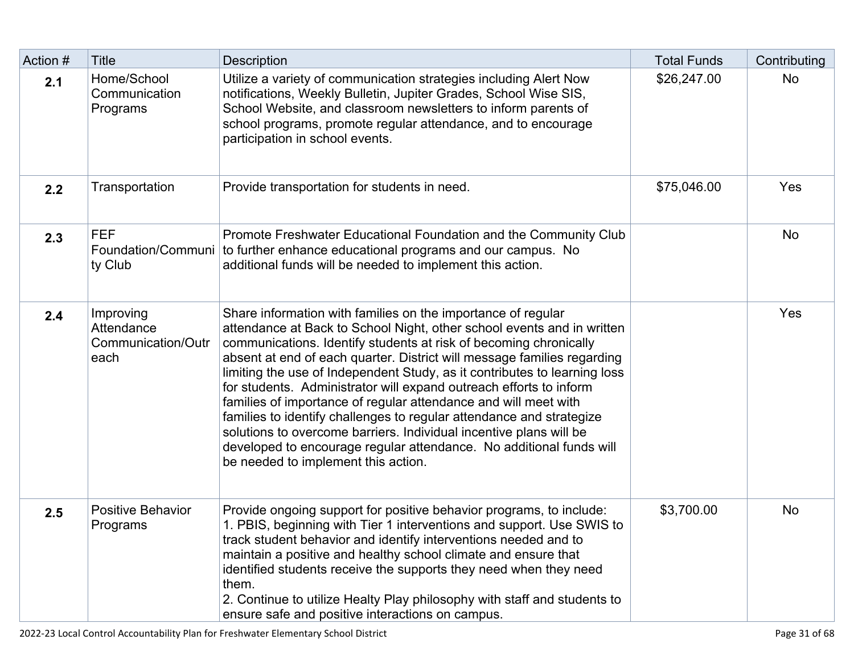| Action # | <b>Title</b>                                          | <b>Description</b>                                                                                                                                                                                                                                                                                                                                                                                                                                                                                                                                                                                                                                                                                                                                                       | <b>Total Funds</b> | Contributing |
|----------|-------------------------------------------------------|--------------------------------------------------------------------------------------------------------------------------------------------------------------------------------------------------------------------------------------------------------------------------------------------------------------------------------------------------------------------------------------------------------------------------------------------------------------------------------------------------------------------------------------------------------------------------------------------------------------------------------------------------------------------------------------------------------------------------------------------------------------------------|--------------------|--------------|
| 2.1      | Home/School<br>Communication<br>Programs              | Utilize a variety of communication strategies including Alert Now<br>notifications, Weekly Bulletin, Jupiter Grades, School Wise SIS,<br>School Website, and classroom newsletters to inform parents of<br>school programs, promote regular attendance, and to encourage<br>participation in school events.                                                                                                                                                                                                                                                                                                                                                                                                                                                              | \$26,247.00        | <b>No</b>    |
| 2.2      | Transportation                                        | Provide transportation for students in need.                                                                                                                                                                                                                                                                                                                                                                                                                                                                                                                                                                                                                                                                                                                             | \$75,046.00        | Yes          |
| 2.3      | <b>FEF</b><br>Foundation/Communi<br>ty Club           | Promote Freshwater Educational Foundation and the Community Club<br>to further enhance educational programs and our campus. No<br>additional funds will be needed to implement this action.                                                                                                                                                                                                                                                                                                                                                                                                                                                                                                                                                                              |                    | <b>No</b>    |
| 2.4      | Improving<br>Attendance<br>Communication/Outr<br>each | Share information with families on the importance of regular<br>attendance at Back to School Night, other school events and in written<br>communications. Identify students at risk of becoming chronically<br>absent at end of each quarter. District will message families regarding<br>limiting the use of Independent Study, as it contributes to learning loss<br>for students. Administrator will expand outreach efforts to inform<br>families of importance of regular attendance and will meet with<br>families to identify challenges to regular attendance and strategize<br>solutions to overcome barriers. Individual incentive plans will be<br>developed to encourage regular attendance. No additional funds will<br>be needed to implement this action. |                    | Yes          |
| 2.5      | <b>Positive Behavior</b><br>Programs                  | Provide ongoing support for positive behavior programs, to include:<br>1. PBIS, beginning with Tier 1 interventions and support. Use SWIS to<br>track student behavior and identify interventions needed and to<br>maintain a positive and healthy school climate and ensure that<br>identified students receive the supports they need when they need<br>them.<br>2. Continue to utilize Healty Play philosophy with staff and students to<br>ensure safe and positive interactions on campus.                                                                                                                                                                                                                                                                          | \$3,700.00         | <b>No</b>    |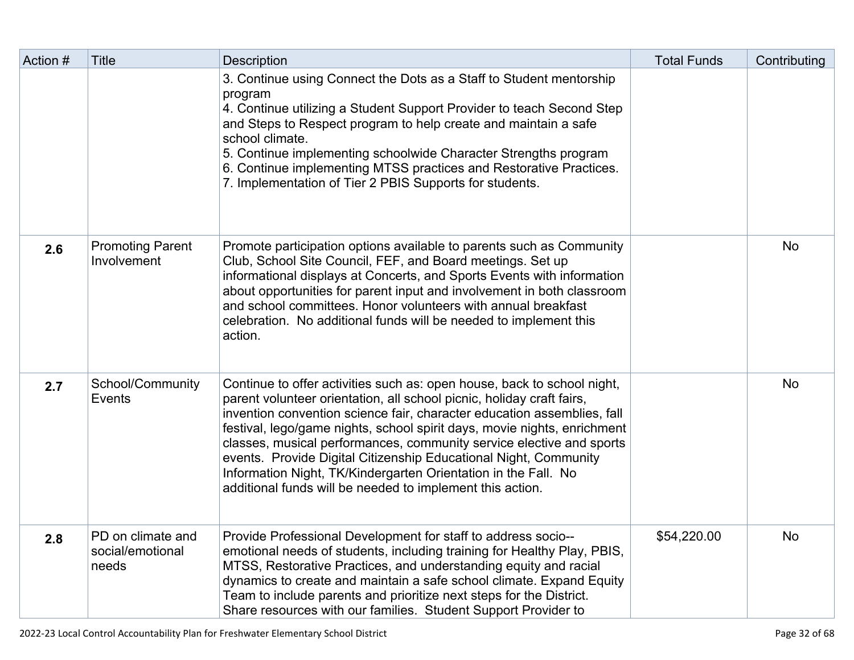| Action # | <b>Title</b>                                   | Description                                                                                                                                                                                                                                                                                                                                                                                                                                                                                                                                                                        | <b>Total Funds</b> | Contributing |
|----------|------------------------------------------------|------------------------------------------------------------------------------------------------------------------------------------------------------------------------------------------------------------------------------------------------------------------------------------------------------------------------------------------------------------------------------------------------------------------------------------------------------------------------------------------------------------------------------------------------------------------------------------|--------------------|--------------|
|          |                                                | 3. Continue using Connect the Dots as a Staff to Student mentorship<br>program<br>4. Continue utilizing a Student Support Provider to teach Second Step<br>and Steps to Respect program to help create and maintain a safe<br>school climate.<br>5. Continue implementing schoolwide Character Strengths program<br>6. Continue implementing MTSS practices and Restorative Practices.<br>7. Implementation of Tier 2 PBIS Supports for students.                                                                                                                                  |                    |              |
| 2.6      | <b>Promoting Parent</b><br>Involvement         | Promote participation options available to parents such as Community<br>Club, School Site Council, FEF, and Board meetings. Set up<br>informational displays at Concerts, and Sports Events with information<br>about opportunities for parent input and involvement in both classroom<br>and school committees. Honor volunteers with annual breakfast<br>celebration. No additional funds will be needed to implement this<br>action.                                                                                                                                            |                    | <b>No</b>    |
| 2.7      | School/Community<br>Events                     | Continue to offer activities such as: open house, back to school night,<br>parent volunteer orientation, all school picnic, holiday craft fairs,<br>invention convention science fair, character education assemblies, fall<br>festival, lego/game nights, school spirit days, movie nights, enrichment<br>classes, musical performances, community service elective and sports<br>events. Provide Digital Citizenship Educational Night, Community<br>Information Night, TK/Kindergarten Orientation in the Fall. No<br>additional funds will be needed to implement this action. |                    | No           |
| 2.8      | PD on climate and<br>social/emotional<br>needs | Provide Professional Development for staff to address socio--<br>emotional needs of students, including training for Healthy Play, PBIS,<br>MTSS, Restorative Practices, and understanding equity and racial<br>dynamics to create and maintain a safe school climate. Expand Equity<br>Team to include parents and prioritize next steps for the District.<br>Share resources with our families. Student Support Provider to                                                                                                                                                      | \$54,220.00        | No.          |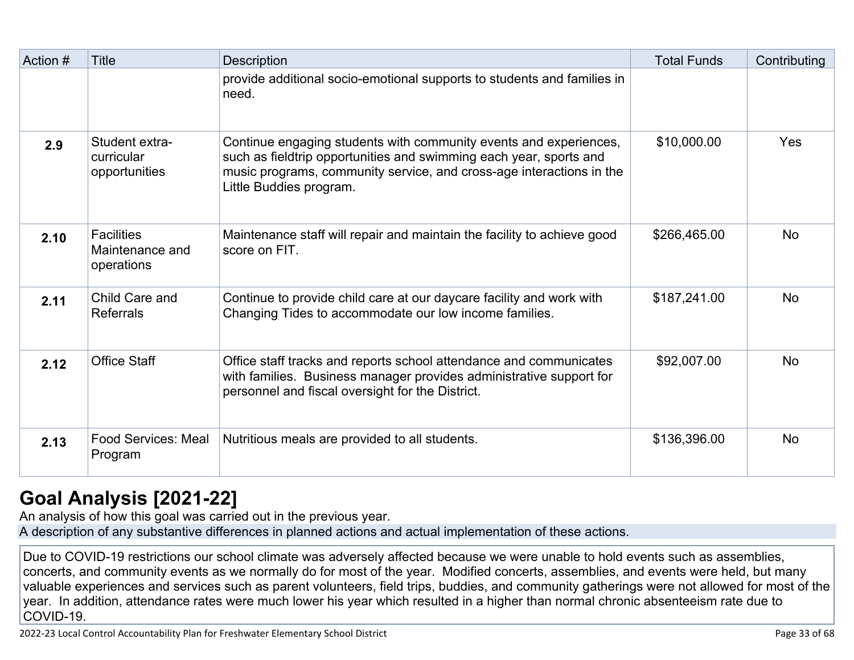| Action # | <b>Title</b>                                       | Description                                                                                                                                                                                                                                | <b>Total Funds</b> | Contributing |
|----------|----------------------------------------------------|--------------------------------------------------------------------------------------------------------------------------------------------------------------------------------------------------------------------------------------------|--------------------|--------------|
|          |                                                    | provide additional socio-emotional supports to students and families in<br>need.                                                                                                                                                           |                    |              |
| 2.9      | Student extra-<br>curricular<br>opportunities      | Continue engaging students with community events and experiences,<br>such as fieldtrip opportunities and swimming each year, sports and<br>music programs, community service, and cross-age interactions in the<br>Little Buddies program. | \$10,000.00        | Yes          |
| 2.10     | <b>Facilities</b><br>Maintenance and<br>operations | Maintenance staff will repair and maintain the facility to achieve good<br>score on FIT.                                                                                                                                                   | \$266,465.00       | <b>No</b>    |
| 2.11     | Child Care and<br><b>Referrals</b>                 | Continue to provide child care at our daycare facility and work with<br>Changing Tides to accommodate our low income families.                                                                                                             | \$187,241.00       | <b>No</b>    |
| 2.12     | <b>Office Staff</b>                                | Office staff tracks and reports school attendance and communicates<br>with families. Business manager provides administrative support for<br>personnel and fiscal oversight for the District.                                              | \$92,007.00        | <b>No</b>    |
| 2.13     | <b>Food Services: Meal</b><br>Program              | Nutritious meals are provided to all students.                                                                                                                                                                                             | \$136,396.00       | <b>No</b>    |

## **[Goal Analysis \[2021-22\]](http://www.doc-tracking.com/screenshots/22LCAP/Instructions/22LCAPInstructions.htm#GoalAnalysis)**

An analysis of how this goal was carried out in the previous year. A description of any substantive differences in planned actions and actual implementation of these actions.

Due to COVID-19 restrictions our school climate was adversely affected because we were unable to hold events such as assemblies, concerts, and community events as we normally do for most of the year. Modified concerts, assemblies, and events were held, but many valuable experiences and services such as parent volunteers, field trips, buddies, and community gatherings were not allowed for most of the year. In addition, attendance rates were much lower his year which resulted in a higher than normal chronic absenteeism rate due to COVID-19.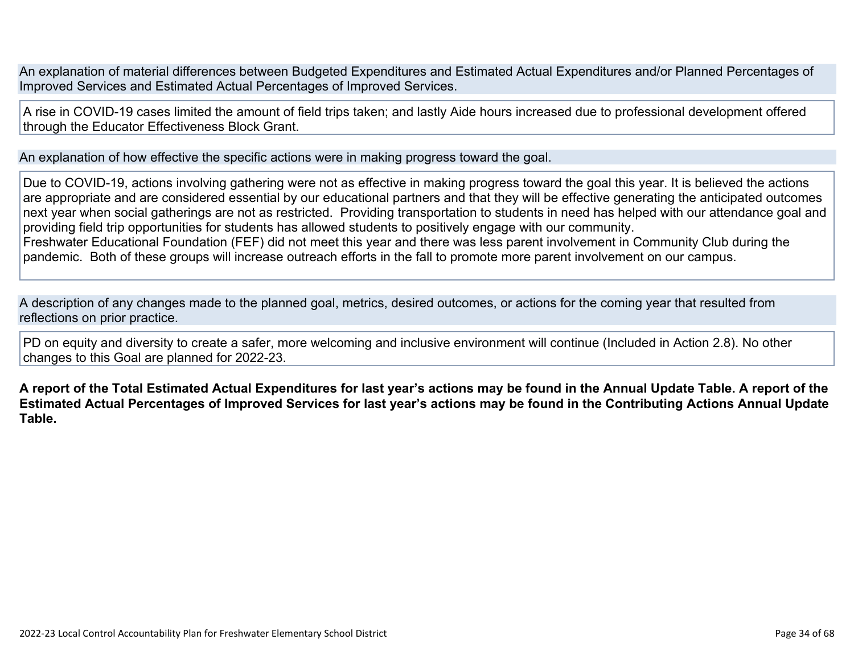An explanation of material differences between Budgeted Expenditures and Estimated Actual Expenditures and/or Planned Percentages of Improved Services and Estimated Actual Percentages of Improved Services.

A rise in COVID-19 cases limited the amount of field trips taken; and lastly Aide hours increased due to professional development offered through the Educator Effectiveness Block Grant.

An explanation of how effective the specific actions were in making progress toward the goal.

Due to COVID-19, actions involving gathering were not as effective in making progress toward the goal this year. It is believed the actions are appropriate and are considered essential by our educational partners and that they will be effective generating the anticipated outcomes next year when social gatherings are not as restricted. Providing transportation to students in need has helped with our attendance goal and providing field trip opportunities for students has allowed students to positively engage with our community. Freshwater Educational Foundation (FEF) did not meet this year and there was less parent involvement in Community Club during the pandemic. Both of these groups will increase outreach efforts in the fall to promote more parent involvement on our campus.

A description of any changes made to the planned goal, metrics, desired outcomes, or actions for the coming year that resulted from reflections on prior practice.

PD on equity and diversity to create a safer, more welcoming and inclusive environment will continue (Included in Action 2.8). No other changes to this Goal are planned for 2022-23.

**A report of the Total Estimated Actual Expenditures for last year's actions may be found in the Annual Update Table. A report of the Estimated Actual Percentages of Improved Services for last year's actions may be found in the Contributing Actions Annual Update Table.**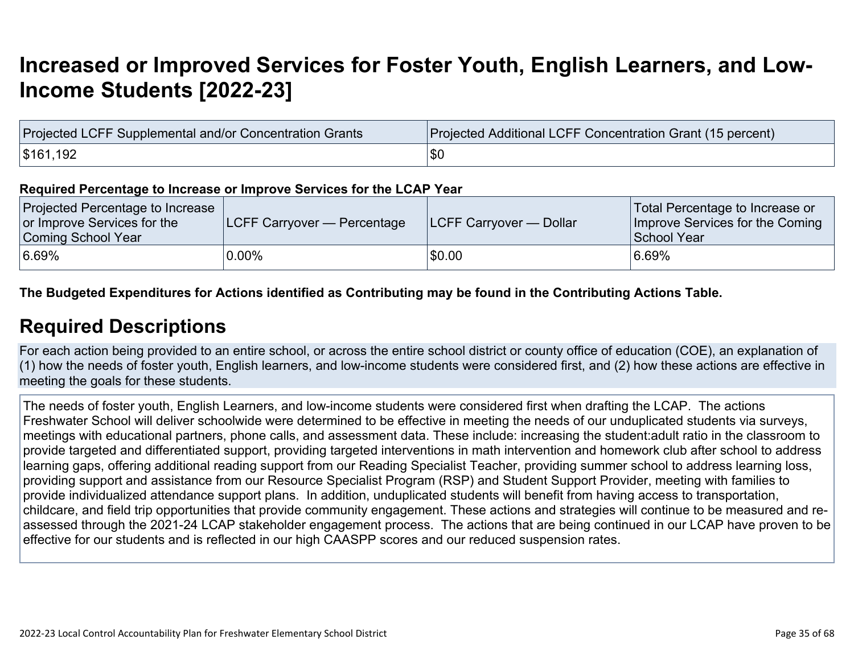## **[Increased or Improved Services for Foster Youth, English Learners, and Low-](http://www.doc-tracking.com/screenshots/22LCAP/Instructions/22LCAPInstructions.htm#IncreasedImprovedServices)[Income Students \[2022-23\]](http://www.doc-tracking.com/screenshots/22LCAP/Instructions/22LCAPInstructions.htm#IncreasedImprovedServices)**

| Projected LCFF Supplemental and/or Concentration Grants | Projected Additional LCFF Concentration Grant (15 percent) |  |  |  |
|---------------------------------------------------------|------------------------------------------------------------|--|--|--|
| \$161,192                                               | \$C                                                        |  |  |  |

#### **Required Percentage to Increase or Improve Services for the LCAP Year**

| Projected Percentage to Increase<br>or Improve Services for the<br>Coming School Year | <b>LCFF Carryover — Percentage</b> | <b>ILCFF Carryover — Dollar</b> | Total Percentage to Increase or<br>Improve Services for the Coming<br>School Year |
|---------------------------------------------------------------------------------------|------------------------------------|---------------------------------|-----------------------------------------------------------------------------------|
| 6.69%                                                                                 | $0.00\%$                           | \$0.00                          | 6.69%                                                                             |

#### **The Budgeted Expenditures for Actions identified as Contributing may be found in the Contributing Actions Table.**

### **[Required Descriptions](http://www.doc-tracking.com/screenshots/22LCAP/Instructions/22LCAPInstructions.htm#RequiredDescriptions)**

For each action being provided to an entire school, or across the entire school district or county office of education (COE), an explanation of (1) how the needs of foster youth, English learners, and low-income students were considered first, and (2) how these actions are effective in meeting the goals for these students.

The needs of foster youth, English Learners, and low-income students were considered first when drafting the LCAP. The actions Freshwater School will deliver schoolwide were determined to be effective in meeting the needs of our unduplicated students via surveys, meetings with educational partners, phone calls, and assessment data. These include: increasing the student:adult ratio in the classroom to provide targeted and differentiated support, providing targeted interventions in math intervention and homework club after school to address learning gaps, offering additional reading support from our Reading Specialist Teacher, providing summer school to address learning loss, providing support and assistance from our Resource Specialist Program (RSP) and Student Support Provider, meeting with families to provide individualized attendance support plans. In addition, unduplicated students will benefit from having access to transportation, childcare, and field trip opportunities that provide community engagement. These actions and strategies will continue to be measured and reassessed through the 2021-24 LCAP stakeholder engagement process. The actions that are being continued in our LCAP have proven to be effective for our students and is reflected in our high CAASPP scores and our reduced suspension rates.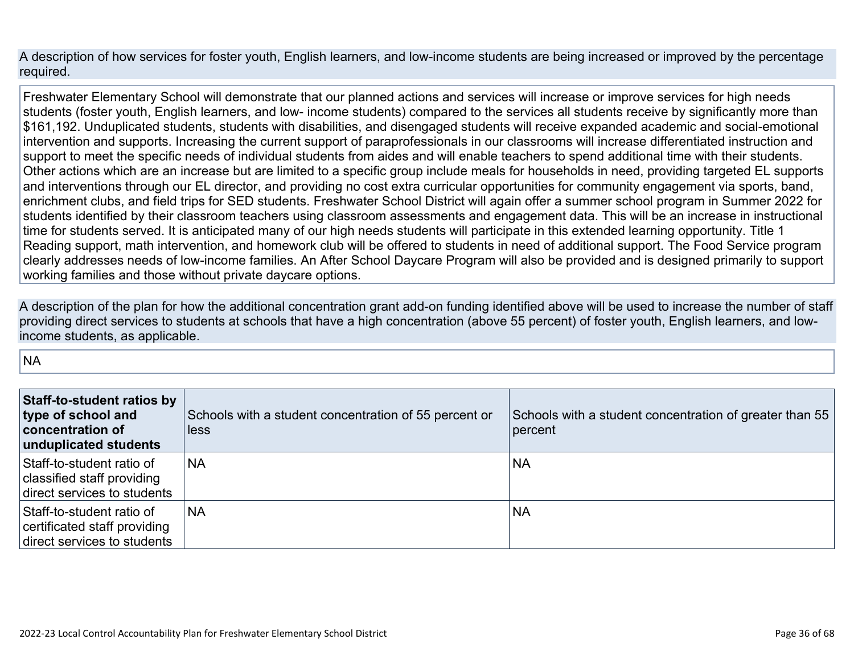A description of how services for foster youth, English learners, and low-income students are being increased or improved by the percentage required.

Freshwater Elementary School will demonstrate that our planned actions and services will increase or improve services for high needs students (foster youth, English learners, and low- income students) compared to the services all students receive by significantly more than \$161,192. Unduplicated students, students with disabilities, and disengaged students will receive expanded academic and social-emotional intervention and supports. Increasing the current support of paraprofessionals in our classrooms will increase differentiated instruction and support to meet the specific needs of individual students from aides and will enable teachers to spend additional time with their students. Other actions which are an increase but are limited to a specific group include meals for households in need, providing targeted EL supports and interventions through our EL director, and providing no cost extra curricular opportunities for community engagement via sports, band, enrichment clubs, and field trips for SED students. Freshwater School District will again offer a summer school program in Summer 2022 for students identified by their classroom teachers using classroom assessments and engagement data. This will be an increase in instructional time for students served. It is anticipated many of our high needs students will participate in this extended learning opportunity. Title 1 Reading support, math intervention, and homework club will be offered to students in need of additional support. The Food Service program clearly addresses needs of low-income families. An After School Daycare Program will also be provided and is designed primarily to support working families and those without private daycare options.

A description of the plan for how the additional concentration grant add-on funding identified above will be used to increase the number of staff providing direct services to students at schools that have a high concentration (above 55 percent) of foster youth, English learners, and lowincome students, as applicable.

**NA** 

| <b>Staff-to-student ratios by</b><br>type of school and<br><b>concentration of</b><br>unduplicated students | Schools with a student concentration of 55 percent or<br>less | Schools with a student concentration of greater than 55<br>percent |
|-------------------------------------------------------------------------------------------------------------|---------------------------------------------------------------|--------------------------------------------------------------------|
| Staff-to-student ratio of<br>classified staff providing<br>direct services to students                      | <b>NA</b>                                                     | <b>NA</b>                                                          |
| Staff-to-student ratio of<br>certificated staff providing<br>direct services to students                    | <b>NA</b>                                                     | <b>NA</b>                                                          |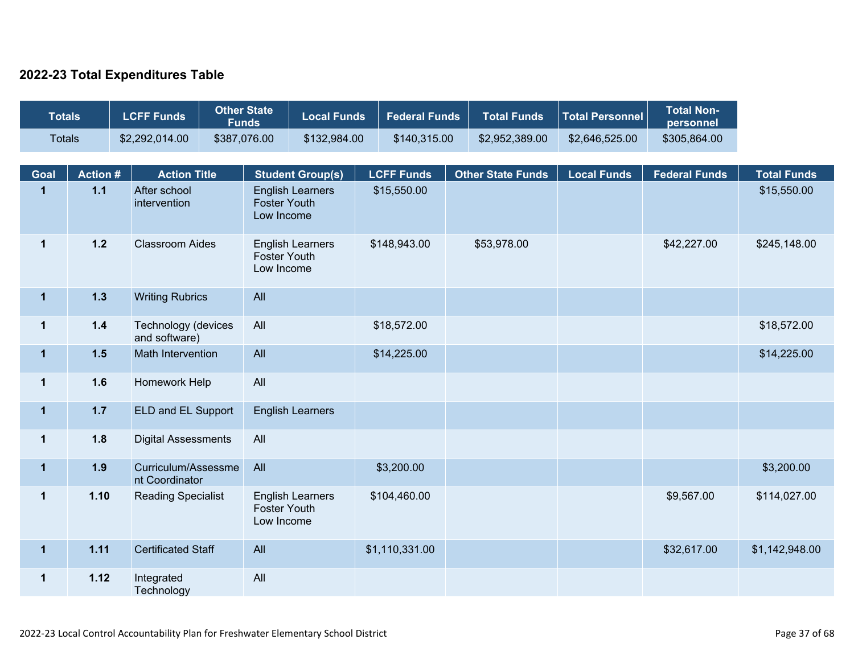### **2022-23 Total Expenditures Table**

| <b>Totals</b>           | <b>Other State</b><br><b>LCFF Funds</b><br><b>Funds</b> |  | <b>Local Funds</b>                    |              | <b>Federal Funds</b>                                         | <b>Total Funds</b>                                 | <b>Total Personnel</b> | <b>Total Non-</b><br>personnel   |                          |                    |                      |                                   |             |              |
|-------------------------|---------------------------------------------------------|--|---------------------------------------|--------------|--------------------------------------------------------------|----------------------------------------------------|------------------------|----------------------------------|--------------------------|--------------------|----------------------|-----------------------------------|-------------|--------------|
| <b>Totals</b>           |                                                         |  | \$2,292,014.00                        | \$387,076.00 |                                                              | \$132,984.00                                       |                        | \$140,315.00                     | \$2,952,389.00           | \$2,646,525.00     | \$305,864.00         |                                   |             |              |
|                         |                                                         |  |                                       |              |                                                              |                                                    |                        |                                  |                          |                    |                      |                                   |             |              |
| Goal<br>$\mathbf{1}$    | <b>Action#</b><br>$1.1$                                 |  | <b>Action Title</b><br>After school   |              |                                                              | <b>Student Group(s)</b><br><b>English Learners</b> |                        | <b>LCFF Funds</b><br>\$15,550.00 | <b>Other State Funds</b> | <b>Local Funds</b> | <b>Federal Funds</b> | <b>Total Funds</b><br>\$15,550.00 |             |              |
|                         |                                                         |  | intervention                          |              | <b>Foster Youth</b><br>Low Income                            |                                                    |                        |                                  |                          |                    |                      |                                   |             |              |
| $\mathbf 1$             | $1.2$                                                   |  | <b>Classroom Aides</b>                |              | <b>English Learners</b><br><b>Foster Youth</b><br>Low Income |                                                    |                        |                                  |                          | \$148,943.00       | \$53,978.00          |                                   | \$42,227.00 | \$245,148.00 |
| $\mathbf{1}$            | 1.3                                                     |  | <b>Writing Rubrics</b>                |              | All                                                          |                                                    |                        |                                  |                          |                    |                      |                                   |             |              |
| $\mathbf 1$             | $1.4$                                                   |  | Technology (devices<br>and software)  |              | All                                                          |                                                    |                        | \$18,572.00                      |                          |                    |                      | \$18,572.00                       |             |              |
| $\mathbf{1}$            | 1.5                                                     |  | Math Intervention                     |              | All                                                          |                                                    |                        | \$14,225.00                      |                          |                    |                      | \$14,225.00                       |             |              |
| $\mathbf{1}$            | 1.6                                                     |  | Homework Help                         |              | All                                                          |                                                    |                        |                                  |                          |                    |                      |                                   |             |              |
| $\overline{\mathbf{1}}$ | $1.7$                                                   |  | ELD and EL Support                    |              |                                                              | <b>English Learners</b>                            |                        |                                  |                          |                    |                      |                                   |             |              |
| $\mathbf{1}$            | 1.8                                                     |  | <b>Digital Assessments</b>            |              | All                                                          |                                                    |                        |                                  |                          |                    |                      |                                   |             |              |
| $\mathbf{1}$            | 1.9                                                     |  | Curriculum/Assessme<br>nt Coordinator |              | All                                                          |                                                    |                        | \$3,200.00                       |                          |                    |                      | \$3,200.00                        |             |              |
| $\mathbf 1$             | 1.10                                                    |  | <b>Reading Specialist</b>             |              | <b>English Learners</b><br><b>Foster Youth</b><br>Low Income |                                                    |                        | \$104,460.00                     |                          |                    | \$9,567.00           | \$114,027.00                      |             |              |
| $\mathbf{1}$            | 1.11                                                    |  | <b>Certificated Staff</b>             |              | All                                                          |                                                    |                        | \$1,110,331.00                   |                          |                    | \$32,617.00          | \$1,142,948.00                    |             |              |
| $\mathbf 1$             | 1.12                                                    |  | Integrated<br>Technology              |              | All                                                          |                                                    |                        |                                  |                          |                    |                      |                                   |             |              |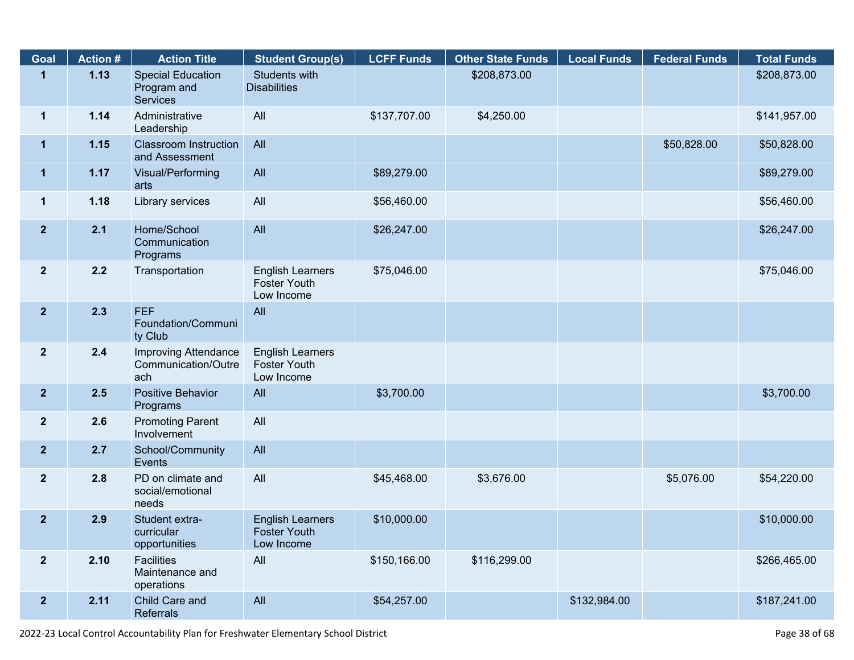| Goal                    | <b>Action #</b> | <b>Action Title</b>                                       | <b>Student Group(s)</b>                                      | <b>LCFF Funds</b> | <b>Other State Funds</b> | <b>Local Funds</b> | <b>Federal Funds</b> | <b>Total Funds</b> |
|-------------------------|-----------------|-----------------------------------------------------------|--------------------------------------------------------------|-------------------|--------------------------|--------------------|----------------------|--------------------|
| $\mathbf{1}$            | 1.13            | <b>Special Education</b><br>Program and<br>Services       | Students with<br><b>Disabilities</b>                         |                   | \$208,873.00             |                    |                      | \$208,873.00       |
| $\mathbf{1}$            | 1.14            | Administrative<br>Leadership                              | All                                                          | \$137,707.00      | \$4,250.00               |                    |                      | \$141,957.00       |
| $\mathbf 1$             | 1.15            | <b>Classroom Instruction</b><br>and Assessment            | All                                                          |                   |                          |                    | \$50,828.00          | \$50,828.00        |
| $\mathbf 1$             | 1.17            | Visual/Performing<br>arts                                 | All                                                          | \$89,279.00       |                          |                    |                      | \$89,279.00        |
| $\mathbf{1}$            | 1.18            | Library services                                          | All                                                          | \$56,460.00       |                          |                    |                      | \$56,460.00        |
| $\overline{2}$          | 2.1             | Home/School<br>Communication<br>Programs                  | All                                                          | \$26,247.00       |                          |                    |                      | \$26,247.00        |
| $\mathbf{2}$            | 2.2             | Transportation                                            | <b>English Learners</b><br><b>Foster Youth</b><br>Low Income | \$75,046.00       |                          |                    |                      | \$75,046.00        |
| 2 <sub>2</sub>          | 2.3             | <b>FEF</b><br>Foundation/Communi<br>ty Club               | All                                                          |                   |                          |                    |                      |                    |
| $\overline{\mathbf{2}}$ | 2.4             | <b>Improving Attendance</b><br>Communication/Outre<br>ach | <b>English Learners</b><br><b>Foster Youth</b><br>Low Income |                   |                          |                    |                      |                    |
| $\overline{2}$          | 2.5             | Positive Behavior<br>Programs                             | All                                                          | \$3,700.00        |                          |                    |                      | \$3,700.00         |
| 2 <sup>2</sup>          | 2.6             | <b>Promoting Parent</b><br>Involvement                    | All                                                          |                   |                          |                    |                      |                    |
| $\overline{2}$          | 2.7             | School/Community<br>Events                                | All                                                          |                   |                          |                    |                      |                    |
| $\overline{2}$          | 2.8             | PD on climate and<br>social/emotional<br>needs            | All                                                          | \$45,468.00       | \$3,676.00               |                    | \$5,076.00           | \$54,220.00        |
| $\overline{2}$          | 2.9             | Student extra-<br>curricular<br>opportunities             | <b>English Learners</b><br><b>Foster Youth</b><br>Low Income | \$10,000.00       |                          |                    |                      | \$10,000.00        |
| $\overline{\mathbf{2}}$ | 2.10            | <b>Facilities</b><br>Maintenance and<br>operations        | All                                                          | \$150,166.00      | \$116,299.00             |                    |                      | \$266,465.00       |
| $\mathbf{2}$            | 2.11            | Child Care and<br>Referrals                               | All                                                          | \$54,257.00       |                          | \$132,984.00       |                      | \$187,241.00       |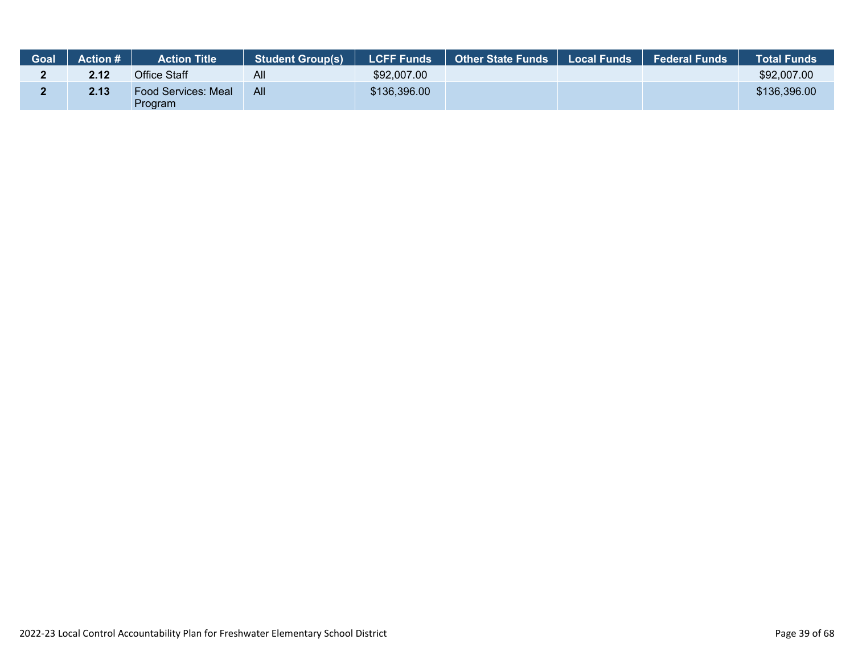| Goal | <b>Action #</b> | <b>Action Title</b>            | <b>Student Group(s)</b> | <b>LCFF Funds</b> | <b>Other State Funds</b> | Local Funds | <b>Federal Funds</b> | <b>Total Funds</b> |
|------|-----------------|--------------------------------|-------------------------|-------------------|--------------------------|-------------|----------------------|--------------------|
|      | 2.12            | Office Staff                   | All                     | \$92,007.00       |                          |             |                      | \$92,007.00        |
|      | 2.13            | Food Services: Meal<br>Program | All                     | \$136,396.00      |                          |             |                      | \$136,396.00       |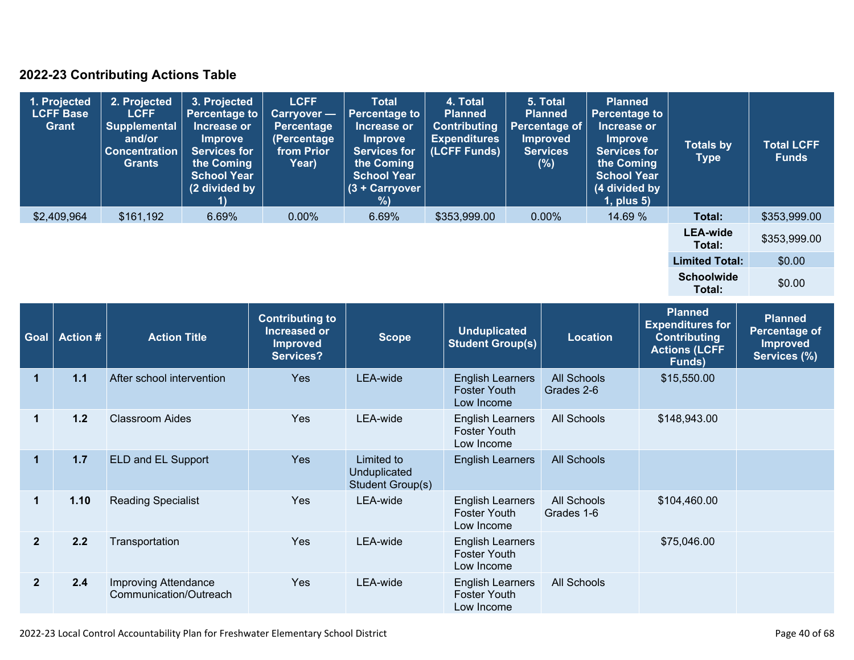### **2022-23 Contributing Actions Table**

| 1. Projected<br><b>LCFF Base</b><br>Grant | 2. Projected<br><b>LCFF</b><br>Supplemental<br>and/or<br><b>Concentration</b><br><b>Grants</b> | 3. Projected<br><b>Percentage to</b><br>Increase or<br>Improve<br><b>Services for</b><br>the Coming<br><b>School Year</b><br>(2 divided by | <b>LCFF</b><br>Carryover -<br><b>Percentage</b><br>(Percentage<br>from Prior<br>Year) | <b>Total</b><br><b>Percentage to</b><br>Increase or<br><b>Improve</b><br><b>Services for</b><br>the Coming<br><b>School Year</b><br>(3 + Carryover  <br>%) | 4. Total<br><b>Planned</b><br><b>Contributing</b><br><b>Expenditures</b><br>(LCFF Funds) | 5. Total<br><b>Planned</b><br><b>Percentage of</b><br><b>Improved</b><br><b>Services</b><br>(%) | <b>Planned</b><br><b>Percentage to</b><br>Increase or<br><b>Improve</b><br><b>Services for</b><br>the Coming<br><b>School Year</b><br>(4 divided by<br>$1$ , plus $5$ ) | <b>Totals by</b><br>Type    | <b>Total LCFF</b><br><b>Funds</b> |
|-------------------------------------------|------------------------------------------------------------------------------------------------|--------------------------------------------------------------------------------------------------------------------------------------------|---------------------------------------------------------------------------------------|------------------------------------------------------------------------------------------------------------------------------------------------------------|------------------------------------------------------------------------------------------|-------------------------------------------------------------------------------------------------|-------------------------------------------------------------------------------------------------------------------------------------------------------------------------|-----------------------------|-----------------------------------|
| \$2,409,964                               | \$161,192                                                                                      | 6.69%                                                                                                                                      | $0.00\%$                                                                              | 6.69%                                                                                                                                                      | \$353,999.00                                                                             | $0.00\%$                                                                                        | 14.69 %                                                                                                                                                                 | Total:                      | \$353,999.00                      |
|                                           |                                                                                                |                                                                                                                                            |                                                                                       |                                                                                                                                                            |                                                                                          |                                                                                                 |                                                                                                                                                                         | <b>LEA-wide</b><br>Total:   | \$353,999.00                      |
|                                           |                                                                                                |                                                                                                                                            |                                                                                       |                                                                                                                                                            |                                                                                          |                                                                                                 |                                                                                                                                                                         | <b>Limited Total:</b>       | \$0.00                            |
|                                           |                                                                                                |                                                                                                                                            |                                                                                       |                                                                                                                                                            |                                                                                          |                                                                                                 |                                                                                                                                                                         | <b>Schoolwide</b><br>Total: | \$0.00                            |

| Goal           | <b>Action #</b> | <b>Action Title</b>                            | <b>Contributing to</b><br>Increased or<br><b>Improved</b><br>Services? | <b>Scope</b>                                   | <b>Unduplicated</b><br><b>Student Group(s)</b>               | <b>Location</b>                  | <b>Planned</b><br><b>Expenditures for</b><br><b>Contributing</b><br><b>Actions (LCFF</b><br>Funds) | <b>Planned</b><br><b>Percentage of</b><br><b>Improved</b><br>Services (%) |
|----------------|-----------------|------------------------------------------------|------------------------------------------------------------------------|------------------------------------------------|--------------------------------------------------------------|----------------------------------|----------------------------------------------------------------------------------------------------|---------------------------------------------------------------------------|
| 1              | 1.1             | After school intervention                      | <b>Yes</b>                                                             | LEA-wide                                       | <b>English Learners</b><br><b>Foster Youth</b><br>Low Income | <b>All Schools</b><br>Grades 2-6 | \$15,550.00                                                                                        |                                                                           |
| 1              | $1.2$           | <b>Classroom Aides</b>                         | Yes                                                                    | LEA-wide                                       | <b>English Learners</b><br><b>Foster Youth</b><br>Low Income | <b>All Schools</b>               | \$148,943.00                                                                                       |                                                                           |
| $\mathbf{1}$   | 1.7             | ELD and EL Support                             | <b>Yes</b>                                                             | Limited to<br>Unduplicated<br>Student Group(s) | <b>English Learners</b>                                      | <b>All Schools</b>               |                                                                                                    |                                                                           |
| 1              | 1.10            | <b>Reading Specialist</b>                      | <b>Yes</b>                                                             | LEA-wide                                       | <b>English Learners</b><br><b>Foster Youth</b><br>Low Income | All Schools<br>Grades 1-6        | \$104,460.00                                                                                       |                                                                           |
| $\overline{2}$ | 2.2             | Transportation                                 | <b>Yes</b>                                                             | LEA-wide                                       | <b>English Learners</b><br><b>Foster Youth</b><br>Low Income |                                  | \$75,046.00                                                                                        |                                                                           |
| $\overline{2}$ | 2.4             | Improving Attendance<br>Communication/Outreach | Yes                                                                    | LEA-wide                                       | <b>English Learners</b><br><b>Foster Youth</b><br>Low Income | All Schools                      |                                                                                                    |                                                                           |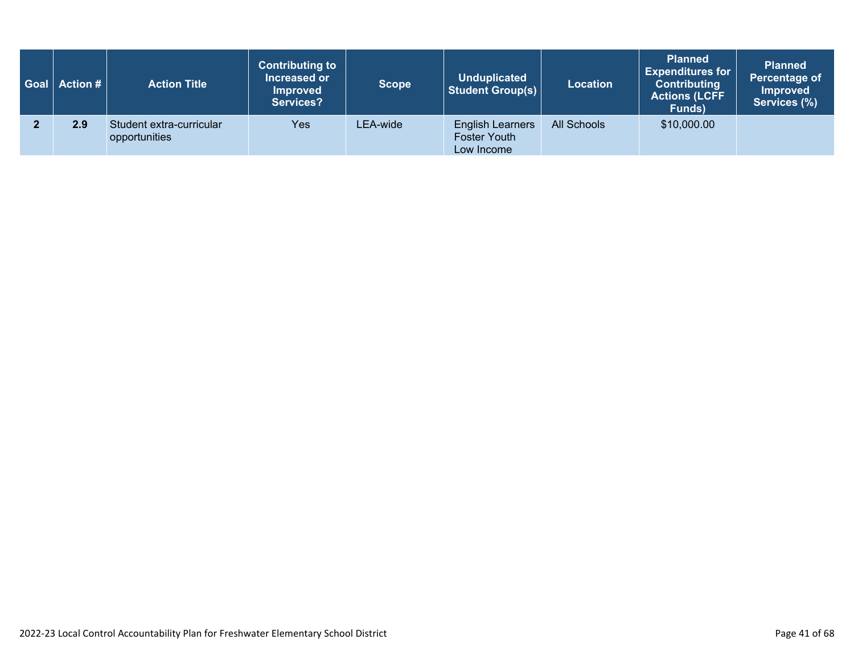| $\mid$ Goal $\mid$ Action # $\mid$ | <b>Action Title</b>                       | <b>Contributing to</b><br>Increased or<br><b>Improved</b><br><b>Services?</b> | <b>Scope</b> | <b>Unduplicated</b><br>Student Group(s)               | <b>Location</b> | <b>Planned</b><br><b>Expenditures for</b><br><b>Contributing</b><br><b>Actions (LCFF</b><br>Funds) | <b>Planned</b><br>Percentage of<br><b>Improved</b><br>Services (%) |
|------------------------------------|-------------------------------------------|-------------------------------------------------------------------------------|--------------|-------------------------------------------------------|-----------------|----------------------------------------------------------------------------------------------------|--------------------------------------------------------------------|
| 2.9                                | Student extra-curricular<br>opportunities | Yes                                                                           | LEA-wide     | <b>English Learners</b><br>Foster Youth<br>Low Income | All Schools     | \$10,000.00                                                                                        |                                                                    |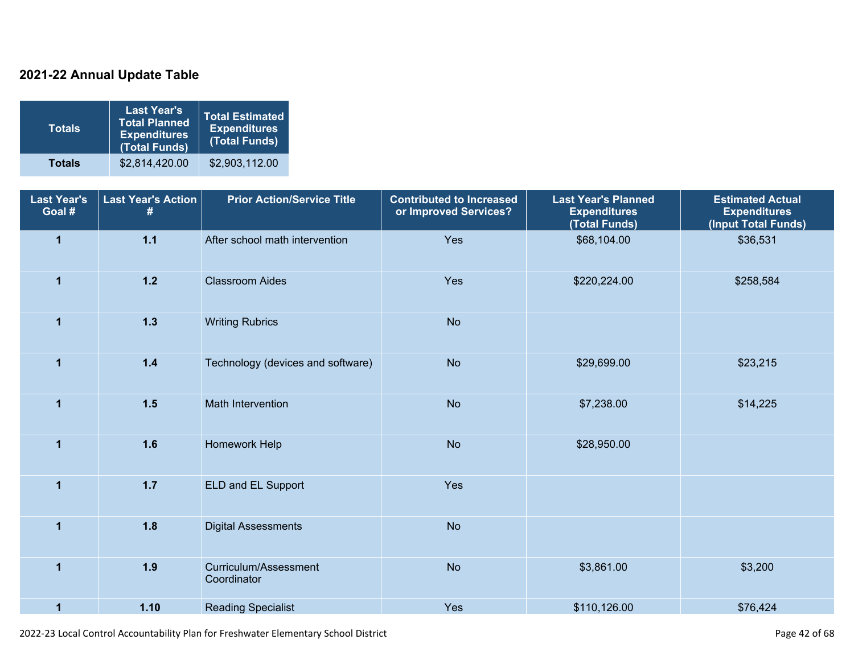### **2021-22 Annual Update Table**

| <b>Totals</b> | <b>Last Year's</b><br><b>Total Planned</b><br><b>Expenditures</b><br>(Total Funds) | <b>Total Estimated</b><br><b>Expenditures</b><br>(Total Funds) |
|---------------|------------------------------------------------------------------------------------|----------------------------------------------------------------|
| <b>Totals</b> | \$2,814,420.00                                                                     | \$2,903,112.00                                                 |

| <b>Last Year's</b><br>Goal # | <b>Last Year's Action</b><br># | <b>Prior Action/Service Title</b>    | <b>Contributed to Increased</b><br>or Improved Services? | <b>Last Year's Planned</b><br><b>Expenditures</b><br>(Total Funds) | <b>Estimated Actual</b><br><b>Expenditures</b><br>(Input Total Funds) |
|------------------------------|--------------------------------|--------------------------------------|----------------------------------------------------------|--------------------------------------------------------------------|-----------------------------------------------------------------------|
| $\overline{1}$               | $1.1$                          | After school math intervention       | Yes                                                      | \$68,104.00                                                        | \$36,531                                                              |
| $\blacktriangleleft$         | $1.2$                          | <b>Classroom Aides</b>               | Yes                                                      | \$220,224.00                                                       | \$258,584                                                             |
| $\mathbf{1}$                 | $1.3$                          | <b>Writing Rubrics</b>               | <b>No</b>                                                |                                                                    |                                                                       |
| $\overline{1}$               | $1.4$                          | Technology (devices and software)    | <b>No</b>                                                | \$29,699.00                                                        | \$23,215                                                              |
| $\overline{1}$               | $1.5$                          | Math Intervention                    | <b>No</b>                                                | \$7,238.00                                                         | \$14,225                                                              |
| $\overline{1}$               | 1.6                            | Homework Help                        | <b>No</b>                                                | \$28,950.00                                                        |                                                                       |
| $\mathbf{1}$                 | $1.7$                          | ELD and EL Support                   | Yes                                                      |                                                                    |                                                                       |
| $\mathbf{1}$                 | 1.8                            | <b>Digital Assessments</b>           | <b>No</b>                                                |                                                                    |                                                                       |
| $\overline{1}$               | 1.9                            | Curriculum/Assessment<br>Coordinator | <b>No</b>                                                | \$3,861.00                                                         | \$3,200                                                               |
| $\mathbf{1}$                 | 1.10                           | <b>Reading Specialist</b>            | Yes                                                      | \$110,126.00                                                       | \$76,424                                                              |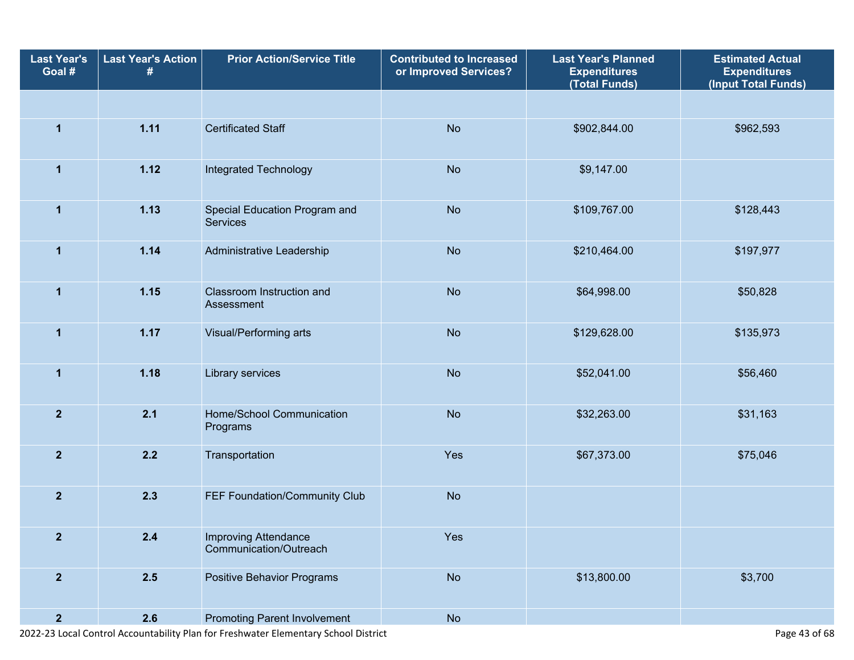| <b>Last Year's</b><br>Goal # | <b>Last Year's Action</b><br># | <b>Prior Action/Service Title</b>                | <b>Contributed to Increased</b><br>or Improved Services? | <b>Last Year's Planned</b><br><b>Expenditures</b><br>(Total Funds) | <b>Estimated Actual</b><br><b>Expenditures</b><br>(Input Total Funds) |  |
|------------------------------|--------------------------------|--------------------------------------------------|----------------------------------------------------------|--------------------------------------------------------------------|-----------------------------------------------------------------------|--|
|                              |                                |                                                  |                                                          |                                                                    |                                                                       |  |
| $\mathbf{1}$                 | 1.11                           | <b>Certificated Staff</b>                        | <b>No</b>                                                | \$902,844.00                                                       | \$962,593                                                             |  |
| 1                            | 1.12                           | Integrated Technology                            | <b>No</b>                                                | \$9,147.00                                                         |                                                                       |  |
| $\mathbf{1}$                 | 1.13                           | Special Education Program and<br><b>Services</b> | <b>No</b>                                                | \$109,767.00                                                       | \$128,443                                                             |  |
| $\mathbf{1}$                 | 1.14                           | Administrative Leadership                        | <b>No</b>                                                | \$210,464.00                                                       | \$197,977                                                             |  |
| 1                            | 1.15                           | Classroom Instruction and<br>Assessment          | <b>No</b>                                                | \$64,998.00                                                        | \$50,828                                                              |  |
| $\mathbf{1}$                 | 1.17                           | Visual/Performing arts                           | <b>No</b>                                                | \$129,628.00                                                       | \$135,973                                                             |  |
| $\mathbf{1}$                 | 1.18                           | Library services                                 | <b>No</b>                                                | \$52,041.00                                                        | \$56,460                                                              |  |
| $\overline{2}$               | 2.1                            | Home/School Communication<br>Programs            | <b>No</b>                                                | \$32,263.00                                                        | \$31,163                                                              |  |
| $\overline{2}$               | 2.2                            | Transportation                                   | Yes                                                      | \$67,373.00                                                        | \$75,046                                                              |  |
| $\overline{2}$               | 2.3                            | FEF Foundation/Community Club                    | <b>No</b>                                                |                                                                    |                                                                       |  |
| $\overline{2}$               | 2.4                            | Improving Attendance<br>Communication/Outreach   | Yes                                                      |                                                                    |                                                                       |  |
| $\overline{\mathbf{2}}$      | 2.5                            | <b>Positive Behavior Programs</b>                | <b>No</b>                                                | \$13,800.00                                                        | \$3,700                                                               |  |
| $\overline{2}$               | 2.6                            | <b>Promoting Parent Involvement</b>              | <b>No</b>                                                |                                                                    |                                                                       |  |

2022-23 Local Control Accountability Plan for Freshwater Elementary School District Page 43 of 68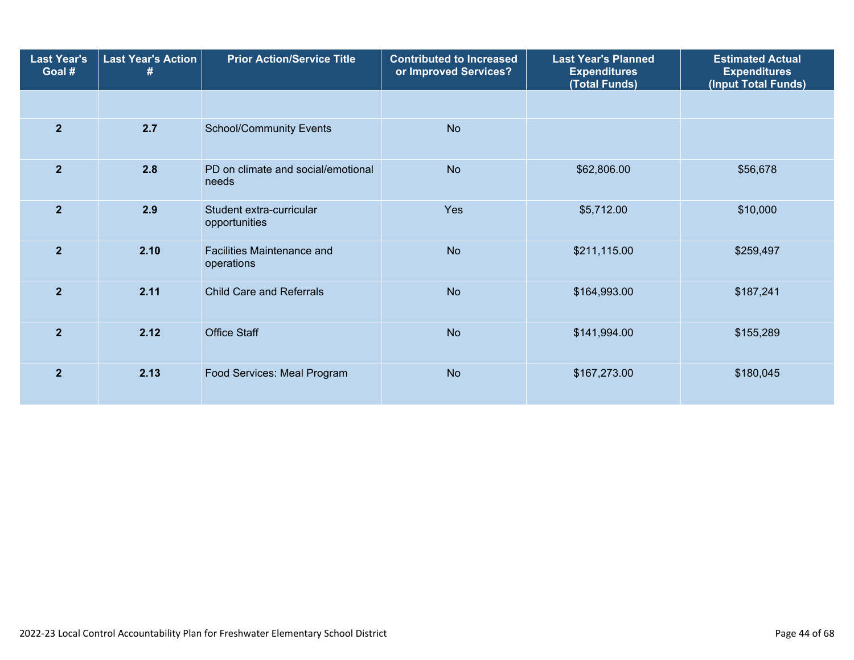| <b>Last Year's</b><br>Goal # | <b>Last Year's Action</b><br># | <b>Prior Action/Service Title</b>           | <b>Contributed to Increased</b><br>or Improved Services? | <b>Last Year's Planned</b><br><b>Expenditures</b><br>(Total Funds) | <b>Estimated Actual</b><br><b>Expenditures</b><br>(Input Total Funds) |
|------------------------------|--------------------------------|---------------------------------------------|----------------------------------------------------------|--------------------------------------------------------------------|-----------------------------------------------------------------------|
|                              |                                |                                             |                                                          |                                                                    |                                                                       |
| $\overline{2}$               | 2.7                            | <b>School/Community Events</b>              | <b>No</b>                                                |                                                                    |                                                                       |
| $\overline{2}$               | 2.8                            | PD on climate and social/emotional<br>needs | <b>No</b>                                                | \$62,806.00                                                        | \$56,678                                                              |
| $\overline{2}$               | 2.9                            | Student extra-curricular<br>opportunities   | Yes                                                      | \$5,712.00                                                         | \$10,000                                                              |
| $\overline{2}$               | 2.10                           | Facilities Maintenance and<br>operations    | <b>No</b>                                                | \$211,115.00                                                       | \$259,497                                                             |
| $\overline{2}$               | 2.11                           | <b>Child Care and Referrals</b>             | <b>No</b>                                                | \$164,993.00                                                       | \$187,241                                                             |
| $\overline{2}$               | 2.12                           | <b>Office Staff</b>                         | <b>No</b>                                                | \$141,994.00                                                       | \$155,289                                                             |
| $\overline{2}$               | 2.13                           | Food Services: Meal Program                 | <b>No</b>                                                | \$167,273.00                                                       | \$180,045                                                             |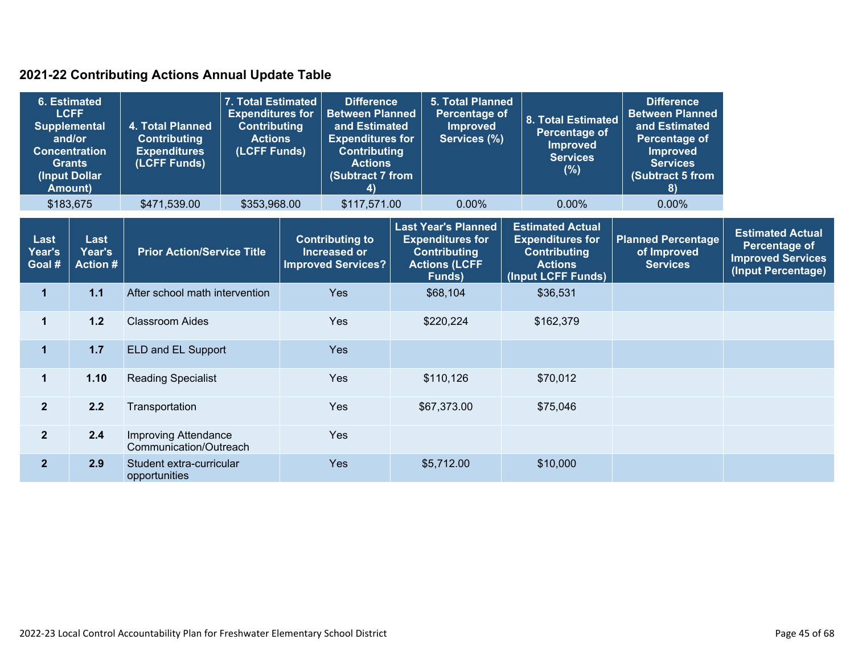### **2021-22 Contributing Actions Annual Update Table**

| <b>6. Estimated</b><br><b>LCFF</b><br><b>Supplemental</b><br>and/or<br><b>Concentration</b><br><b>Grants</b><br>(Input Dollar<br>Amount) |                                          | <b>4. Total Planned</b><br><b>Contributing</b><br><b>Expenditures</b><br>(LCFF Funds) | <b>7. Total Estimated</b><br><b>Expenditures for</b><br><b>Contributing</b><br><b>Actions</b><br>(LCFF Funds) | <b>Difference</b><br><b>Between Planned</b><br>and Estimated<br><b>Expenditures for</b><br><b>Contributing</b><br><b>Actions</b><br>(Subtract 7 from<br>4) |                                                                            |  | <b>5. Total Planned</b><br>Percentage of<br><b>Improved</b><br>Services (%)                                    |  | 8. Total Estimated<br>Percentage of<br><b>Improved</b><br><b>Services</b><br>(%)                                  | <b>Difference</b><br><b>Between Planned</b><br>and Estimated<br>Percentage of<br><b>Improved</b><br><b>Services</b><br>(Subtract 5 from<br>8) |                                                                                                   |
|------------------------------------------------------------------------------------------------------------------------------------------|------------------------------------------|---------------------------------------------------------------------------------------|---------------------------------------------------------------------------------------------------------------|------------------------------------------------------------------------------------------------------------------------------------------------------------|----------------------------------------------------------------------------|--|----------------------------------------------------------------------------------------------------------------|--|-------------------------------------------------------------------------------------------------------------------|-----------------------------------------------------------------------------------------------------------------------------------------------|---------------------------------------------------------------------------------------------------|
|                                                                                                                                          | \$183,675                                | \$471,539.00                                                                          | \$353,968.00                                                                                                  |                                                                                                                                                            | \$117,571.00                                                               |  | 0.00%                                                                                                          |  | 0.00%                                                                                                             | $0.00\%$                                                                                                                                      |                                                                                                   |
| Last<br>Year's<br>Goal #                                                                                                                 | <b>Last</b><br>Year's<br><b>Action #</b> | <b>Prior Action/Service Title</b>                                                     |                                                                                                               |                                                                                                                                                            | <b>Contributing to</b><br><b>Increased or</b><br><b>Improved Services?</b> |  | <b>Last Year's Planned</b><br><b>Expenditures for</b><br><b>Contributing</b><br><b>Actions (LCFF</b><br>Funds) |  | <b>Estimated Actual</b><br><b>Expenditures for</b><br><b>Contributing</b><br><b>Actions</b><br>(Input LCFF Funds) | <b>Planned Percentage</b><br>of Improved<br><b>Services</b>                                                                                   | <b>Estimated Actual</b><br><b>Percentage of</b><br><b>Improved Services</b><br>(Input Percentage) |
| 1                                                                                                                                        | 1.1                                      | After school math intervention                                                        |                                                                                                               |                                                                                                                                                            | Yes                                                                        |  | \$68,104                                                                                                       |  | \$36,531                                                                                                          |                                                                                                                                               |                                                                                                   |
| $\mathbf 1$                                                                                                                              | $1.2$                                    | <b>Classroom Aides</b>                                                                |                                                                                                               |                                                                                                                                                            | <b>Yes</b>                                                                 |  | \$220,224                                                                                                      |  | \$162,379                                                                                                         |                                                                                                                                               |                                                                                                   |
| $\mathbf 1$                                                                                                                              | 1.7                                      | ELD and EL Support                                                                    |                                                                                                               |                                                                                                                                                            | <b>Yes</b>                                                                 |  |                                                                                                                |  |                                                                                                                   |                                                                                                                                               |                                                                                                   |
| $\mathbf{1}$                                                                                                                             | 1.10                                     | <b>Reading Specialist</b>                                                             |                                                                                                               |                                                                                                                                                            | <b>Yes</b>                                                                 |  | \$110,126                                                                                                      |  | \$70,012                                                                                                          |                                                                                                                                               |                                                                                                   |
| $\overline{2}$                                                                                                                           | 2.2                                      | Transportation                                                                        |                                                                                                               |                                                                                                                                                            | <b>Yes</b>                                                                 |  | \$67,373.00                                                                                                    |  | \$75,046                                                                                                          |                                                                                                                                               |                                                                                                   |
| $\overline{2}$                                                                                                                           | 2.4                                      | <b>Improving Attendance</b><br>Communication/Outreach                                 |                                                                                                               |                                                                                                                                                            | Yes                                                                        |  |                                                                                                                |  |                                                                                                                   |                                                                                                                                               |                                                                                                   |
| 2 <sup>2</sup>                                                                                                                           | 2.9                                      | Student extra-curricular<br>opportunities                                             |                                                                                                               |                                                                                                                                                            | <b>Yes</b>                                                                 |  | \$5,712.00                                                                                                     |  | \$10,000                                                                                                          |                                                                                                                                               |                                                                                                   |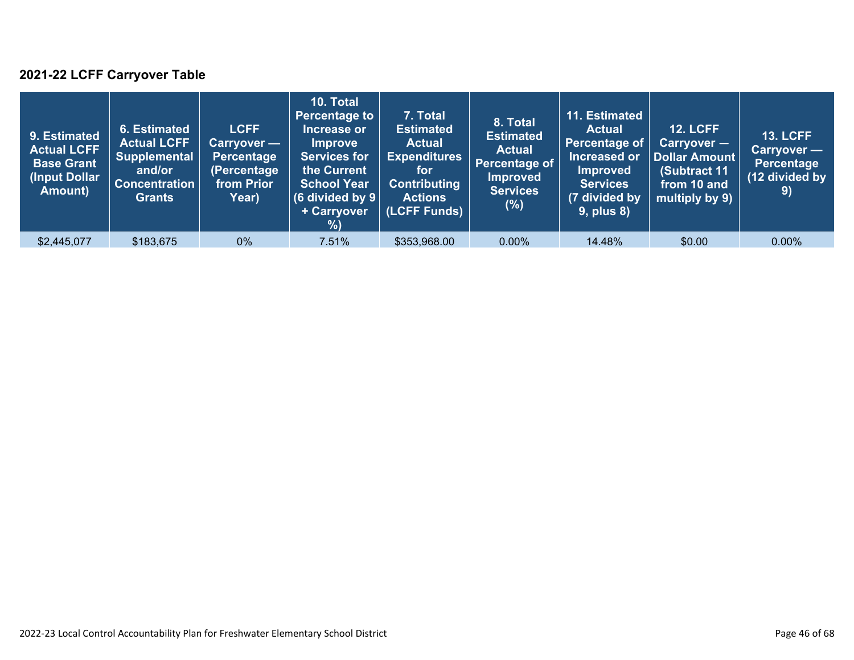### **2021-22 LCFF Carryover Table**

| 9. Estimated<br><b>Actual LCFF</b><br><b>Base Grant</b><br>(Input Dollar<br>Amount) | 6. Estimated<br><b>Actual LCFF</b><br><b>Supplemental</b><br>and/or<br><b>Concentration</b><br><b>Grants</b> | <b>LCFF</b><br>Carryover —<br><b>Percentage</b><br>(Percentage<br>from Prior<br>Year) | 10. Total<br><b>Percentage to</b><br>Increase or<br><b>Improve</b><br><b>Services for</b><br>the Current<br><b>School Year</b><br>(6 divided by $9$ $ $<br>+ Carryover<br>% | 7. Total<br><b>Estimated</b><br><b>Actual</b><br><b>Expenditures</b><br>for<br><b>Contributing</b><br><b>Actions</b><br>(LCFF Funds) | 8. Total<br><b>Estimated</b><br><b>Actual</b><br>Percentage of<br><b>Improved</b><br><b>Services</b><br>(%) | 11. Estimated<br><b>Actual</b><br>Percentage of<br>Increased or<br><b>Improved</b><br><b>Services</b><br>(7 divided by<br><b>9, plus 8)</b> | <b>12. LCFF</b><br>$Carryover -$<br>Dollar Amount<br>(Subtract 11<br>from 10 and<br>multiply by 9) | <b>13. LCFF</b><br>Carryover -<br><b>Percentage</b><br>(12 divided by<br>9) |
|-------------------------------------------------------------------------------------|--------------------------------------------------------------------------------------------------------------|---------------------------------------------------------------------------------------|-----------------------------------------------------------------------------------------------------------------------------------------------------------------------------|--------------------------------------------------------------------------------------------------------------------------------------|-------------------------------------------------------------------------------------------------------------|---------------------------------------------------------------------------------------------------------------------------------------------|----------------------------------------------------------------------------------------------------|-----------------------------------------------------------------------------|
| \$2,445,077                                                                         | \$183,675                                                                                                    | $0\%$                                                                                 | 7.51%                                                                                                                                                                       | \$353,968.00                                                                                                                         | $0.00\%$                                                                                                    | 14.48%                                                                                                                                      | \$0.00                                                                                             | $0.00\%$                                                                    |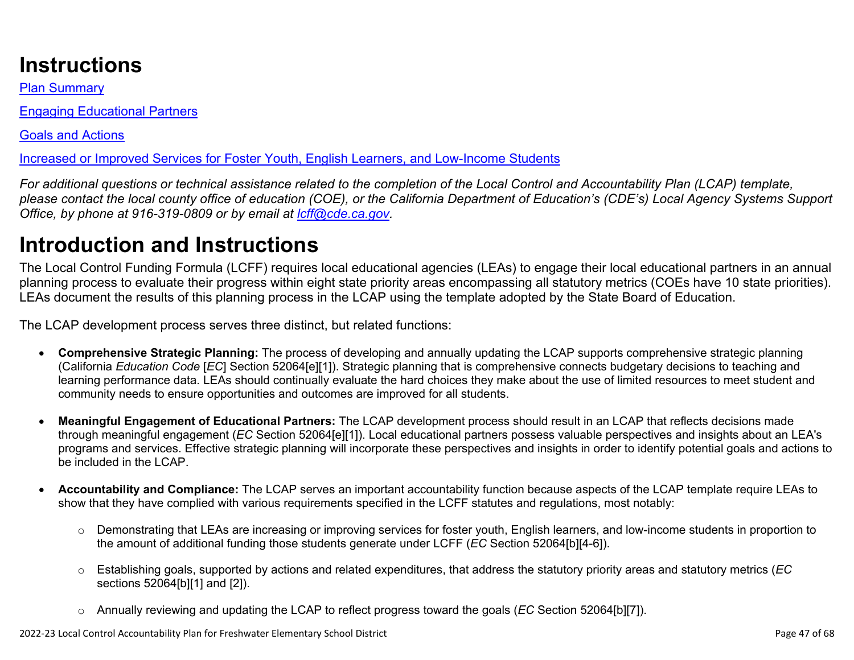# **Instructions**

Plan Summary

Engaging Educational Partners

Goals and Actions

Increased or Improved Services for Foster Youth, English Learners, and Low-Income Students

*For additional questions or technical assistance related to the completion of the Local Control and Accountability Plan (LCAP) template, please contact the local county office of education (COE), or the California Department of Education's (CDE's) Local Agency Systems Support Office, by phone at 916-319-0809 or by email at [lcff@cde.ca.gov](mailto:lcff@cde.ca.gov).*

# **Introduction and Instructions**

The Local Control Funding Formula (LCFF) requires local educational agencies (LEAs) to engage their local educational partners in an annual planning process to evaluate their progress within eight state priority areas encompassing all statutory metrics (COEs have 10 state priorities). LEAs document the results of this planning process in the LCAP using the template adopted by the State Board of Education.

The LCAP development process serves three distinct, but related functions:

- **Comprehensive Strategic Planning:** The process of developing and annually updating the LCAP supports comprehensive strategic planning (California *Education Code* [*EC*] Section 52064[e][1]). Strategic planning that is comprehensive connects budgetary decisions to teaching and learning performance data. LEAs should continually evaluate the hard choices they make about the use of limited resources to meet student and community needs to ensure opportunities and outcomes are improved for all students.
- **Meaningful Engagement of Educational Partners:** The LCAP development process should result in an LCAP that reflects decisions made through meaningful engagement (*EC* Section 52064[e][1]). Local educational partners possess valuable perspectives and insights about an LEA's programs and services. Effective strategic planning will incorporate these perspectives and insights in order to identify potential goals and actions to be included in the LCAP.
- **Accountability and Compliance:** The LCAP serves an important accountability function because aspects of the LCAP template require LEAs to show that they have complied with various requirements specified in the LCFF statutes and regulations, most notably:
	- o Demonstrating that LEAs are increasing or improving services for foster youth, English learners, and low-income students in proportion to the amount of additional funding those students generate under LCFF (*EC* Section 52064[b][4-6]).
	- o Establishing goals, supported by actions and related expenditures, that address the statutory priority areas and statutory metrics (*EC* sections 52064[b][1] and [2]).
	- o Annually reviewing and updating the LCAP to reflect progress toward the goals (*EC* Section 52064[b][7]).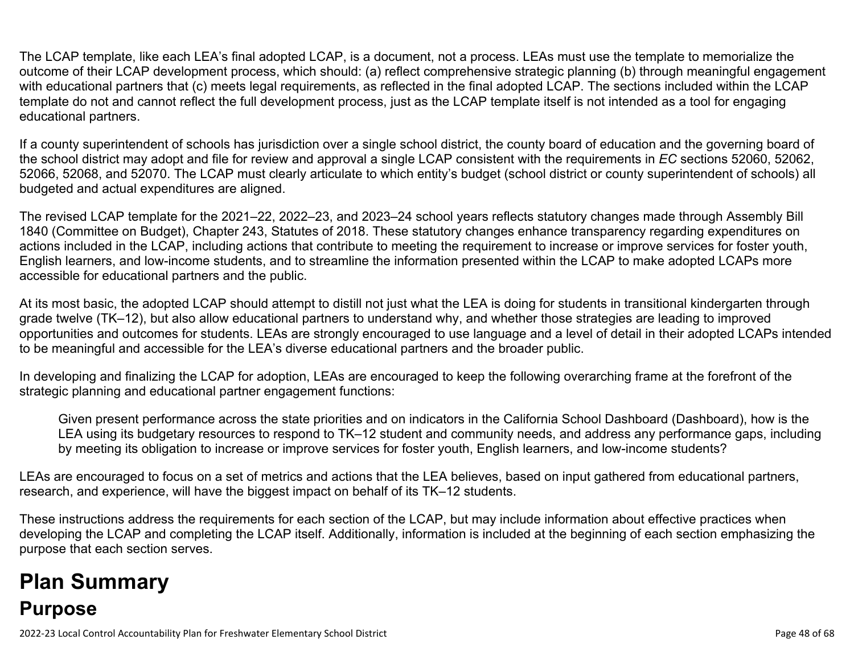The LCAP template, like each LEA's final adopted LCAP, is a document, not a process. LEAs must use the template to memorialize the outcome of their LCAP development process, which should: (a) reflect comprehensive strategic planning (b) through meaningful engagement with educational partners that (c) meets legal requirements, as reflected in the final adopted LCAP. The sections included within the LCAP template do not and cannot reflect the full development process, just as the LCAP template itself is not intended as a tool for engaging educational partners.

If a county superintendent of schools has jurisdiction over a single school district, the county board of education and the governing board of the school district may adopt and file for review and approval a single LCAP consistent with the requirements in *EC* sections 52060, 52062, 52066, 52068, and 52070. The LCAP must clearly articulate to which entity's budget (school district or county superintendent of schools) all budgeted and actual expenditures are aligned.

The revised LCAP template for the 2021–22, 2022–23, and 2023–24 school years reflects statutory changes made through Assembly Bill 1840 (Committee on Budget), Chapter 243, Statutes of 2018. These statutory changes enhance transparency regarding expenditures on actions included in the LCAP, including actions that contribute to meeting the requirement to increase or improve services for foster youth, English learners, and low-income students, and to streamline the information presented within the LCAP to make adopted LCAPs more accessible for educational partners and the public.

At its most basic, the adopted LCAP should attempt to distill not just what the LEA is doing for students in transitional kindergarten through grade twelve (TK–12), but also allow educational partners to understand why, and whether those strategies are leading to improved opportunities and outcomes for students. LEAs are strongly encouraged to use language and a level of detail in their adopted LCAPs intended to be meaningful and accessible for the LEA's diverse educational partners and the broader public.

In developing and finalizing the LCAP for adoption, LEAs are encouraged to keep the following overarching frame at the forefront of the strategic planning and educational partner engagement functions:

Given present performance across the state priorities and on indicators in the California School Dashboard (Dashboard), how is the LEA using its budgetary resources to respond to TK–12 student and community needs, and address any performance gaps, including by meeting its obligation to increase or improve services for foster youth, English learners, and low-income students?

LEAs are encouraged to focus on a set of metrics and actions that the LEA believes, based on input gathered from educational partners, research, and experience, will have the biggest impact on behalf of its TK–12 students.

These instructions address the requirements for each section of the LCAP, but may include information about effective practices when developing the LCAP and completing the LCAP itself. Additionally, information is included at the beginning of each section emphasizing the purpose that each section serves.

# **Plan Summary Purpose**

2022-23 Local Control Accountability Plan for Freshwater Elementary School District **Page 48 of 68** and the state of 68 of 68 of 68 and the state of 68 of 68 and the state Page 48 of 68 and the state Page 48 of 68 and the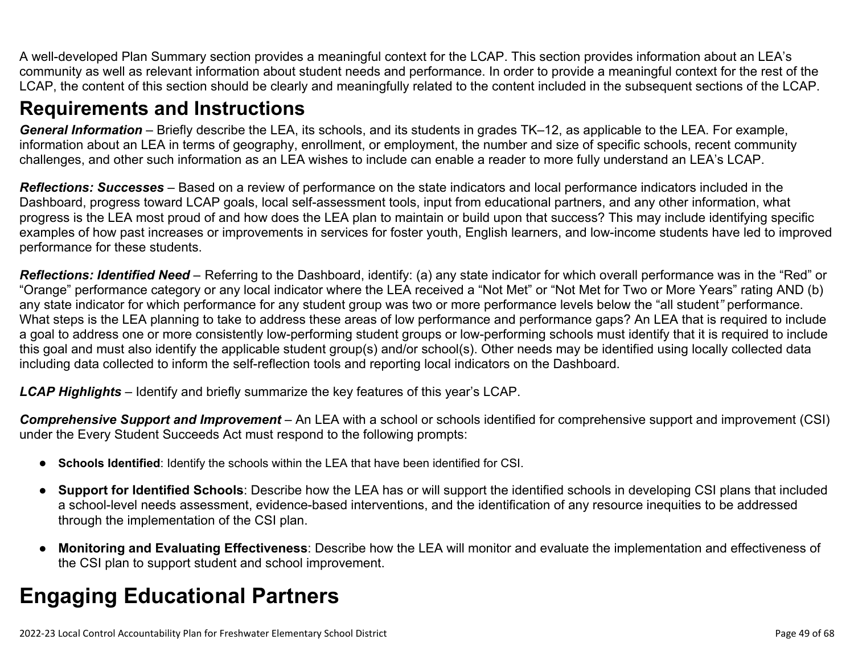A well-developed Plan Summary section provides a meaningful context for the LCAP. This section provides information about an LEA's community as well as relevant information about student needs and performance. In order to provide a meaningful context for the rest of the LCAP, the content of this section should be clearly and meaningfully related to the content included in the subsequent sections of the LCAP.

## **Requirements and Instructions**

*General Information* – Briefly describe the LEA, its schools, and its students in grades TK–12, as applicable to the LEA. For example, information about an LEA in terms of geography, enrollment, or employment, the number and size of specific schools, recent community challenges, and other such information as an LEA wishes to include can enable a reader to more fully understand an LEA's LCAP.

*Reflections: Successes* – Based on a review of performance on the state indicators and local performance indicators included in the Dashboard, progress toward LCAP goals, local self-assessment tools, input from educational partners, and any other information, what progress is the LEA most proud of and how does the LEA plan to maintain or build upon that success? This may include identifying specific examples of how past increases or improvements in services for foster youth, English learners, and low-income students have led to improved performance for these students.

*Reflections: Identified Need* – Referring to the Dashboard, identify: (a) any state indicator for which overall performance was in the "Red" or "Orange" performance category or any local indicator where the LEA received a "Not Met" or "Not Met for Two or More Years" rating AND (b) any state indicator for which performance for any student group was two or more performance levels below the "all student*"* performance. What steps is the LEA planning to take to address these areas of low performance and performance gaps? An LEA that is required to include a goal to address one or more consistently low-performing student groups or low-performing schools must identify that it is required to include this goal and must also identify the applicable student group(s) and/or school(s). Other needs may be identified using locally collected data including data collected to inform the self-reflection tools and reporting local indicators on the Dashboard.

*LCAP Highlights* – Identify and briefly summarize the key features of this year's LCAP.

*Comprehensive Support and Improvement* – An LEA with a school or schools identified for comprehensive support and improvement (CSI) under the Every Student Succeeds Act must respond to the following prompts:

- **Schools Identified**: Identify the schools within the LEA that have been identified for CSI.
- **Support for Identified Schools**: Describe how the LEA has or will support the identified schools in developing CSI plans that included a school-level needs assessment, evidence-based interventions, and the identification of any resource inequities to be addressed through the implementation of the CSI plan.
- **Monitoring and Evaluating Effectiveness**: Describe how the LEA will monitor and evaluate the implementation and effectiveness of the CSI plan to support student and school improvement.

# **Engaging Educational Partners**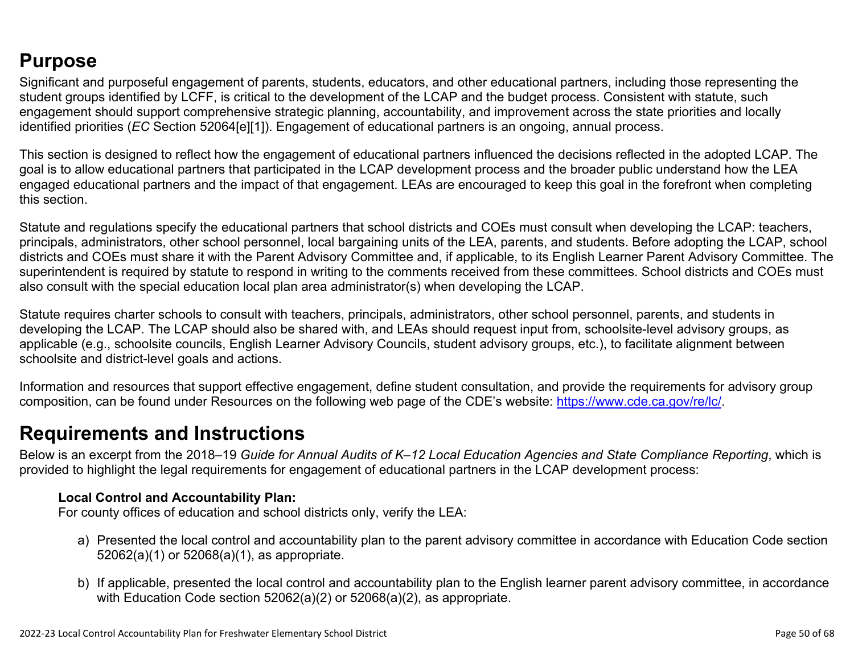## **Purpose**

Significant and purposeful engagement of parents, students, educators, and other educational partners, including those representing the student groups identified by LCFF, is critical to the development of the LCAP and the budget process. Consistent with statute, such engagement should support comprehensive strategic planning, accountability, and improvement across the state priorities and locally identified priorities (*EC* Section 52064[e][1]). Engagement of educational partners is an ongoing, annual process.

This section is designed to reflect how the engagement of educational partners influenced the decisions reflected in the adopted LCAP. The goal is to allow educational partners that participated in the LCAP development process and the broader public understand how the LEA engaged educational partners and the impact of that engagement. LEAs are encouraged to keep this goal in the forefront when completing this section.

Statute and regulations specify the educational partners that school districts and COEs must consult when developing the LCAP: teachers, principals, administrators, other school personnel, local bargaining units of the LEA, parents, and students. Before adopting the LCAP, school districts and COEs must share it with the Parent Advisory Committee and, if applicable, to its English Learner Parent Advisory Committee. The superintendent is required by statute to respond in writing to the comments received from these committees. School districts and COEs must also consult with the special education local plan area administrator(s) when developing the LCAP.

Statute requires charter schools to consult with teachers, principals, administrators, other school personnel, parents, and students in developing the LCAP. The LCAP should also be shared with, and LEAs should request input from, schoolsite-level advisory groups, as applicable (e.g., schoolsite councils, English Learner Advisory Councils, student advisory groups, etc.), to facilitate alignment between schoolsite and district-level goals and actions.

Information and resources that support effective engagement, define student consultation, and provide the requirements for advisory group composition, can be found under Resources on the following web page of the CDE's website: <https://www.cde.ca.gov/re/lc/>.

### **Requirements and Instructions**

Below is an excerpt from the 2018–19 *Guide for Annual Audits of K–12 Local Education Agencies and State Compliance Reporting*, which is provided to highlight the legal requirements for engagement of educational partners in the LCAP development process:

#### **Local Control and Accountability Plan:**

For county offices of education and school districts only, verify the LEA:

- a) Presented the local control and accountability plan to the parent advisory committee in accordance with Education Code section 52062(a)(1) or 52068(a)(1), as appropriate.
- b) If applicable, presented the local control and accountability plan to the English learner parent advisory committee, in accordance with Education Code section 52062(a)(2) or 52068(a)(2), as appropriate.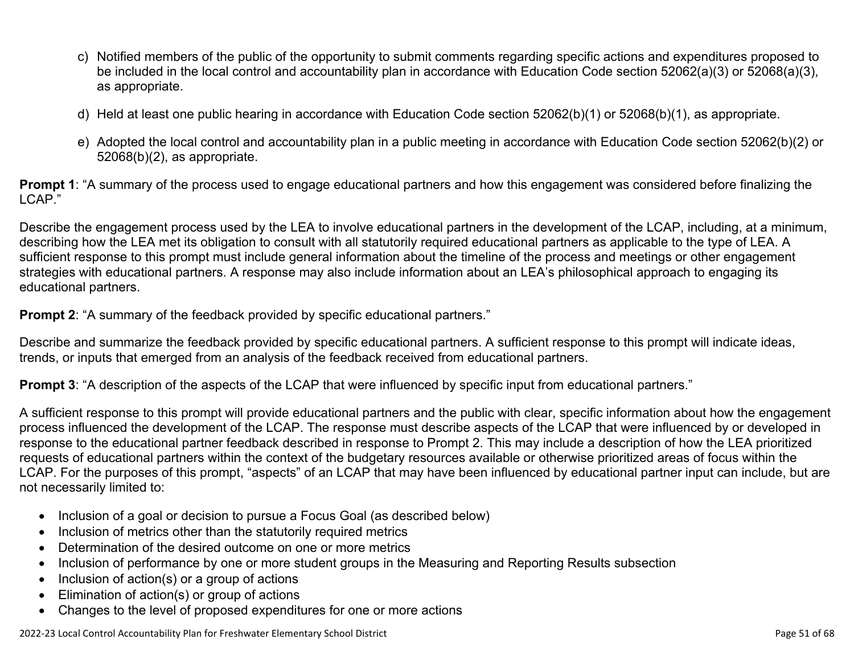- c) Notified members of the public of the opportunity to submit comments regarding specific actions and expenditures proposed to be included in the local control and accountability plan in accordance with Education Code section 52062(a)(3) or 52068(a)(3), as appropriate.
- d) Held at least one public hearing in accordance with Education Code section 52062(b)(1) or 52068(b)(1), as appropriate.
- e) Adopted the local control and accountability plan in a public meeting in accordance with Education Code section 52062(b)(2) or 52068(b)(2), as appropriate.

**Prompt 1**: "A summary of the process used to engage educational partners and how this engagement was considered before finalizing the LCAP."

Describe the engagement process used by the LEA to involve educational partners in the development of the LCAP, including, at a minimum, describing how the LEA met its obligation to consult with all statutorily required educational partners as applicable to the type of LEA. A sufficient response to this prompt must include general information about the timeline of the process and meetings or other engagement strategies with educational partners. A response may also include information about an LEA's philosophical approach to engaging its educational partners.

**Prompt 2:** "A summary of the feedback provided by specific educational partners."

Describe and summarize the feedback provided by specific educational partners. A sufficient response to this prompt will indicate ideas, trends, or inputs that emerged from an analysis of the feedback received from educational partners.

**Prompt 3**: "A description of the aspects of the LCAP that were influenced by specific input from educational partners."

A sufficient response to this prompt will provide educational partners and the public with clear, specific information about how the engagement process influenced the development of the LCAP. The response must describe aspects of the LCAP that were influenced by or developed in response to the educational partner feedback described in response to Prompt 2. This may include a description of how the LEA prioritized requests of educational partners within the context of the budgetary resources available or otherwise prioritized areas of focus within the LCAP. For the purposes of this prompt, "aspects" of an LCAP that may have been influenced by educational partner input can include, but are not necessarily limited to:

- Inclusion of a goal or decision to pursue a Focus Goal (as described below)
- Inclusion of metrics other than the statutorily required metrics
- Determination of the desired outcome on one or more metrics
- Inclusion of performance by one or more student groups in the Measuring and Reporting Results subsection
- Inclusion of action(s) or a group of actions
- Elimination of action(s) or group of actions
- Changes to the level of proposed expenditures for one or more actions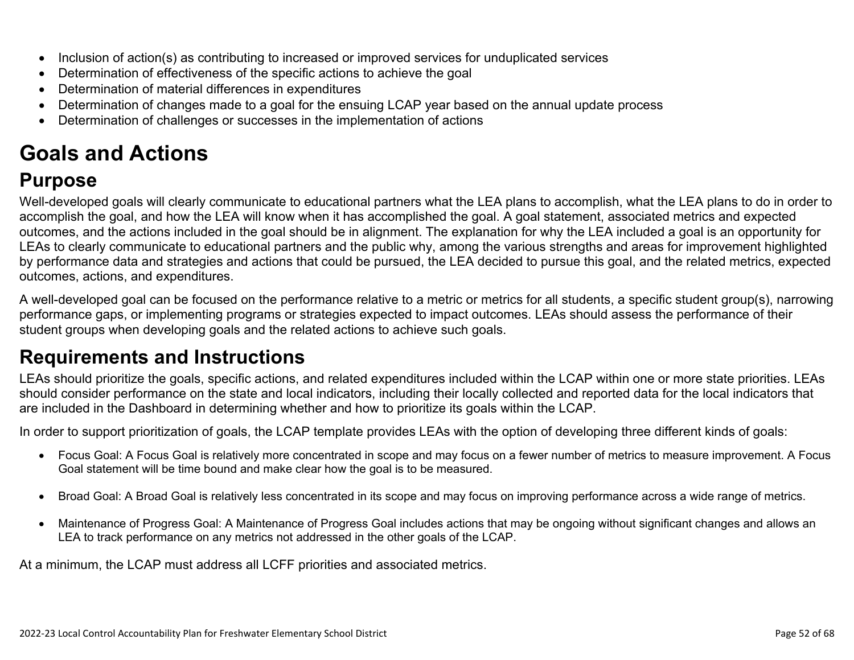- Inclusion of action(s) as contributing to increased or improved services for unduplicated services
- Determination of effectiveness of the specific actions to achieve the goal
- Determination of material differences in expenditures
- Determination of changes made to a goal for the ensuing LCAP year based on the annual update process
- Determination of challenges or successes in the implementation of actions

# **Goals and Actions**

## **Purpose**

Well-developed goals will clearly communicate to educational partners what the LEA plans to accomplish, what the LEA plans to do in order to accomplish the goal, and how the LEA will know when it has accomplished the goal. A goal statement, associated metrics and expected outcomes, and the actions included in the goal should be in alignment. The explanation for why the LEA included a goal is an opportunity for LEAs to clearly communicate to educational partners and the public why, among the various strengths and areas for improvement highlighted by performance data and strategies and actions that could be pursued, the LEA decided to pursue this goal, and the related metrics, expected outcomes, actions, and expenditures.

A well-developed goal can be focused on the performance relative to a metric or metrics for all students, a specific student group(s), narrowing performance gaps, or implementing programs or strategies expected to impact outcomes. LEAs should assess the performance of their student groups when developing goals and the related actions to achieve such goals.

## **Requirements and Instructions**

LEAs should prioritize the goals, specific actions, and related expenditures included within the LCAP within one or more state priorities. LEAs should consider performance on the state and local indicators, including their locally collected and reported data for the local indicators that are included in the Dashboard in determining whether and how to prioritize its goals within the LCAP.

In order to support prioritization of goals, the LCAP template provides LEAs with the option of developing three different kinds of goals:

- Focus Goal: A Focus Goal is relatively more concentrated in scope and may focus on a fewer number of metrics to measure improvement. A Focus Goal statement will be time bound and make clear how the goal is to be measured.
- Broad Goal: A Broad Goal is relatively less concentrated in its scope and may focus on improving performance across a wide range of metrics.
- Maintenance of Progress Goal: A Maintenance of Progress Goal includes actions that may be ongoing without significant changes and allows an LEA to track performance on any metrics not addressed in the other goals of the LCAP.

At a minimum, the LCAP must address all LCFF priorities and associated metrics.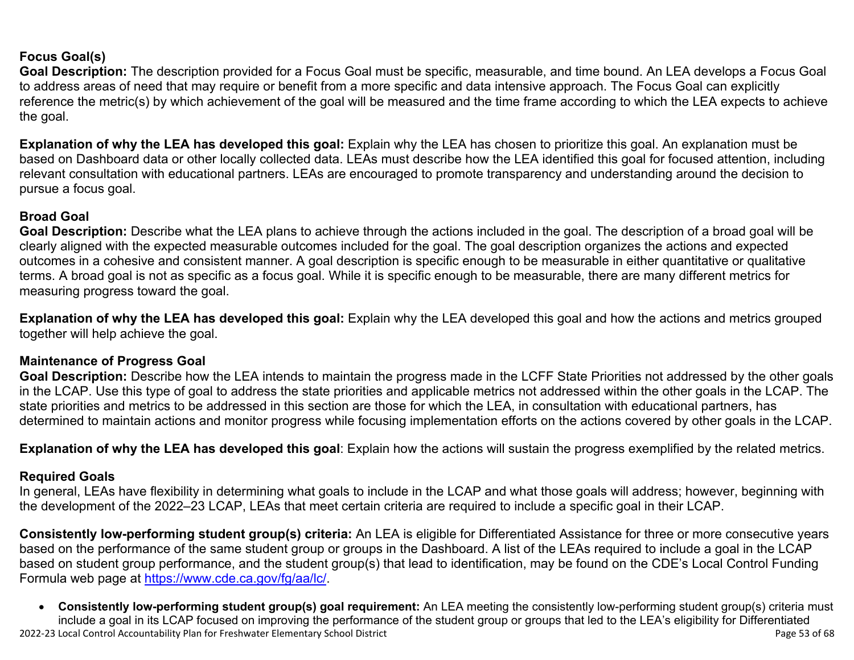#### **Focus Goal(s)**

**Goal Description:** The description provided for a Focus Goal must be specific, measurable, and time bound. An LEA develops a Focus Goal to address areas of need that may require or benefit from a more specific and data intensive approach. The Focus Goal can explicitly reference the metric(s) by which achievement of the goal will be measured and the time frame according to which the LEA expects to achieve the goal.

**Explanation of why the LEA has developed this goal:** Explain why the LEA has chosen to prioritize this goal. An explanation must be based on Dashboard data or other locally collected data. LEAs must describe how the LEA identified this goal for focused attention, including relevant consultation with educational partners. LEAs are encouraged to promote transparency and understanding around the decision to pursue a focus goal.

#### **Broad Goal**

Goal Description: Describe what the LEA plans to achieve through the actions included in the goal. The description of a broad goal will be clearly aligned with the expected measurable outcomes included for the goal. The goal description organizes the actions and expected outcomes in a cohesive and consistent manner. A goal description is specific enough to be measurable in either quantitative or qualitative terms. A broad goal is not as specific as a focus goal. While it is specific enough to be measurable, there are many different metrics for measuring progress toward the goal.

**Explanation of why the LEA has developed this goal:** Explain why the LEA developed this goal and how the actions and metrics grouped together will help achieve the goal.

#### **Maintenance of Progress Goal**

**Goal Description:** Describe how the LEA intends to maintain the progress made in the LCFF State Priorities not addressed by the other goals in the LCAP. Use this type of goal to address the state priorities and applicable metrics not addressed within the other goals in the LCAP. The state priorities and metrics to be addressed in this section are those for which the LEA, in consultation with educational partners, has determined to maintain actions and monitor progress while focusing implementation efforts on the actions covered by other goals in the LCAP.

**Explanation of why the LEA has developed this goal**: Explain how the actions will sustain the progress exemplified by the related metrics.

#### **Required Goals**

In general, LEAs have flexibility in determining what goals to include in the LCAP and what those goals will address; however, beginning with the development of the 2022–23 LCAP, LEAs that meet certain criteria are required to include a specific goal in their LCAP.

**Consistently low-performing student group(s) criteria:** An LEA is eligible for Differentiated Assistance for three or more consecutive years based on the performance of the same student group or groups in the Dashboard. A list of the LEAs required to include a goal in the LCAP based on student group performance, and the student group(s) that lead to identification, may be found on the CDE's Local Control Funding Formula web page at [https://www.cde.ca.gov/fg/aa/lc/.](https://www.cde.ca.gov/fg/aa/lc/)

2022-23 Local Control Accountability Plan for Freshwater Elementary School District Page 53 of 68 • **Consistently low-performing student group(s) goal requirement:** An LEA meeting the consistently low-performing student group(s) criteria must include a goal in its LCAP focused on improving the performance of the student group or groups that led to the LEA's eligibility for Differentiated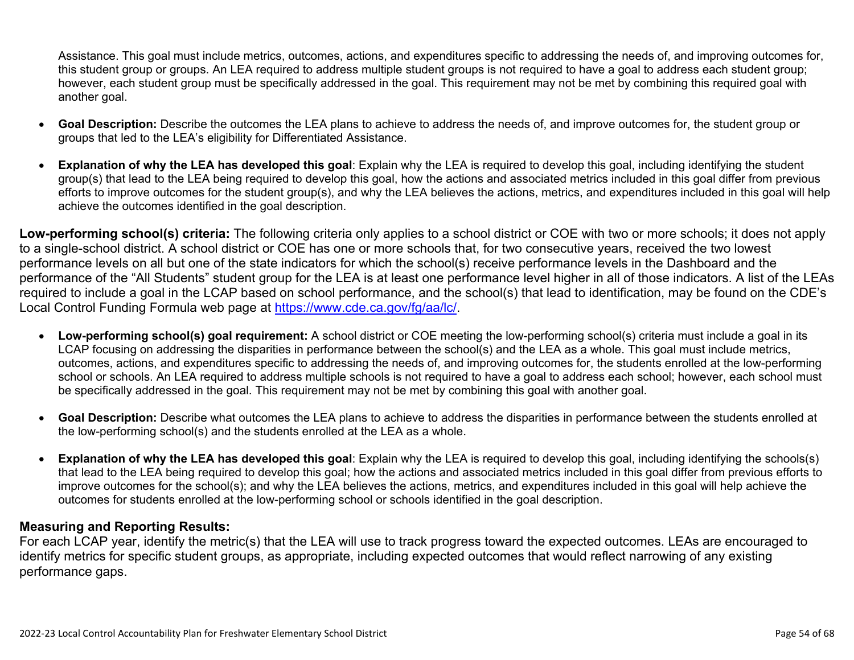Assistance. This goal must include metrics, outcomes, actions, and expenditures specific to addressing the needs of, and improving outcomes for, this student group or groups. An LEA required to address multiple student groups is not required to have a goal to address each student group; however, each student group must be specifically addressed in the goal. This requirement may not be met by combining this required goal with another goal.

- **Goal Description:** Describe the outcomes the LEA plans to achieve to address the needs of, and improve outcomes for, the student group or groups that led to the LEA's eligibility for Differentiated Assistance.
- **Explanation of why the LEA has developed this goal**: Explain why the LEA is required to develop this goal, including identifying the student group(s) that lead to the LEA being required to develop this goal, how the actions and associated metrics included in this goal differ from previous efforts to improve outcomes for the student group(s), and why the LEA believes the actions, metrics, and expenditures included in this goal will help achieve the outcomes identified in the goal description.

**Low-performing school(s) criteria:** The following criteria only applies to a school district or COE with two or more schools; it does not apply to a single-school district. A school district or COE has one or more schools that, for two consecutive years, received the two lowest performance levels on all but one of the state indicators for which the school(s) receive performance levels in the Dashboard and the performance of the "All Students" student group for the LEA is at least one performance level higher in all of those indicators. A list of the LEAs required to include a goal in the LCAP based on school performance, and the school(s) that lead to identification, may be found on the CDE's Local Control Funding Formula web page at [https://www.cde.ca.gov/fg/aa/lc/.](https://www.cde.ca.gov/fg/aa/lc/)

- **Low-performing school(s) goal requirement:** A school district or COE meeting the low-performing school(s) criteria must include a goal in its LCAP focusing on addressing the disparities in performance between the school(s) and the LEA as a whole. This goal must include metrics, outcomes, actions, and expenditures specific to addressing the needs of, and improving outcomes for, the students enrolled at the low-performing school or schools. An LEA required to address multiple schools is not required to have a goal to address each school; however, each school must be specifically addressed in the goal. This requirement may not be met by combining this goal with another goal.
- **Goal Description:** Describe what outcomes the LEA plans to achieve to address the disparities in performance between the students enrolled at the low-performing school(s) and the students enrolled at the LEA as a whole.
- **Explanation of why the LEA has developed this goal**: Explain why the LEA is required to develop this goal, including identifying the schools(s) that lead to the LEA being required to develop this goal; how the actions and associated metrics included in this goal differ from previous efforts to improve outcomes for the school(s); and why the LEA believes the actions, metrics, and expenditures included in this goal will help achieve the outcomes for students enrolled at the low-performing school or schools identified in the goal description.

#### **Measuring and Reporting Results:**

For each LCAP year, identify the metric(s) that the LEA will use to track progress toward the expected outcomes. LEAs are encouraged to identify metrics for specific student groups, as appropriate, including expected outcomes that would reflect narrowing of any existing performance gaps.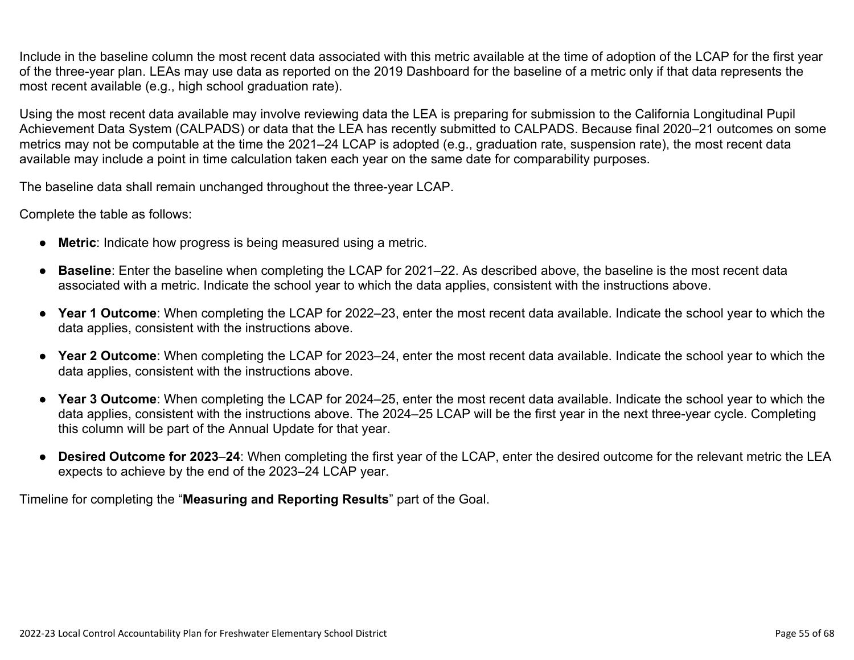Include in the baseline column the most recent data associated with this metric available at the time of adoption of the LCAP for the first year of the three-year plan. LEAs may use data as reported on the 2019 Dashboard for the baseline of a metric only if that data represents the most recent available (e.g., high school graduation rate).

Using the most recent data available may involve reviewing data the LEA is preparing for submission to the California Longitudinal Pupil Achievement Data System (CALPADS) or data that the LEA has recently submitted to CALPADS. Because final 2020–21 outcomes on some metrics may not be computable at the time the 2021–24 LCAP is adopted (e.g., graduation rate, suspension rate), the most recent data available may include a point in time calculation taken each year on the same date for comparability purposes.

The baseline data shall remain unchanged throughout the three-year LCAP.

Complete the table as follows:

- **Metric**: Indicate how progress is being measured using a metric.
- **Baseline**: Enter the baseline when completing the LCAP for 2021–22. As described above, the baseline is the most recent data associated with a metric. Indicate the school year to which the data applies, consistent with the instructions above.
- **Year 1 Outcome**: When completing the LCAP for 2022–23, enter the most recent data available. Indicate the school year to which the data applies, consistent with the instructions above.
- **Year 2 Outcome**: When completing the LCAP for 2023–24, enter the most recent data available. Indicate the school year to which the data applies, consistent with the instructions above.
- **Year 3 Outcome**: When completing the LCAP for 2024–25, enter the most recent data available. Indicate the school year to which the data applies, consistent with the instructions above. The 2024–25 LCAP will be the first year in the next three-year cycle. Completing this column will be part of the Annual Update for that year.
- **Desired Outcome for 2023**–**24**: When completing the first year of the LCAP, enter the desired outcome for the relevant metric the LEA expects to achieve by the end of the 2023–24 LCAP year.

Timeline for completing the "**Measuring and Reporting Results**" part of the Goal.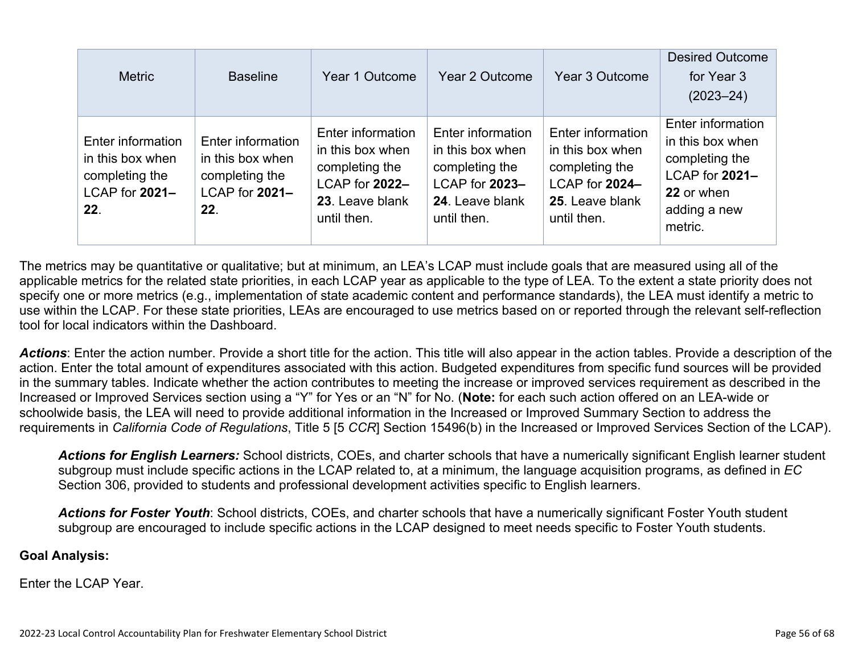| <b>Metric</b>                                                                    | <b>Baseline</b>                                                                  | Year 1 Outcome                                                                                              | Year 2 Outcome                                                                                              | Year 3 Outcome                                                                                              | <b>Desired Outcome</b><br>for Year 3<br>$(2023 - 24)$                                                              |
|----------------------------------------------------------------------------------|----------------------------------------------------------------------------------|-------------------------------------------------------------------------------------------------------------|-------------------------------------------------------------------------------------------------------------|-------------------------------------------------------------------------------------------------------------|--------------------------------------------------------------------------------------------------------------------|
| Enter information<br>in this box when<br>completing the<br>LCAP for 2021-<br>22. | Enter information<br>in this box when<br>completing the<br>LCAP for 2021-<br>22. | Enter information<br>in this box when<br>completing the<br>LCAP for 2022-<br>23. Leave blank<br>until then. | Enter information<br>in this box when<br>completing the<br>LCAP for 2023-<br>24. Leave blank<br>until then. | Enter information<br>in this box when<br>completing the<br>LCAP for 2024-<br>25. Leave blank<br>until then. | Enter information<br>in this box when<br>completing the<br>LCAP for 2021-<br>22 or when<br>adding a new<br>metric. |

The metrics may be quantitative or qualitative; but at minimum, an LEA's LCAP must include goals that are measured using all of the applicable metrics for the related state priorities, in each LCAP year as applicable to the type of LEA. To the extent a state priority does not specify one or more metrics (e.g., implementation of state academic content and performance standards), the LEA must identify a metric to use within the LCAP. For these state priorities, LEAs are encouraged to use metrics based on or reported through the relevant self-reflection tool for local indicators within the Dashboard.

*Actions*: Enter the action number. Provide a short title for the action. This title will also appear in the action tables. Provide a description of the action. Enter the total amount of expenditures associated with this action. Budgeted expenditures from specific fund sources will be provided in the summary tables. Indicate whether the action contributes to meeting the increase or improved services requirement as described in the Increased or Improved Services section using a "Y" for Yes or an "N" for No. (**Note:** for each such action offered on an LEA-wide or schoolwide basis, the LEA will need to provide additional information in the Increased or Improved Summary Section to address the requirements in *California Code of Regulations*, Title 5 [5 *CCR*] Section 15496(b) in the Increased or Improved Services Section of the LCAP).

*Actions for English Learners:* School districts, COEs, and charter schools that have a numerically significant English learner student subgroup must include specific actions in the LCAP related to, at a minimum, the language acquisition programs, as defined in *EC* Section 306, provided to students and professional development activities specific to English learners.

*Actions for Foster Youth*: School districts, COEs, and charter schools that have a numerically significant Foster Youth student subgroup are encouraged to include specific actions in the LCAP designed to meet needs specific to Foster Youth students.

#### **Goal Analysis:**

Enter the LCAP Year.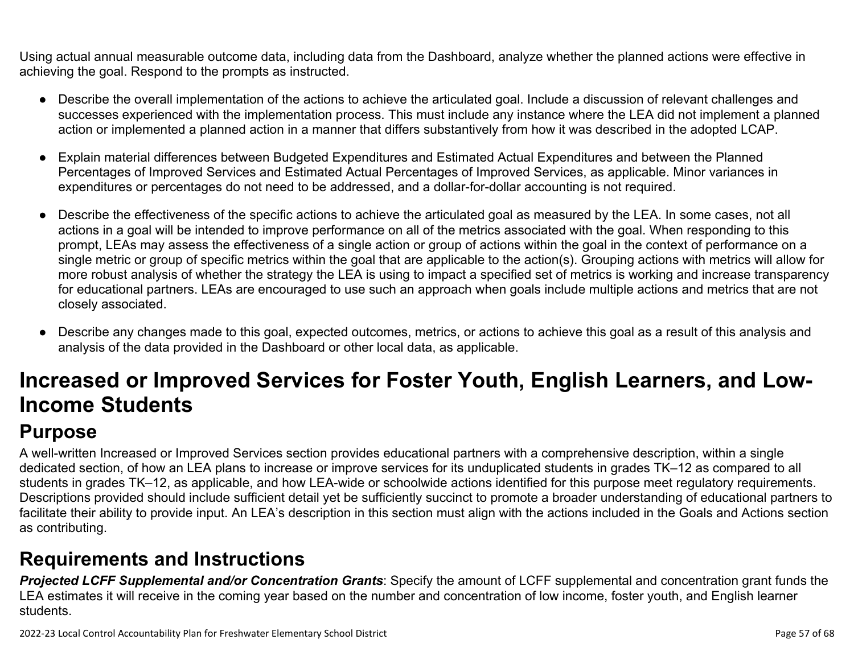Using actual annual measurable outcome data, including data from the Dashboard, analyze whether the planned actions were effective in achieving the goal. Respond to the prompts as instructed.

- Describe the overall implementation of the actions to achieve the articulated goal. Include a discussion of relevant challenges and successes experienced with the implementation process. This must include any instance where the LEA did not implement a planned action or implemented a planned action in a manner that differs substantively from how it was described in the adopted LCAP.
- Explain material differences between Budgeted Expenditures and Estimated Actual Expenditures and between the Planned Percentages of Improved Services and Estimated Actual Percentages of Improved Services, as applicable. Minor variances in expenditures or percentages do not need to be addressed, and a dollar-for-dollar accounting is not required.
- Describe the effectiveness of the specific actions to achieve the articulated goal as measured by the LEA. In some cases, not all actions in a goal will be intended to improve performance on all of the metrics associated with the goal. When responding to this prompt, LEAs may assess the effectiveness of a single action or group of actions within the goal in the context of performance on a single metric or group of specific metrics within the goal that are applicable to the action(s). Grouping actions with metrics will allow for more robust analysis of whether the strategy the LEA is using to impact a specified set of metrics is working and increase transparency for educational partners. LEAs are encouraged to use such an approach when goals include multiple actions and metrics that are not closely associated.
- Describe any changes made to this goal, expected outcomes, metrics, or actions to achieve this goal as a result of this analysis and analysis of the data provided in the Dashboard or other local data, as applicable.

# **Increased or Improved Services for Foster Youth, English Learners, and Low-Income Students**

## **Purpose**

A well-written Increased or Improved Services section provides educational partners with a comprehensive description, within a single dedicated section, of how an LEA plans to increase or improve services for its unduplicated students in grades TK–12 as compared to all students in grades TK–12, as applicable, and how LEA-wide or schoolwide actions identified for this purpose meet regulatory requirements. Descriptions provided should include sufficient detail yet be sufficiently succinct to promote a broader understanding of educational partners to facilitate their ability to provide input. An LEA's description in this section must align with the actions included in the Goals and Actions section as contributing.

## **Requirements and Instructions**

*Projected LCFF Supplemental and/or Concentration Grants*: Specify the amount of LCFF supplemental and concentration grant funds the LEA estimates it will receive in the coming year based on the number and concentration of low income, foster youth, and English learner students.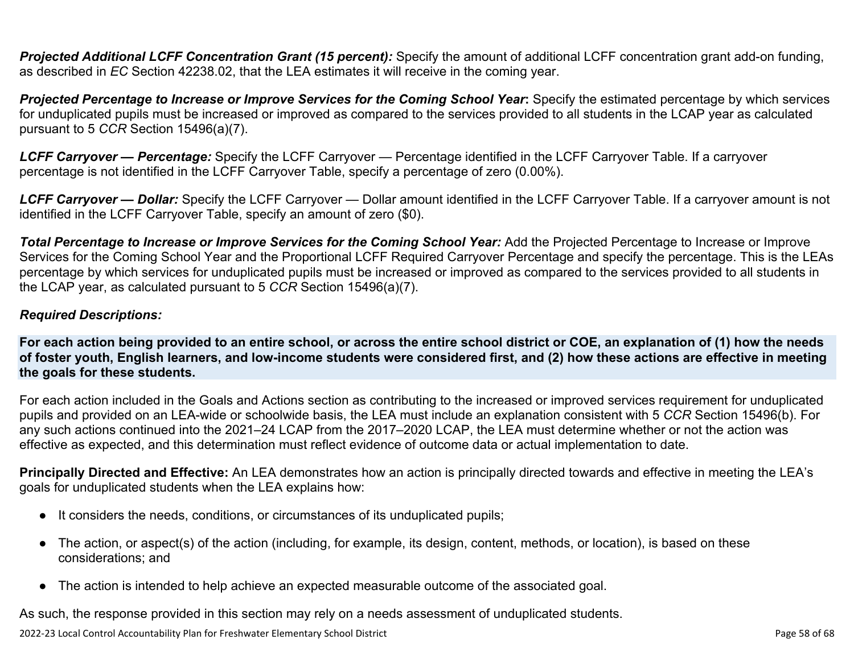**Projected Additional LCFF Concentration Grant (15 percent):** Specify the amount of additional LCFF concentration grant add-on funding, as described in *EC* Section 42238.02, that the LEA estimates it will receive in the coming year.

*Projected Percentage to Increase or Improve Services for the Coming School Year***:** Specify the estimated percentage by which services for unduplicated pupils must be increased or improved as compared to the services provided to all students in the LCAP year as calculated pursuant to 5 *CCR* Section 15496(a)(7).

*LCFF Carryover — Percentage:* Specify the LCFF Carryover — Percentage identified in the LCFF Carryover Table. If a carryover percentage is not identified in the LCFF Carryover Table, specify a percentage of zero (0.00%).

*LCFF Carryover — Dollar:* Specify the LCFF Carryover — Dollar amount identified in the LCFF Carryover Table. If a carryover amount is not identified in the LCFF Carryover Table, specify an amount of zero (\$0).

**Total Percentage to Increase or Improve Services for the Coming School Year:** Add the Projected Percentage to Increase or Improve Services for the Coming School Year and the Proportional LCFF Required Carryover Percentage and specify the percentage. This is the LEAs percentage by which services for unduplicated pupils must be increased or improved as compared to the services provided to all students in the LCAP year, as calculated pursuant to 5 *CCR* Section 15496(a)(7).

#### *Required Descriptions:*

**For each action being provided to an entire school, or across the entire school district or COE, an explanation of (1) how the needs of foster youth, English learners, and low-income students were considered first, and (2) how these actions are effective in meeting the goals for these students.**

For each action included in the Goals and Actions section as contributing to the increased or improved services requirement for unduplicated pupils and provided on an LEA-wide or schoolwide basis, the LEA must include an explanation consistent with 5 *CCR* Section 15496(b). For any such actions continued into the 2021–24 LCAP from the 2017–2020 LCAP, the LEA must determine whether or not the action was effective as expected, and this determination must reflect evidence of outcome data or actual implementation to date.

**Principally Directed and Effective:** An LEA demonstrates how an action is principally directed towards and effective in meeting the LEA's goals for unduplicated students when the LEA explains how:

- It considers the needs, conditions, or circumstances of its unduplicated pupils;
- The action, or aspect(s) of the action (including, for example, its design, content, methods, or location), is based on these considerations; and
- The action is intended to help achieve an expected measurable outcome of the associated goal.

As such, the response provided in this section may rely on a needs assessment of unduplicated students.

2022-23 Local Control Accountability Plan for Freshwater Elementary School District **Page 58 of 68** and the state of 68 of 68 of 68 of 68 and the state Page 58 of 68 and the state Page 58 of 68 and the state Page 58 of 68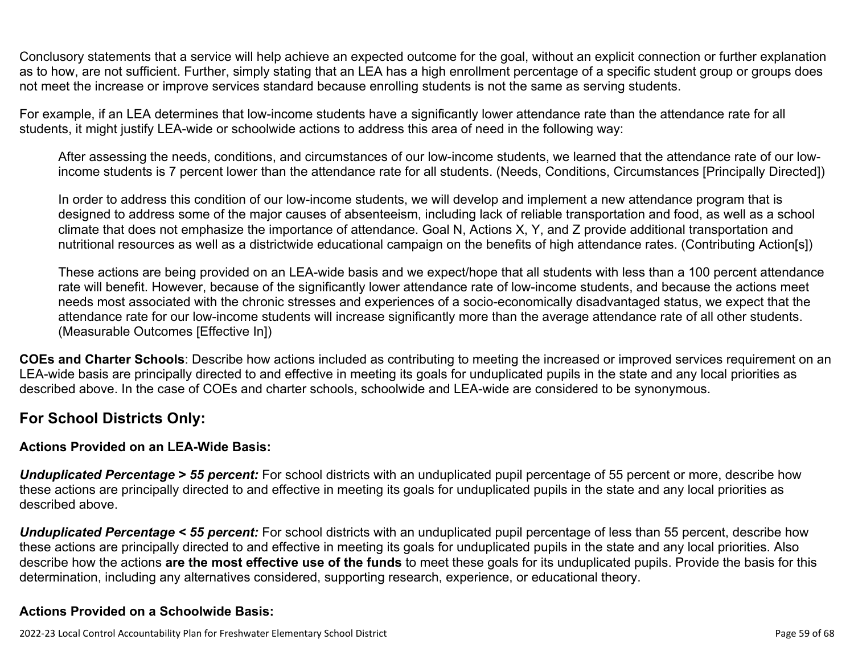Conclusory statements that a service will help achieve an expected outcome for the goal, without an explicit connection or further explanation as to how, are not sufficient. Further, simply stating that an LEA has a high enrollment percentage of a specific student group or groups does not meet the increase or improve services standard because enrolling students is not the same as serving students.

For example, if an LEA determines that low-income students have a significantly lower attendance rate than the attendance rate for all students, it might justify LEA-wide or schoolwide actions to address this area of need in the following way:

After assessing the needs, conditions, and circumstances of our low-income students, we learned that the attendance rate of our lowincome students is 7 percent lower than the attendance rate for all students. (Needs, Conditions, Circumstances [Principally Directed])

In order to address this condition of our low-income students, we will develop and implement a new attendance program that is designed to address some of the major causes of absenteeism, including lack of reliable transportation and food, as well as a school climate that does not emphasize the importance of attendance. Goal N, Actions X, Y, and Z provide additional transportation and nutritional resources as well as a districtwide educational campaign on the benefits of high attendance rates. (Contributing Action[s])

These actions are being provided on an LEA-wide basis and we expect/hope that all students with less than a 100 percent attendance rate will benefit. However, because of the significantly lower attendance rate of low-income students, and because the actions meet needs most associated with the chronic stresses and experiences of a socio-economically disadvantaged status, we expect that the attendance rate for our low-income students will increase significantly more than the average attendance rate of all other students. (Measurable Outcomes [Effective In])

**COEs and Charter Schools**: Describe how actions included as contributing to meeting the increased or improved services requirement on an LEA-wide basis are principally directed to and effective in meeting its goals for unduplicated pupils in the state and any local priorities as described above. In the case of COEs and charter schools, schoolwide and LEA-wide are considered to be synonymous.

### **For School Districts Only:**

#### **Actions Provided on an LEA-Wide Basis:**

*Unduplicated Percentage > 55 percent:* For school districts with an unduplicated pupil percentage of 55 percent or more, describe how these actions are principally directed to and effective in meeting its goals for unduplicated pupils in the state and any local priorities as described above.

*Unduplicated Percentage < 55 percent:* For school districts with an unduplicated pupil percentage of less than 55 percent, describe how these actions are principally directed to and effective in meeting its goals for unduplicated pupils in the state and any local priorities. Also describe how the actions **are the most effective use of the funds** to meet these goals for its unduplicated pupils. Provide the basis for this determination, including any alternatives considered, supporting research, experience, or educational theory.

#### **Actions Provided on a Schoolwide Basis:**

2022-23 Local Control Accountability Plan for Freshwater Elementary School District **Page 59 of 68** and the state of 68 of 68 of 68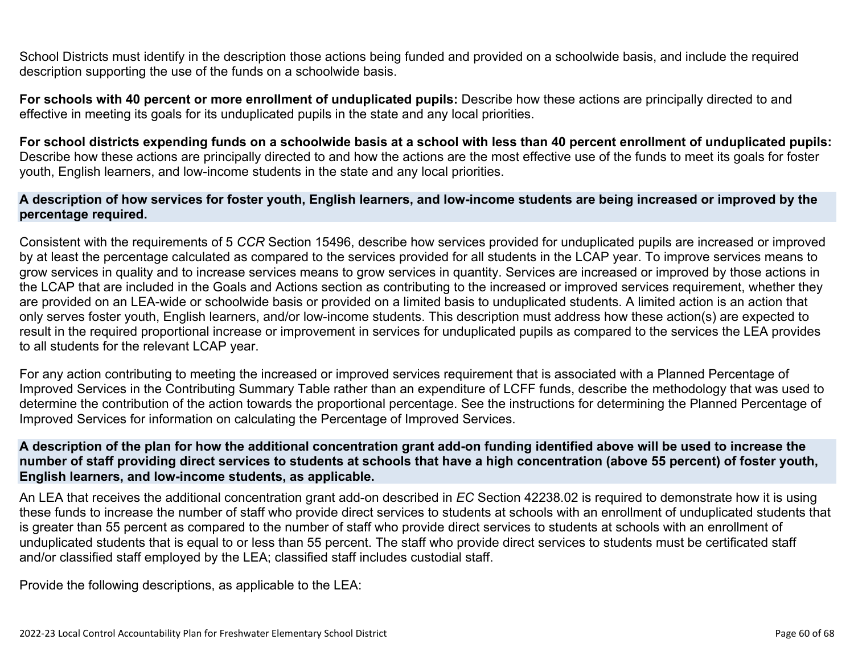School Districts must identify in the description those actions being funded and provided on a schoolwide basis, and include the required description supporting the use of the funds on a schoolwide basis.

**For schools with 40 percent or more enrollment of unduplicated pupils:** Describe how these actions are principally directed to and effective in meeting its goals for its unduplicated pupils in the state and any local priorities.

**For school districts expending funds on a schoolwide basis at a school with less than 40 percent enrollment of unduplicated pupils:** Describe how these actions are principally directed to and how the actions are the most effective use of the funds to meet its goals for foster youth, English learners, and low-income students in the state and any local priorities.

#### **A description of how services for foster youth, English learners, and low-income students are being increased or improved by the percentage required.**

Consistent with the requirements of 5 *CCR* Section 15496, describe how services provided for unduplicated pupils are increased or improved by at least the percentage calculated as compared to the services provided for all students in the LCAP year. To improve services means to grow services in quality and to increase services means to grow services in quantity. Services are increased or improved by those actions in the LCAP that are included in the Goals and Actions section as contributing to the increased or improved services requirement, whether they are provided on an LEA-wide or schoolwide basis or provided on a limited basis to unduplicated students. A limited action is an action that only serves foster youth, English learners, and/or low-income students. This description must address how these action(s) are expected to result in the required proportional increase or improvement in services for unduplicated pupils as compared to the services the LEA provides to all students for the relevant LCAP year.

For any action contributing to meeting the increased or improved services requirement that is associated with a Planned Percentage of Improved Services in the Contributing Summary Table rather than an expenditure of LCFF funds, describe the methodology that was used to determine the contribution of the action towards the proportional percentage. See the instructions for determining the Planned Percentage of Improved Services for information on calculating the Percentage of Improved Services.

#### **A description of the plan for how the additional concentration grant add-on funding identified above will be used to increase the number of staff providing direct services to students at schools that have a high concentration (above 55 percent) of foster youth, English learners, and low-income students, as applicable.**

An LEA that receives the additional concentration grant add-on described in *EC* Section 42238.02 is required to demonstrate how it is using these funds to increase the number of staff who provide direct services to students at schools with an enrollment of unduplicated students that is greater than 55 percent as compared to the number of staff who provide direct services to students at schools with an enrollment of unduplicated students that is equal to or less than 55 percent. The staff who provide direct services to students must be certificated staff and/or classified staff employed by the LEA; classified staff includes custodial staff.

Provide the following descriptions, as applicable to the LEA: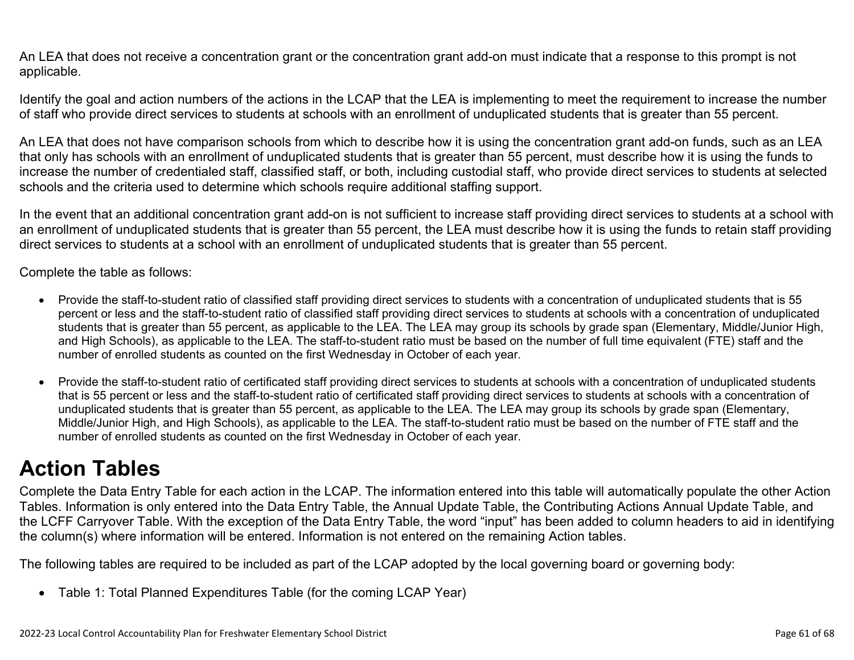An LEA that does not receive a concentration grant or the concentration grant add-on must indicate that a response to this prompt is not applicable.

Identify the goal and action numbers of the actions in the LCAP that the LEA is implementing to meet the requirement to increase the number of staff who provide direct services to students at schools with an enrollment of unduplicated students that is greater than 55 percent.

An LEA that does not have comparison schools from which to describe how it is using the concentration grant add-on funds, such as an LEA that only has schools with an enrollment of unduplicated students that is greater than 55 percent, must describe how it is using the funds to increase the number of credentialed staff, classified staff, or both, including custodial staff, who provide direct services to students at selected schools and the criteria used to determine which schools require additional staffing support.

In the event that an additional concentration grant add-on is not sufficient to increase staff providing direct services to students at a school with an enrollment of unduplicated students that is greater than 55 percent, the LEA must describe how it is using the funds to retain staff providing direct services to students at a school with an enrollment of unduplicated students that is greater than 55 percent.

Complete the table as follows:

- Provide the staff-to-student ratio of classified staff providing direct services to students with a concentration of unduplicated students that is 55 percent or less and the staff-to-student ratio of classified staff providing direct services to students at schools with a concentration of unduplicated students that is greater than 55 percent, as applicable to the LEA. The LEA may group its schools by grade span (Elementary, Middle/Junior High, and High Schools), as applicable to the LEA. The staff-to-student ratio must be based on the number of full time equivalent (FTE) staff and the number of enrolled students as counted on the first Wednesday in October of each year.
- Provide the staff-to-student ratio of certificated staff providing direct services to students at schools with a concentration of unduplicated students that is 55 percent or less and the staff-to-student ratio of certificated staff providing direct services to students at schools with a concentration of unduplicated students that is greater than 55 percent, as applicable to the LEA. The LEA may group its schools by grade span (Elementary, Middle/Junior High, and High Schools), as applicable to the LEA. The staff-to-student ratio must be based on the number of FTE staff and the number of enrolled students as counted on the first Wednesday in October of each year.

## **Action Tables**

Complete the Data Entry Table for each action in the LCAP. The information entered into this table will automatically populate the other Action Tables. Information is only entered into the Data Entry Table, the Annual Update Table, the Contributing Actions Annual Update Table, and the LCFF Carryover Table. With the exception of the Data Entry Table, the word "input" has been added to column headers to aid in identifying the column(s) where information will be entered. Information is not entered on the remaining Action tables.

The following tables are required to be included as part of the LCAP adopted by the local governing board or governing body:

• Table 1: Total Planned Expenditures Table (for the coming LCAP Year)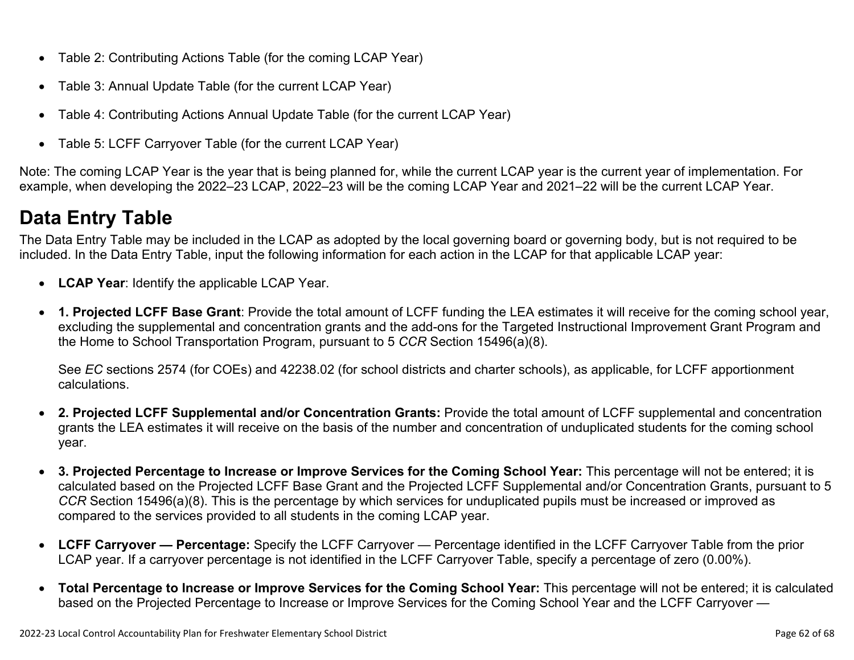- Table 2: Contributing Actions Table (for the coming LCAP Year)
- Table 3: Annual Update Table (for the current LCAP Year)
- Table 4: Contributing Actions Annual Update Table (for the current LCAP Year)
- Table 5: LCFF Carryover Table (for the current LCAP Year)

Note: The coming LCAP Year is the year that is being planned for, while the current LCAP year is the current year of implementation. For example, when developing the 2022–23 LCAP, 2022–23 will be the coming LCAP Year and 2021–22 will be the current LCAP Year.

## **Data Entry Table**

The Data Entry Table may be included in the LCAP as adopted by the local governing board or governing body, but is not required to be included. In the Data Entry Table, input the following information for each action in the LCAP for that applicable LCAP year:

- **LCAP Year**: Identify the applicable LCAP Year.
- **1. Projected LCFF Base Grant**: Provide the total amount of LCFF funding the LEA estimates it will receive for the coming school year, excluding the supplemental and concentration grants and the add-ons for the Targeted Instructional Improvement Grant Program and the Home to School Transportation Program, pursuant to 5 *CCR* Section 15496(a)(8).

See *EC* sections 2574 (for COEs) and 42238.02 (for school districts and charter schools), as applicable, for LCFF apportionment calculations.

- **2. Projected LCFF Supplemental and/or Concentration Grants:** Provide the total amount of LCFF supplemental and concentration grants the LEA estimates it will receive on the basis of the number and concentration of unduplicated students for the coming school year.
- **3. Projected Percentage to Increase or Improve Services for the Coming School Year:** This percentage will not be entered; it is calculated based on the Projected LCFF Base Grant and the Projected LCFF Supplemental and/or Concentration Grants, pursuant to 5 *CCR* Section 15496(a)(8). This is the percentage by which services for unduplicated pupils must be increased or improved as compared to the services provided to all students in the coming LCAP year.
- **LCFF Carryover Percentage:** Specify the LCFF Carryover Percentage identified in the LCFF Carryover Table from the prior LCAP year. If a carryover percentage is not identified in the LCFF Carryover Table, specify a percentage of zero (0.00%).
- **Total Percentage to Increase or Improve Services for the Coming School Year:** This percentage will not be entered; it is calculated based on the Projected Percentage to Increase or Improve Services for the Coming School Year and the LCFF Carryover —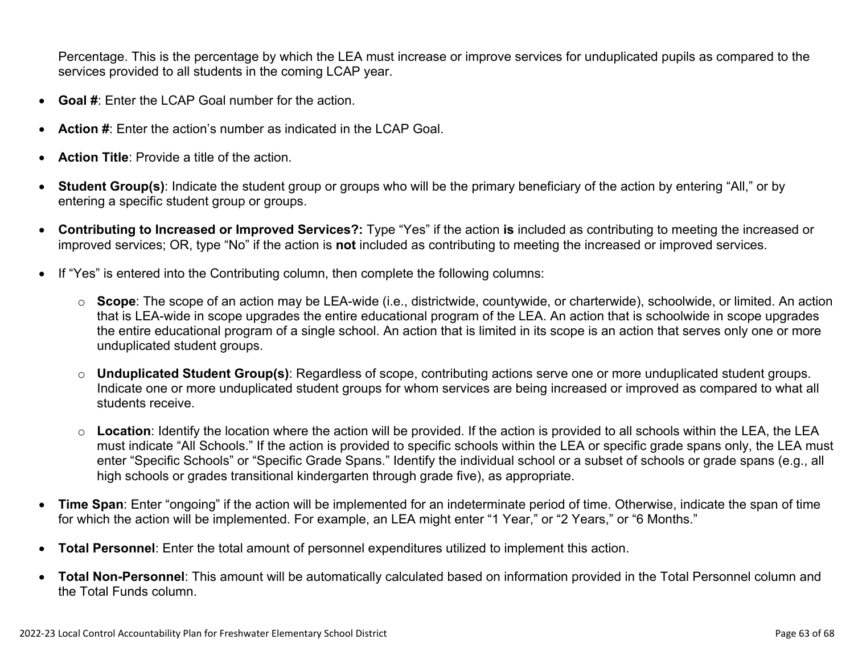Percentage. This is the percentage by which the LEA must increase or improve services for unduplicated pupils as compared to the services provided to all students in the coming LCAP year.

- **Goal #**: Enter the LCAP Goal number for the action.
- **Action #**: Enter the action's number as indicated in the LCAP Goal.
- **Action Title**: Provide a title of the action.
- **Student Group(s)**: Indicate the student group or groups who will be the primary beneficiary of the action by entering "All," or by entering a specific student group or groups.
- **Contributing to Increased or Improved Services?:** Type "Yes" if the action **is** included as contributing to meeting the increased or improved services; OR, type "No" if the action is **not** included as contributing to meeting the increased or improved services.
- If "Yes" is entered into the Contributing column, then complete the following columns:
	- o **Scope**: The scope of an action may be LEA-wide (i.e., districtwide, countywide, or charterwide), schoolwide, or limited. An action that is LEA-wide in scope upgrades the entire educational program of the LEA. An action that is schoolwide in scope upgrades the entire educational program of a single school. An action that is limited in its scope is an action that serves only one or more unduplicated student groups.
	- o **Unduplicated Student Group(s)**: Regardless of scope, contributing actions serve one or more unduplicated student groups. Indicate one or more unduplicated student groups for whom services are being increased or improved as compared to what all students receive.
	- o **Location**: Identify the location where the action will be provided. If the action is provided to all schools within the LEA, the LEA must indicate "All Schools." If the action is provided to specific schools within the LEA or specific grade spans only, the LEA must enter "Specific Schools" or "Specific Grade Spans." Identify the individual school or a subset of schools or grade spans (e.g., all high schools or grades transitional kindergarten through grade five), as appropriate.
- **Time Span**: Enter "ongoing" if the action will be implemented for an indeterminate period of time. Otherwise, indicate the span of time for which the action will be implemented. For example, an LEA might enter "1 Year," or "2 Years," or "6 Months."
- **Total Personnel**: Enter the total amount of personnel expenditures utilized to implement this action.
- **Total Non-Personnel**: This amount will be automatically calculated based on information provided in the Total Personnel column and the Total Funds column.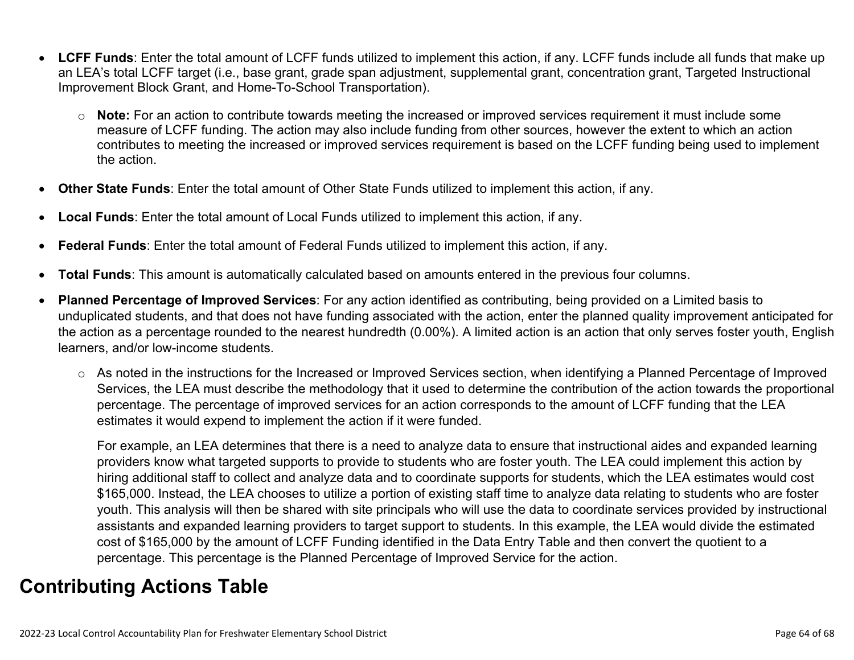- **LCFF Funds**: Enter the total amount of LCFF funds utilized to implement this action, if any. LCFF funds include all funds that make up an LEA's total LCFF target (i.e., base grant, grade span adjustment, supplemental grant, concentration grant, Targeted Instructional Improvement Block Grant, and Home-To-School Transportation).
	- o **Note:** For an action to contribute towards meeting the increased or improved services requirement it must include some measure of LCFF funding. The action may also include funding from other sources, however the extent to which an action contributes to meeting the increased or improved services requirement is based on the LCFF funding being used to implement the action.
- **Other State Funds**: Enter the total amount of Other State Funds utilized to implement this action, if any.
- **Local Funds**: Enter the total amount of Local Funds utilized to implement this action, if any.
- **Federal Funds**: Enter the total amount of Federal Funds utilized to implement this action, if any.
- **Total Funds**: This amount is automatically calculated based on amounts entered in the previous four columns.
- **Planned Percentage of Improved Services**: For any action identified as contributing, being provided on a Limited basis to unduplicated students, and that does not have funding associated with the action, enter the planned quality improvement anticipated for the action as a percentage rounded to the nearest hundredth (0.00%). A limited action is an action that only serves foster youth, English learners, and/or low-income students.
	- o As noted in the instructions for the Increased or Improved Services section, when identifying a Planned Percentage of Improved Services, the LEA must describe the methodology that it used to determine the contribution of the action towards the proportional percentage. The percentage of improved services for an action corresponds to the amount of LCFF funding that the LEA estimates it would expend to implement the action if it were funded.

For example, an LEA determines that there is a need to analyze data to ensure that instructional aides and expanded learning providers know what targeted supports to provide to students who are foster youth. The LEA could implement this action by hiring additional staff to collect and analyze data and to coordinate supports for students, which the LEA estimates would cost \$165,000. Instead, the LEA chooses to utilize a portion of existing staff time to analyze data relating to students who are foster youth. This analysis will then be shared with site principals who will use the data to coordinate services provided by instructional assistants and expanded learning providers to target support to students. In this example, the LEA would divide the estimated cost of \$165,000 by the amount of LCFF Funding identified in the Data Entry Table and then convert the quotient to a percentage. This percentage is the Planned Percentage of Improved Service for the action.

## **Contributing Actions Table**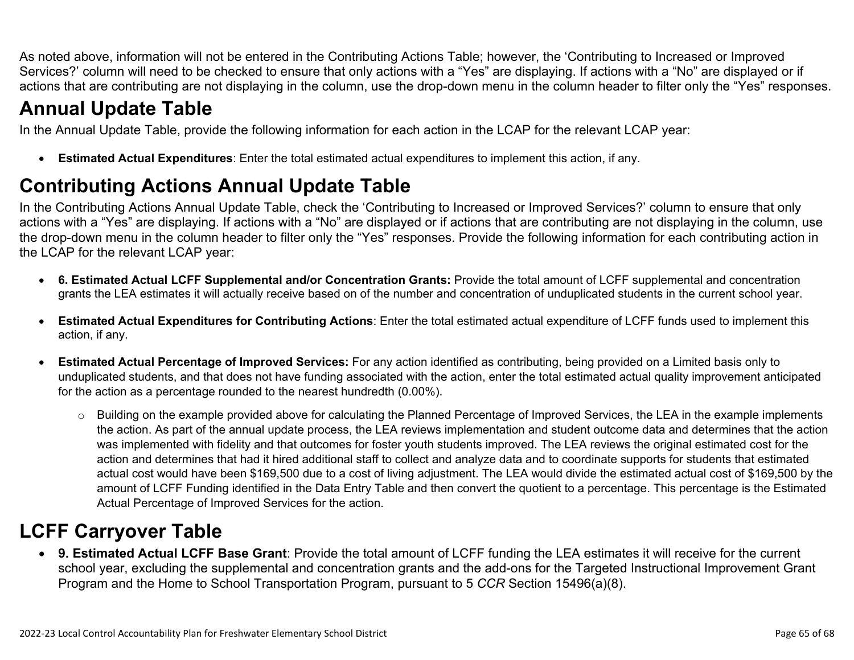As noted above, information will not be entered in the Contributing Actions Table; however, the 'Contributing to Increased or Improved Services?' column will need to be checked to ensure that only actions with a "Yes" are displaying. If actions with a "No" are displayed or if actions that are contributing are not displaying in the column, use the drop-down menu in the column header to filter only the "Yes" responses.

## **Annual Update Table**

In the Annual Update Table, provide the following information for each action in the LCAP for the relevant LCAP year:

• **Estimated Actual Expenditures**: Enter the total estimated actual expenditures to implement this action, if any.

## **Contributing Actions Annual Update Table**

In the Contributing Actions Annual Update Table, check the 'Contributing to Increased or Improved Services?' column to ensure that only actions with a "Yes" are displaying. If actions with a "No" are displayed or if actions that are contributing are not displaying in the column, use the drop-down menu in the column header to filter only the "Yes" responses. Provide the following information for each contributing action in the LCAP for the relevant LCAP year:

- **6. Estimated Actual LCFF Supplemental and/or Concentration Grants:** Provide the total amount of LCFF supplemental and concentration grants the LEA estimates it will actually receive based on of the number and concentration of unduplicated students in the current school year.
- **Estimated Actual Expenditures for Contributing Actions**: Enter the total estimated actual expenditure of LCFF funds used to implement this action, if any.
- **Estimated Actual Percentage of Improved Services:** For any action identified as contributing, being provided on a Limited basis only to unduplicated students, and that does not have funding associated with the action, enter the total estimated actual quality improvement anticipated for the action as a percentage rounded to the nearest hundredth (0.00%).
	- o Building on the example provided above for calculating the Planned Percentage of Improved Services, the LEA in the example implements the action. As part of the annual update process, the LEA reviews implementation and student outcome data and determines that the action was implemented with fidelity and that outcomes for foster youth students improved. The LEA reviews the original estimated cost for the action and determines that had it hired additional staff to collect and analyze data and to coordinate supports for students that estimated actual cost would have been \$169,500 due to a cost of living adjustment. The LEA would divide the estimated actual cost of \$169,500 by the amount of LCFF Funding identified in the Data Entry Table and then convert the quotient to a percentage. This percentage is the Estimated Actual Percentage of Improved Services for the action.

## **LCFF Carryover Table**

• **9. Estimated Actual LCFF Base Grant**: Provide the total amount of LCFF funding the LEA estimates it will receive for the current school year, excluding the supplemental and concentration grants and the add-ons for the Targeted Instructional Improvement Grant Program and the Home to School Transportation Program, pursuant to 5 *CCR* Section 15496(a)(8).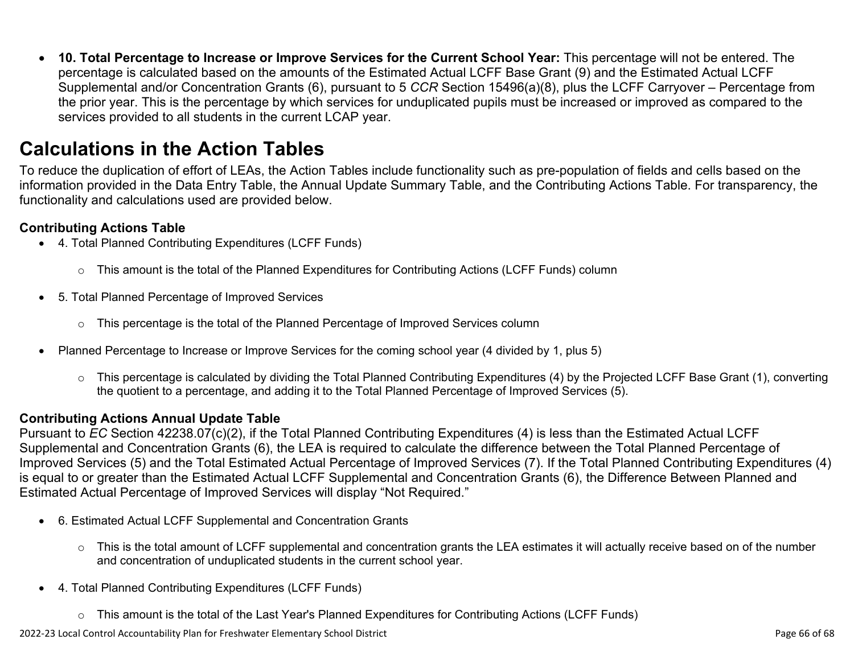• **10. Total Percentage to Increase or Improve Services for the Current School Year:** This percentage will not be entered. The percentage is calculated based on the amounts of the Estimated Actual LCFF Base Grant (9) and the Estimated Actual LCFF Supplemental and/or Concentration Grants (6), pursuant to 5 *CCR* Section 15496(a)(8), plus the LCFF Carryover – Percentage from the prior year. This is the percentage by which services for unduplicated pupils must be increased or improved as compared to the services provided to all students in the current LCAP year.

## **Calculations in the Action Tables**

To reduce the duplication of effort of LEAs, the Action Tables include functionality such as pre-population of fields and cells based on the information provided in the Data Entry Table, the Annual Update Summary Table, and the Contributing Actions Table. For transparency, the functionality and calculations used are provided below.

#### **Contributing Actions Table**

- 4. Total Planned Contributing Expenditures (LCFF Funds)
	- $\circ$  This amount is the total of the Planned Expenditures for Contributing Actions (LCFF Funds) column
- 5. Total Planned Percentage of Improved Services
	- $\circ$  This percentage is the total of the Planned Percentage of Improved Services column
- Planned Percentage to Increase or Improve Services for the coming school year (4 divided by 1, plus 5)
	- o This percentage is calculated by dividing the Total Planned Contributing Expenditures (4) by the Projected LCFF Base Grant (1), converting the quotient to a percentage, and adding it to the Total Planned Percentage of Improved Services (5).

#### **Contributing Actions Annual Update Table**

Pursuant to *EC* Section 42238.07(c)(2), if the Total Planned Contributing Expenditures (4) is less than the Estimated Actual LCFF Supplemental and Concentration Grants (6), the LEA is required to calculate the difference between the Total Planned Percentage of Improved Services (5) and the Total Estimated Actual Percentage of Improved Services (7). If the Total Planned Contributing Expenditures (4) is equal to or greater than the Estimated Actual LCFF Supplemental and Concentration Grants (6), the Difference Between Planned and Estimated Actual Percentage of Improved Services will display "Not Required."

- 6. Estimated Actual LCFF Supplemental and Concentration Grants
	- $\circ$  This is the total amount of LCFF supplemental and concentration grants the LEA estimates it will actually receive based on of the number and concentration of unduplicated students in the current school year.
- 4. Total Planned Contributing Expenditures (LCFF Funds)
	- $\circ$  This amount is the total of the Last Year's Planned Expenditures for Contributing Actions (LCFF Funds)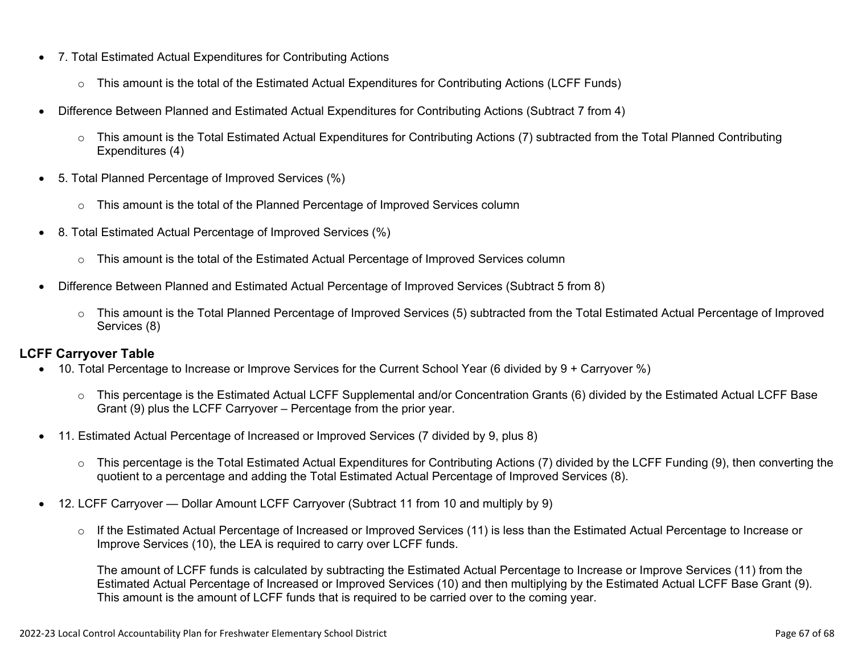- 7. Total Estimated Actual Expenditures for Contributing Actions
	- o This amount is the total of the Estimated Actual Expenditures for Contributing Actions (LCFF Funds)
- Difference Between Planned and Estimated Actual Expenditures for Contributing Actions (Subtract 7 from 4)
	- $\circ$  This amount is the Total Estimated Actual Expenditures for Contributing Actions (7) subtracted from the Total Planned Contributing Expenditures (4)
- 5. Total Planned Percentage of Improved Services (%)
	- o This amount is the total of the Planned Percentage of Improved Services column
- 8. Total Estimated Actual Percentage of Improved Services (%)
	- o This amount is the total of the Estimated Actual Percentage of Improved Services column
- Difference Between Planned and Estimated Actual Percentage of Improved Services (Subtract 5 from 8)
	- o This amount is the Total Planned Percentage of Improved Services (5) subtracted from the Total Estimated Actual Percentage of Improved Services (8)

#### **LCFF Carryover Table**

- 10. Total Percentage to Increase or Improve Services for the Current School Year (6 divided by 9 + Carryover %)
	- $\circ$  This percentage is the Estimated Actual LCFF Supplemental and/or Concentration Grants (6) divided by the Estimated Actual LCFF Base Grant (9) plus the LCFF Carryover – Percentage from the prior year.
- 11. Estimated Actual Percentage of Increased or Improved Services (7 divided by 9, plus 8)
	- o This percentage is the Total Estimated Actual Expenditures for Contributing Actions (7) divided by the LCFF Funding (9), then converting the quotient to a percentage and adding the Total Estimated Actual Percentage of Improved Services (8).
- 12. LCFF Carryover Dollar Amount LCFF Carryover (Subtract 11 from 10 and multiply by 9)
	- $\circ$  If the Estimated Actual Percentage of Increased or Improved Services (11) is less than the Estimated Actual Percentage to Increase or Improve Services (10), the LEA is required to carry over LCFF funds.

The amount of LCFF funds is calculated by subtracting the Estimated Actual Percentage to Increase or Improve Services (11) from the Estimated Actual Percentage of Increased or Improved Services (10) and then multiplying by the Estimated Actual LCFF Base Grant (9). This amount is the amount of LCFF funds that is required to be carried over to the coming year.